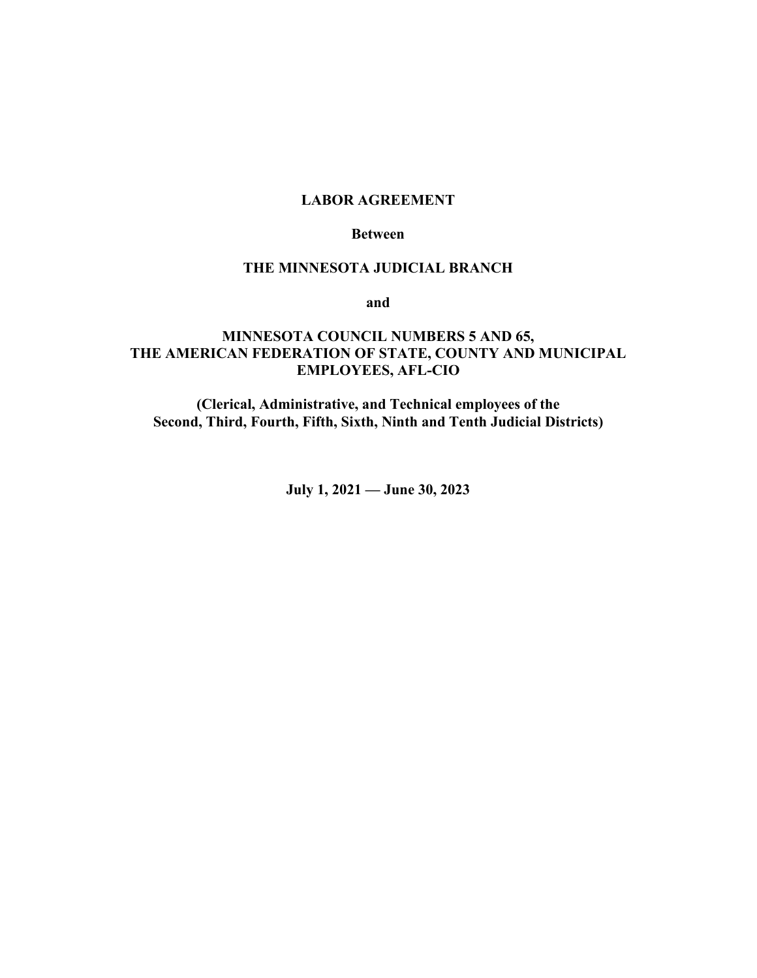### **LABOR AGREEMENT**

#### **Between**

### **THE MINNESOTA JUDICIAL BRANCH**

**and**

# **MINNESOTA COUNCIL NUMBERS 5 AND 65, THE AMERICAN FEDERATION OF STATE, COUNTY AND MUNICIPAL EMPLOYEES, AFL-CIO**

**(Clerical, Administrative, and Technical employees of the Second, Third, Fourth, Fifth, Sixth, Ninth and Tenth Judicial Districts)**

**July 1, 2021 — June 30, 2023**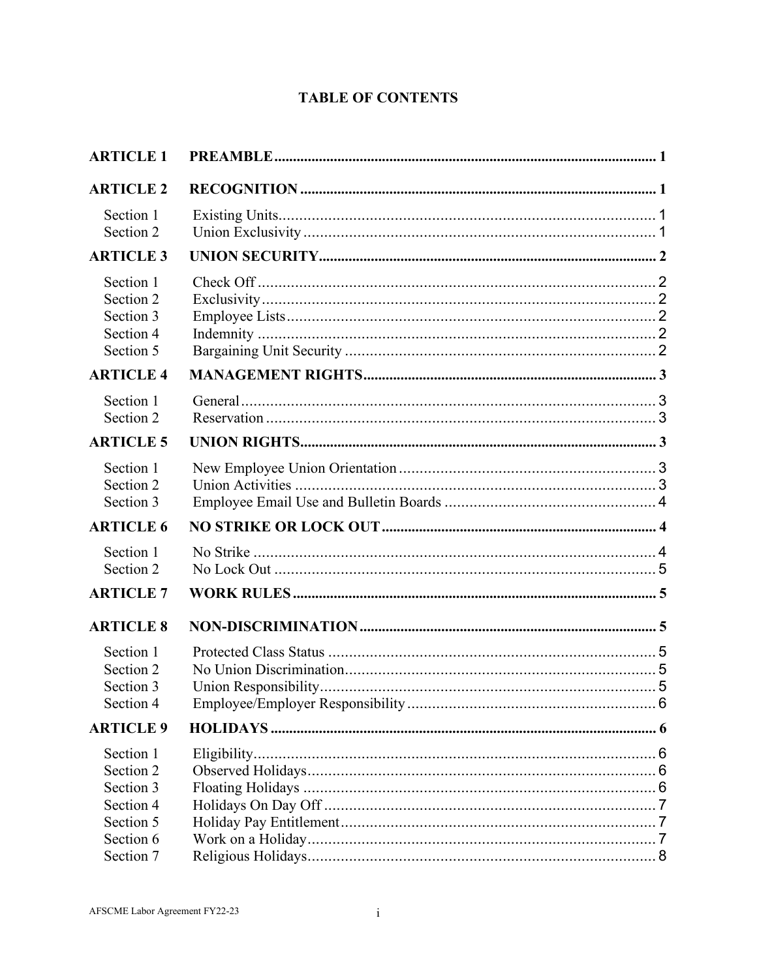# **TABLE OF CONTENTS**

| <b>ARTICLE 1</b>                                              |  |
|---------------------------------------------------------------|--|
| <b>ARTICLE 2</b>                                              |  |
| Section 1<br>Section 2                                        |  |
| <b>ARTICLE 3</b>                                              |  |
| Section 1<br>Section 2<br>Section 3<br>Section 4<br>Section 5 |  |
| <b>ARTICLE 4</b>                                              |  |
| Section 1<br>Section 2                                        |  |
| <b>ARTICLE 5</b>                                              |  |
| Section 1<br>Section 2<br>Section 3                           |  |
| <b>ARTICLE 6</b>                                              |  |
| Section 1<br>Section 2                                        |  |
| <b>ARTICLE 7</b>                                              |  |
| <b>ARTICLE 8</b>                                              |  |
| Section 1<br>Section 2<br>Section 3<br>Section 4              |  |
| <b>ARTICLE 9</b>                                              |  |
| Section 1<br>Section 2<br>Section 3<br>Section 4<br>Section 5 |  |
| Section 6<br>Section 7                                        |  |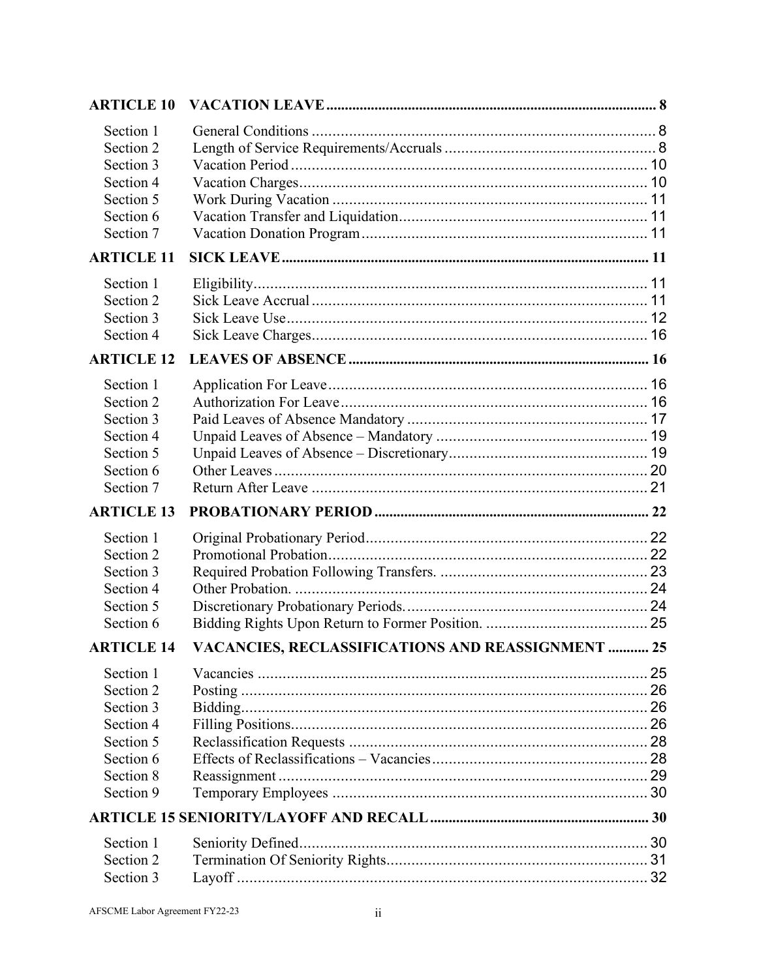| <b>ARTICLE 10</b> |                                                   |  |
|-------------------|---------------------------------------------------|--|
| Section 1         |                                                   |  |
| Section 2         |                                                   |  |
| Section 3         |                                                   |  |
| Section 4         |                                                   |  |
| Section 5         |                                                   |  |
| Section 6         |                                                   |  |
| Section 7         |                                                   |  |
| <b>ARTICLE 11</b> |                                                   |  |
| Section 1         |                                                   |  |
| Section 2         |                                                   |  |
| Section 3         |                                                   |  |
| Section 4         |                                                   |  |
| <b>ARTICLE 12</b> |                                                   |  |
| Section 1         |                                                   |  |
| Section 2         |                                                   |  |
| Section 3         |                                                   |  |
| Section 4         |                                                   |  |
| Section 5         |                                                   |  |
| Section 6         |                                                   |  |
| Section 7         |                                                   |  |
| <b>ARTICLE 13</b> |                                                   |  |
| Section 1         |                                                   |  |
| Section 2         |                                                   |  |
| Section 3         |                                                   |  |
| Section 4         |                                                   |  |
| Section 5         |                                                   |  |
| Section 6         |                                                   |  |
| <b>ARTICLE 14</b> | VACANCIES, RECLASSIFICATIONS AND REASSIGNMENT  25 |  |
| Section 1         |                                                   |  |
| Section 2         |                                                   |  |
| Section 3         |                                                   |  |
| Section 4         |                                                   |  |
| Section 5         |                                                   |  |
| Section 6         |                                                   |  |
| Section 8         |                                                   |  |
| Section 9         |                                                   |  |
|                   |                                                   |  |
| Section 1         |                                                   |  |
| Section 2         |                                                   |  |
| Section 3         |                                                   |  |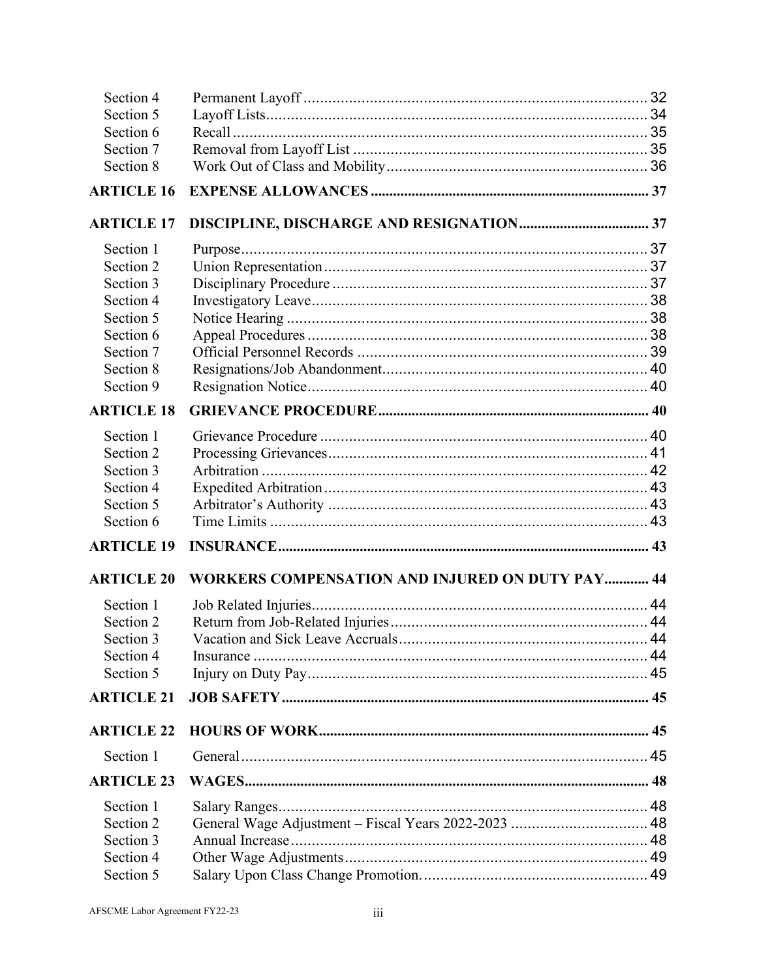| Section 4         |                                                        |  |
|-------------------|--------------------------------------------------------|--|
| Section 5         |                                                        |  |
| Section 6         |                                                        |  |
| Section 7         |                                                        |  |
| Section 8         |                                                        |  |
| <b>ARTICLE 16</b> |                                                        |  |
| <b>ARTICLE 17</b> |                                                        |  |
| Section 1         |                                                        |  |
| Section 2         |                                                        |  |
| Section 3         |                                                        |  |
| Section 4         |                                                        |  |
| Section 5         |                                                        |  |
| Section 6         |                                                        |  |
| Section 7         |                                                        |  |
| Section 8         |                                                        |  |
| Section 9         |                                                        |  |
| <b>ARTICLE 18</b> |                                                        |  |
| Section 1         |                                                        |  |
| Section 2         |                                                        |  |
| Section 3         |                                                        |  |
| Section 4         |                                                        |  |
| Section 5         |                                                        |  |
| Section 6         |                                                        |  |
| <b>ARTICLE 19</b> |                                                        |  |
| <b>ARTICLE 20</b> | <b>WORKERS COMPENSATION AND INJURED ON DUTY PAY 44</b> |  |
| Section 1         |                                                        |  |
| Section 2         |                                                        |  |
| Section 3         | Vacation and Sick Leave Accruals                       |  |
| Section 4         |                                                        |  |
| Section 5         |                                                        |  |
| <b>ARTICLE 21</b> |                                                        |  |
| <b>ARTICLE 22</b> |                                                        |  |
| Section 1         |                                                        |  |
| <b>ARTICLE 23</b> |                                                        |  |
| Section 1         |                                                        |  |
| Section 2         | General Wage Adjustment - Fiscal Years 2022-2023  48   |  |
| Section 3         |                                                        |  |
| Section 4         |                                                        |  |
| Section 5         |                                                        |  |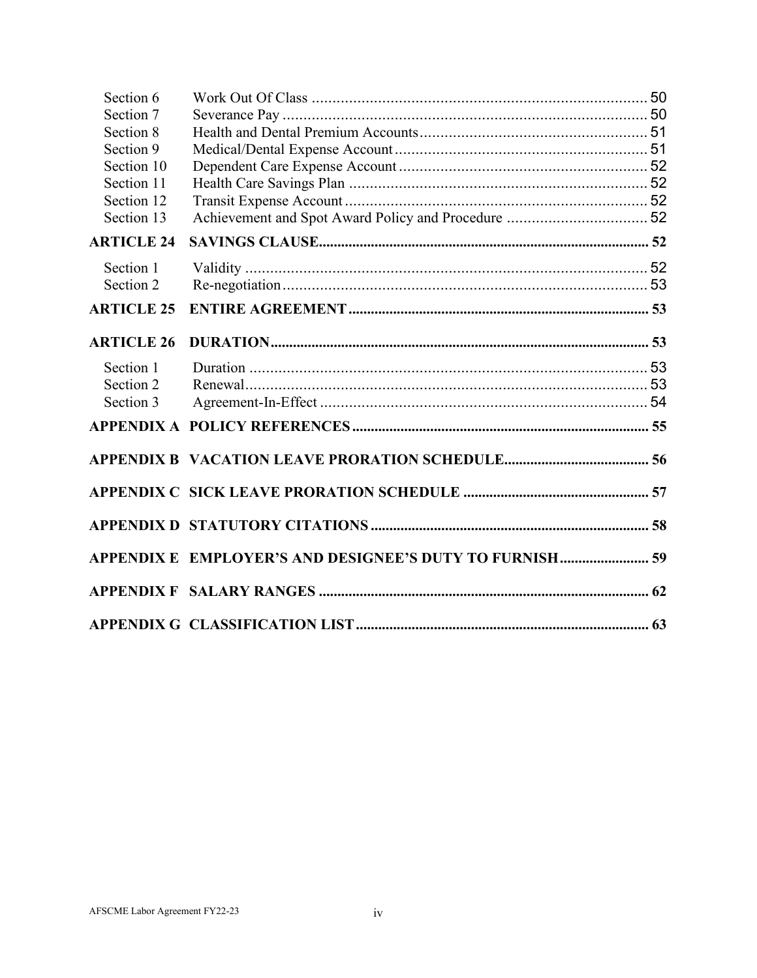| Section 6                |                                                         |  |
|--------------------------|---------------------------------------------------------|--|
| Section 7                |                                                         |  |
| Section 8                |                                                         |  |
| Section 9                |                                                         |  |
| Section 10               |                                                         |  |
| Section 11               |                                                         |  |
| Section 12<br>Section 13 |                                                         |  |
|                          |                                                         |  |
| <b>ARTICLE 24</b>        |                                                         |  |
| Section 1                |                                                         |  |
| Section 2                |                                                         |  |
| <b>ARTICLE 25</b>        |                                                         |  |
|                          |                                                         |  |
| <b>ARTICLE 26</b>        |                                                         |  |
| Section 1                |                                                         |  |
| Section 2                |                                                         |  |
| Section 3                |                                                         |  |
|                          |                                                         |  |
|                          |                                                         |  |
|                          |                                                         |  |
|                          |                                                         |  |
|                          |                                                         |  |
|                          |                                                         |  |
|                          | APPENDIX E EMPLOYER'S AND DESIGNEE'S DUTY TO FURNISH 59 |  |
|                          |                                                         |  |
|                          |                                                         |  |
|                          |                                                         |  |
|                          |                                                         |  |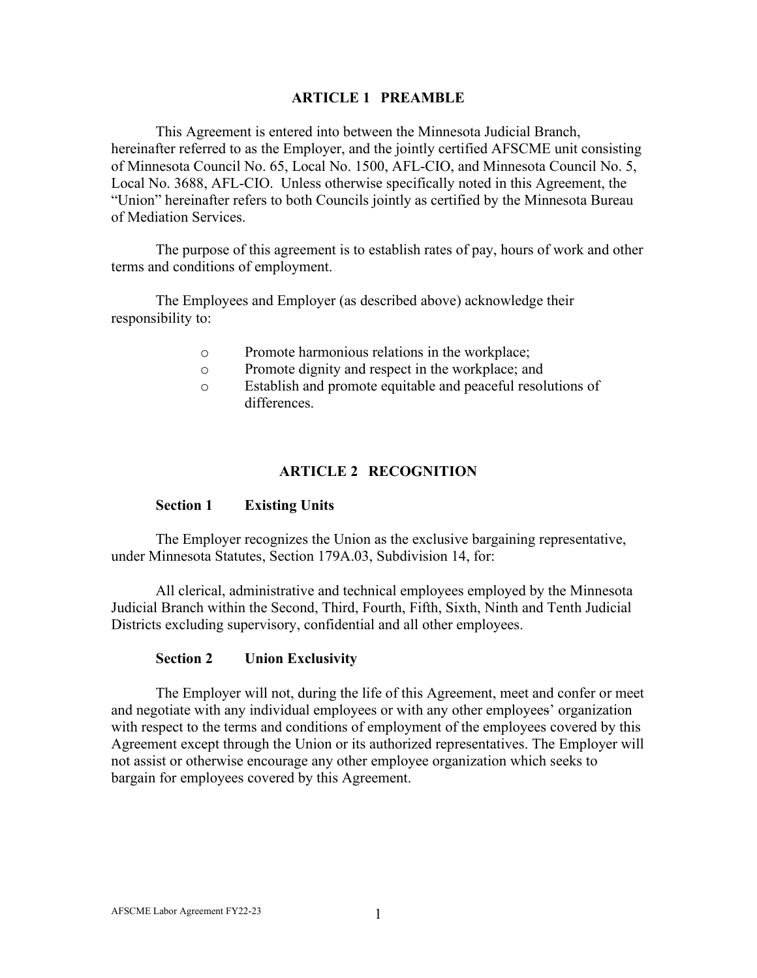### **ARTICLE 1 PREAMBLE**

<span id="page-5-0"></span>This Agreement is entered into between the Minnesota Judicial Branch, hereinafter referred to as the Employer, and the jointly certified AFSCME unit consisting of Minnesota Council No. 65, Local No. 1500, AFL-CIO, and Minnesota Council No. 5, Local No. 3688, AFL-CIO. Unless otherwise specifically noted in this Agreement, the "Union" hereinafter refers to both Councils jointly as certified by the Minnesota Bureau of Mediation Services.

The purpose of this agreement is to establish rates of pay, hours of work and other terms and conditions of employment.

The Employees and Employer (as described above) acknowledge their responsibility to:

- o Promote harmonious relations in the workplace;
- o Promote dignity and respect in the workplace; and
- o Establish and promote equitable and peaceful resolutions of differences.

### **ARTICLE 2 RECOGNITION**

#### <span id="page-5-1"></span>**Section 1 Existing Units**

<span id="page-5-2"></span>The Employer recognizes the Union as the exclusive bargaining representative, under Minnesota Statutes, Section 179A.03, Subdivision 14, for:

All clerical, administrative and technical employees employed by the Minnesota Judicial Branch within the Second, Third, Fourth, Fifth, Sixth, Ninth and Tenth Judicial Districts excluding supervisory, confidential and all other employees.

#### **Section 2 Union Exclusivity**

<span id="page-5-3"></span>The Employer will not, during the life of this Agreement, meet and confer or meet and negotiate with any individual employees or with any other employees' organization with respect to the terms and conditions of employment of the employees covered by this Agreement except through the Union or its authorized representatives. The Employer will not assist or otherwise encourage any other employee organization which seeks to bargain for employees covered by this Agreement.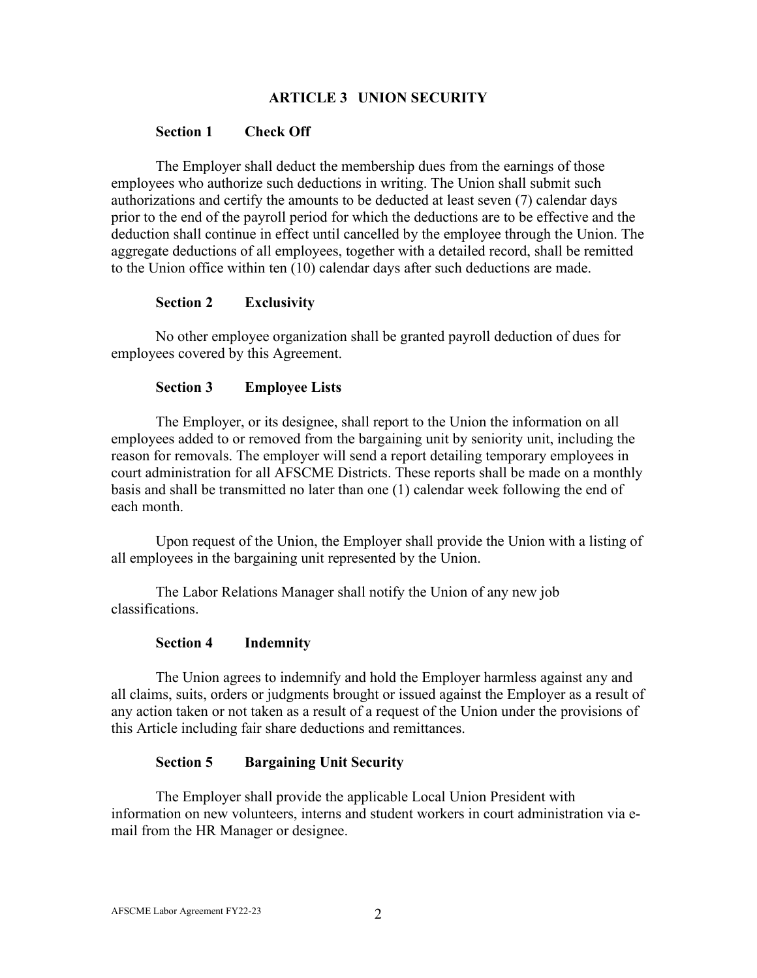### **ARTICLE 3 UNION SECURITY**

#### <span id="page-6-0"></span>**Section 1 Check Off**

<span id="page-6-1"></span>The Employer shall deduct the membership dues from the earnings of those employees who authorize such deductions in writing. The Union shall submit such authorizations and certify the amounts to be deducted at least seven (7) calendar days prior to the end of the payroll period for which the deductions are to be effective and the deduction shall continue in effect until cancelled by the employee through the Union. The aggregate deductions of all employees, together with a detailed record, shall be remitted to the Union office within ten (10) calendar days after such deductions are made.

### **Section 2 Exclusivity**

<span id="page-6-2"></span>No other employee organization shall be granted payroll deduction of dues for employees covered by this Agreement.

### **Section 3 Employee Lists**

<span id="page-6-3"></span>The Employer, or its designee, shall report to the Union the information on all employees added to or removed from the bargaining unit by seniority unit, including the reason for removals. The employer will send a report detailing temporary employees in court administration for all AFSCME Districts. These reports shall be made on a monthly basis and shall be transmitted no later than one (1) calendar week following the end of each month.

Upon request of the Union, the Employer shall provide the Union with a listing of all employees in the bargaining unit represented by the Union.

The Labor Relations Manager shall notify the Union of any new job classifications.

#### **Section 4 Indemnity**

<span id="page-6-4"></span>The Union agrees to indemnify and hold the Employer harmless against any and all claims, suits, orders or judgments brought or issued against the Employer as a result of any action taken or not taken as a result of a request of the Union under the provisions of this Article including fair share deductions and remittances.

#### **Section 5 Bargaining Unit Security**

<span id="page-6-5"></span>The Employer shall provide the applicable Local Union President with information on new volunteers, interns and student workers in court administration via email from the HR Manager or designee.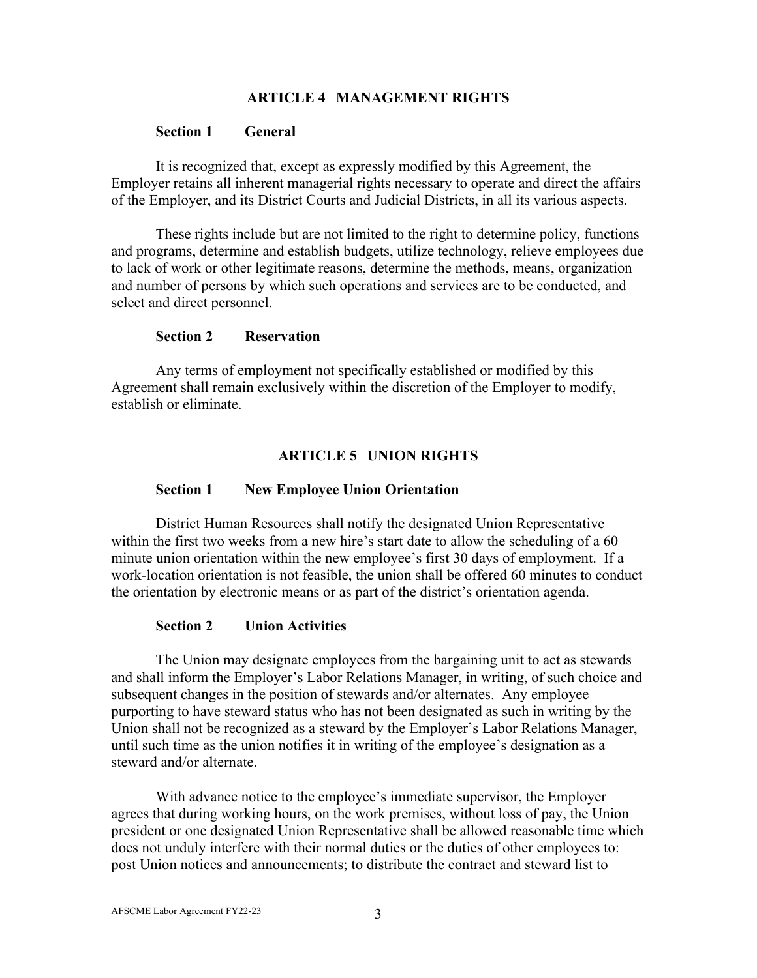### **ARTICLE 4 MANAGEMENT RIGHTS**

#### <span id="page-7-0"></span>**Section 1 General**

<span id="page-7-1"></span>It is recognized that, except as expressly modified by this Agreement, the Employer retains all inherent managerial rights necessary to operate and direct the affairs of the Employer, and its District Courts and Judicial Districts, in all its various aspects.

These rights include but are not limited to the right to determine policy, functions and programs, determine and establish budgets, utilize technology, relieve employees due to lack of work or other legitimate reasons, determine the methods, means, organization and number of persons by which such operations and services are to be conducted, and select and direct personnel.

#### **Section 2 Reservation**

<span id="page-7-2"></span>Any terms of employment not specifically established or modified by this Agreement shall remain exclusively within the discretion of the Employer to modify, establish or eliminate.

### **ARTICLE 5 UNION RIGHTS**

#### <span id="page-7-3"></span>**Section 1 New Employee Union Orientation**

<span id="page-7-4"></span>District Human Resources shall notify the designated Union Representative within the first two weeks from a new hire's start date to allow the scheduling of a 60 minute union orientation within the new employee's first 30 days of employment. If a work-location orientation is not feasible, the union shall be offered 60 minutes to conduct the orientation by electronic means or as part of the district's orientation agenda.

#### **Section 2 Union Activities**

<span id="page-7-5"></span>The Union may designate employees from the bargaining unit to act as stewards and shall inform the Employer's Labor Relations Manager, in writing, of such choice and subsequent changes in the position of stewards and/or alternates. Any employee purporting to have steward status who has not been designated as such in writing by the Union shall not be recognized as a steward by the Employer's Labor Relations Manager, until such time as the union notifies it in writing of the employee's designation as a steward and/or alternate.

With advance notice to the employee's immediate supervisor, the Employer agrees that during working hours, on the work premises, without loss of pay, the Union president or one designated Union Representative shall be allowed reasonable time which does not unduly interfere with their normal duties or the duties of other employees to: post Union notices and announcements; to distribute the contract and steward list to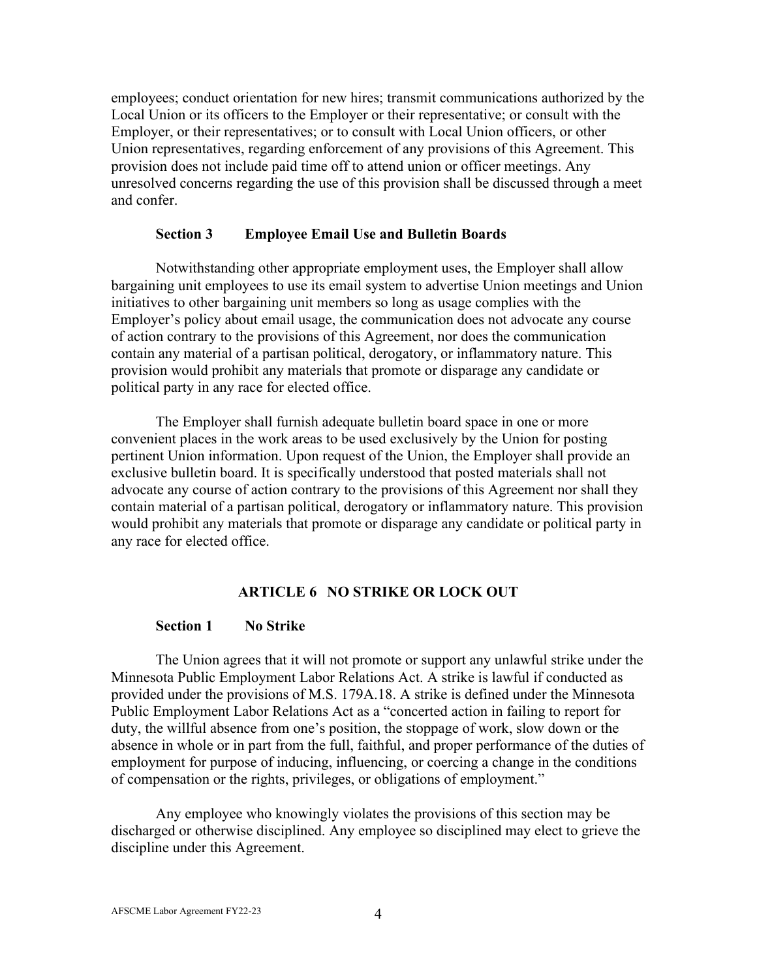employees; conduct orientation for new hires; transmit communications authorized by the Local Union or its officers to the Employer or their representative; or consult with the Employer, or their representatives; or to consult with Local Union officers, or other Union representatives, regarding enforcement of any provisions of this Agreement. This provision does not include paid time off to attend union or officer meetings. Any unresolved concerns regarding the use of this provision shall be discussed through a meet and confer.

#### **Section 3 Employee Email Use and Bulletin Boards**

<span id="page-8-0"></span>Notwithstanding other appropriate employment uses, the Employer shall allow bargaining unit employees to use its email system to advertise Union meetings and Union initiatives to other bargaining unit members so long as usage complies with the Employer's policy about email usage, the communication does not advocate any course of action contrary to the provisions of this Agreement, nor does the communication contain any material of a partisan political, derogatory, or inflammatory nature. This provision would prohibit any materials that promote or disparage any candidate or political party in any race for elected office.

The Employer shall furnish adequate bulletin board space in one or more convenient places in the work areas to be used exclusively by the Union for posting pertinent Union information. Upon request of the Union, the Employer shall provide an exclusive bulletin board. It is specifically understood that posted materials shall not advocate any course of action contrary to the provisions of this Agreement nor shall they contain material of a partisan political, derogatory or inflammatory nature. This provision would prohibit any materials that promote or disparage any candidate or political party in any race for elected office.

### **ARTICLE 6 NO STRIKE OR LOCK OUT**

#### <span id="page-8-1"></span>**Section 1 No Strike**

<span id="page-8-2"></span>The Union agrees that it will not promote or support any unlawful strike under the Minnesota Public Employment Labor Relations Act. A strike is lawful if conducted as provided under the provisions of M.S. 179A.18. A strike is defined under the Minnesota Public Employment Labor Relations Act as a "concerted action in failing to report for duty, the willful absence from one's position, the stoppage of work, slow down or the absence in whole or in part from the full, faithful, and proper performance of the duties of employment for purpose of inducing, influencing, or coercing a change in the conditions of compensation or the rights, privileges, or obligations of employment."

Any employee who knowingly violates the provisions of this section may be discharged or otherwise disciplined. Any employee so disciplined may elect to grieve the discipline under this Agreement.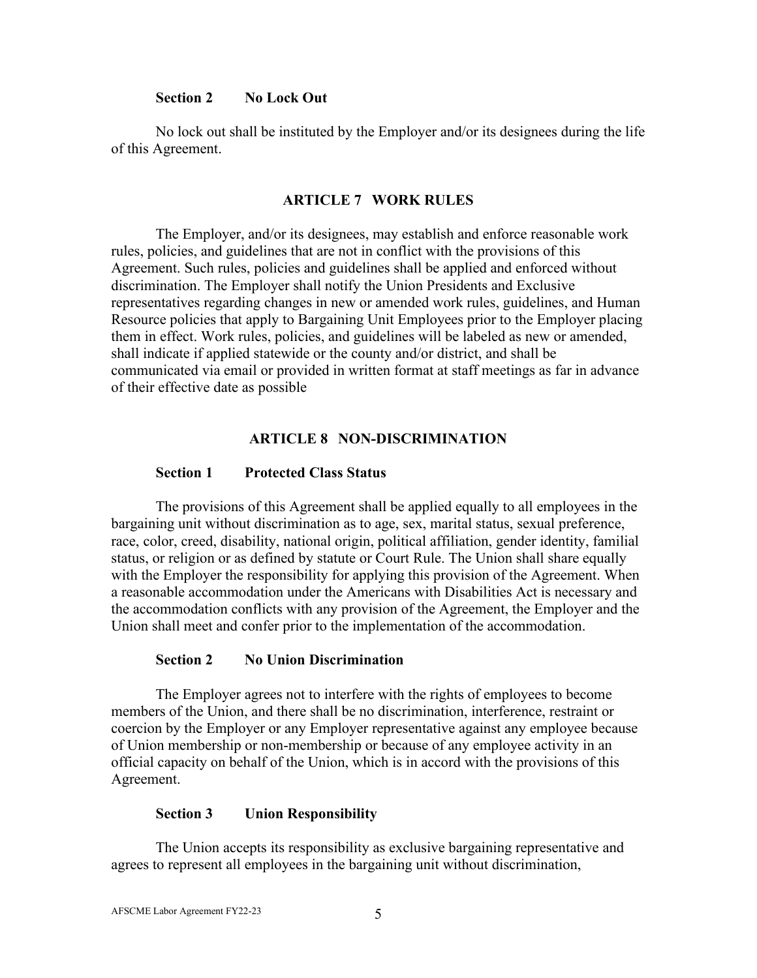#### **Section 2 No Lock Out**

<span id="page-9-0"></span>No lock out shall be instituted by the Employer and/or its designees during the life of this Agreement.

#### **ARTICLE 7 WORK RULES**

<span id="page-9-1"></span>The Employer, and/or its designees, may establish and enforce reasonable work rules, policies, and guidelines that are not in conflict with the provisions of this Agreement. Such rules, policies and guidelines shall be applied and enforced without discrimination. The Employer shall notify the Union Presidents and Exclusive representatives regarding changes in new or amended work rules, guidelines, and Human Resource policies that apply to Bargaining Unit Employees prior to the Employer placing them in effect. Work rules, policies, and guidelines will be labeled as new or amended, shall indicate if applied statewide or the county and/or district, and shall be communicated via email or provided in written format at staff meetings as far in advance of their effective date as possible

#### **ARTICLE 8 NON-DISCRIMINATION**

#### <span id="page-9-2"></span>**Section 1 Protected Class Status**

<span id="page-9-3"></span>The provisions of this Agreement shall be applied equally to all employees in the bargaining unit without discrimination as to age, sex, marital status, sexual preference, race, color, creed, disability, national origin, political affiliation, gender identity, familial status, or religion or as defined by statute or Court Rule. The Union shall share equally with the Employer the responsibility for applying this provision of the Agreement. When a reasonable accommodation under the Americans with Disabilities Act is necessary and the accommodation conflicts with any provision of the Agreement, the Employer and the Union shall meet and confer prior to the implementation of the accommodation.

#### **Section 2 No Union Discrimination**

<span id="page-9-4"></span>The Employer agrees not to interfere with the rights of employees to become members of the Union, and there shall be no discrimination, interference, restraint or coercion by the Employer or any Employer representative against any employee because of Union membership or non-membership or because of any employee activity in an official capacity on behalf of the Union, which is in accord with the provisions of this Agreement.

#### **Section 3 Union Responsibility**

<span id="page-9-5"></span>The Union accepts its responsibility as exclusive bargaining representative and agrees to represent all employees in the bargaining unit without discrimination,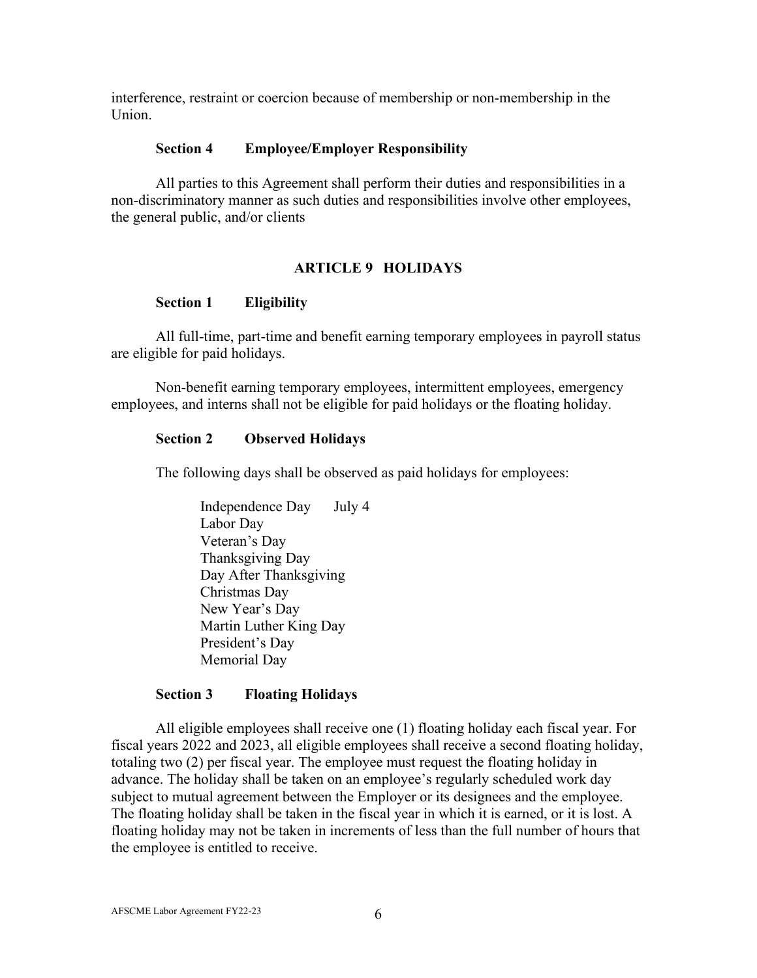interference, restraint or coercion because of membership or non-membership in the Union.

#### **Section 4 Employee/Employer Responsibility**

<span id="page-10-0"></span>All parties to this Agreement shall perform their duties and responsibilities in a non-discriminatory manner as such duties and responsibilities involve other employees, the general public, and/or clients

### **ARTICLE 9 HOLIDAYS**

### <span id="page-10-1"></span>**Section 1 Eligibility**

<span id="page-10-2"></span>All full-time, part-time and benefit earning temporary employees in payroll status are eligible for paid holidays.

Non-benefit earning temporary employees, intermittent employees, emergency employees, and interns shall not be eligible for paid holidays or the floating holiday.

#### <span id="page-10-3"></span>**Section 2 Observed Holidays**

The following days shall be observed as paid holidays for employees:

Independence Day July 4 Labor Day Veteran's Day Thanksgiving Day Day After Thanksgiving Christmas Day New Year's Day Martin Luther King Day President's Day Memorial Day

#### **Section 3 Floating Holidays**

<span id="page-10-4"></span>All eligible employees shall receive one (1) floating holiday each fiscal year. For fiscal years 2022 and 2023, all eligible employees shall receive a second floating holiday, totaling two (2) per fiscal year. The employee must request the floating holiday in advance. The holiday shall be taken on an employee's regularly scheduled work day subject to mutual agreement between the Employer or its designees and the employee. The floating holiday shall be taken in the fiscal year in which it is earned, or it is lost. A floating holiday may not be taken in increments of less than the full number of hours that the employee is entitled to receive.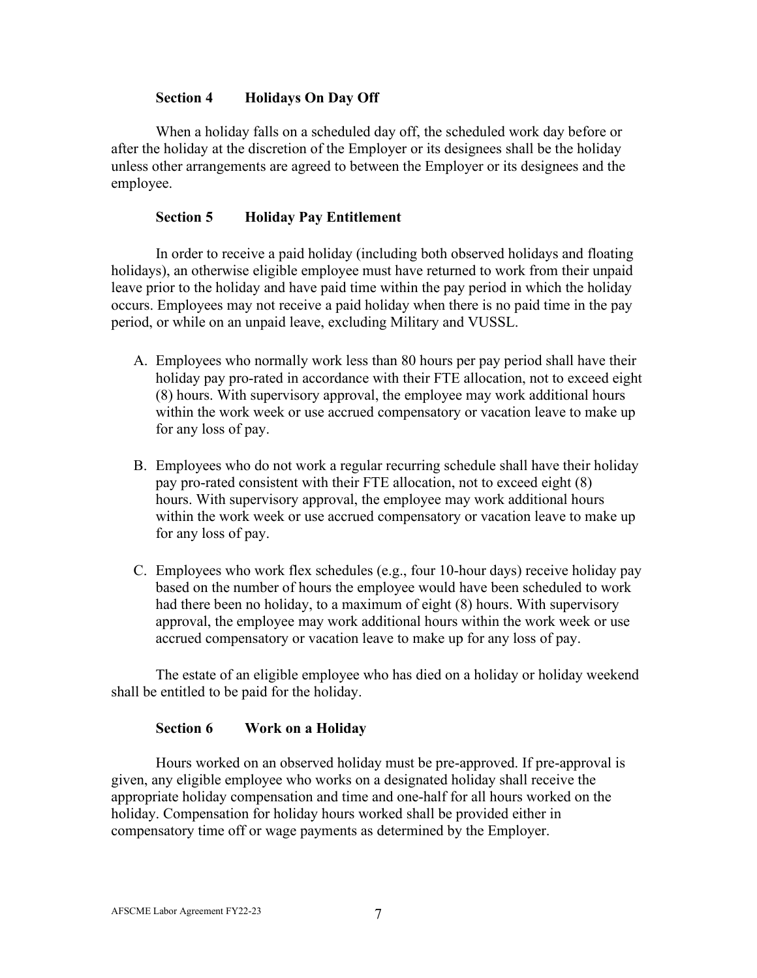# **Section 4 Holidays On Day Off**

<span id="page-11-0"></span>When a holiday falls on a scheduled day off, the scheduled work day before or after the holiday at the discretion of the Employer or its designees shall be the holiday unless other arrangements are agreed to between the Employer or its designees and the employee.

# **Section 5 Holiday Pay Entitlement**

<span id="page-11-1"></span>In order to receive a paid holiday (including both observed holidays and floating holidays), an otherwise eligible employee must have returned to work from their unpaid leave prior to the holiday and have paid time within the pay period in which the holiday occurs. Employees may not receive a paid holiday when there is no paid time in the pay period, or while on an unpaid leave, excluding Military and VUSSL.

- A. Employees who normally work less than 80 hours per pay period shall have their holiday pay pro-rated in accordance with their FTE allocation, not to exceed eight (8) hours. With supervisory approval, the employee may work additional hours within the work week or use accrued compensatory or vacation leave to make up for any loss of pay.
- B. Employees who do not work a regular recurring schedule shall have their holiday pay pro-rated consistent with their FTE allocation, not to exceed eight (8) hours. With supervisory approval, the employee may work additional hours within the work week or use accrued compensatory or vacation leave to make up for any loss of pay.
- C. Employees who work flex schedules (e.g., four 10-hour days) receive holiday pay based on the number of hours the employee would have been scheduled to work had there been no holiday, to a maximum of eight (8) hours. With supervisory approval, the employee may work additional hours within the work week or use accrued compensatory or vacation leave to make up for any loss of pay.

The estate of an eligible employee who has died on a holiday or holiday weekend shall be entitled to be paid for the holiday.

### **Section 6 Work on a Holiday**

<span id="page-11-2"></span>Hours worked on an observed holiday must be pre-approved. If pre-approval is given, any eligible employee who works on a designated holiday shall receive the appropriate holiday compensation and time and one-half for all hours worked on the holiday. Compensation for holiday hours worked shall be provided either in compensatory time off or wage payments as determined by the Employer.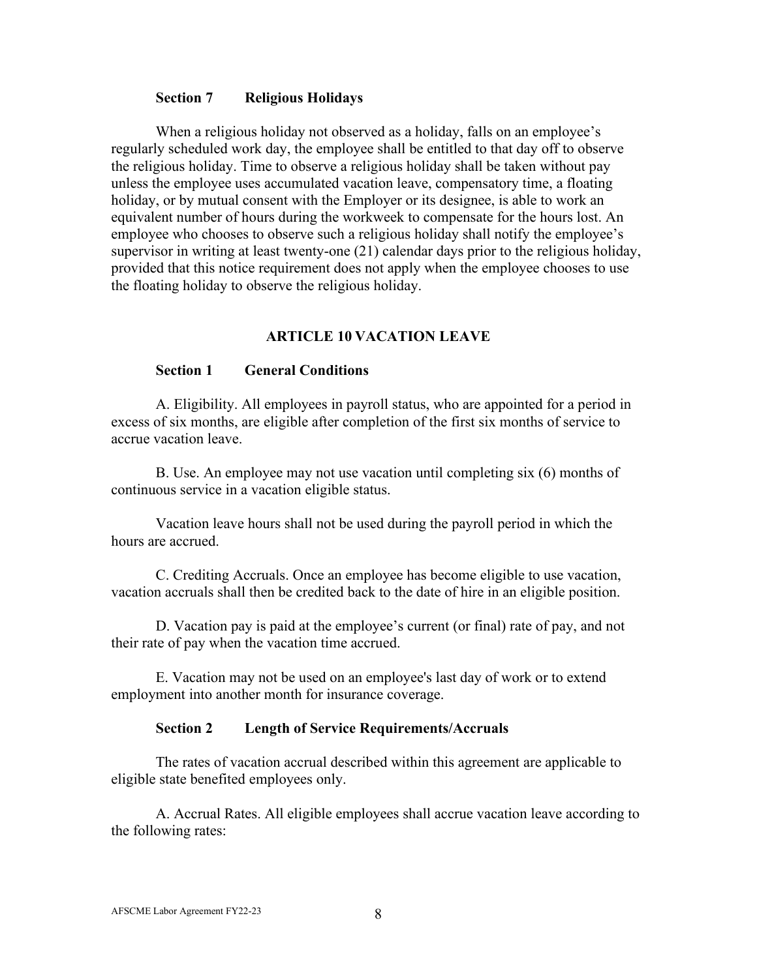#### **Section 7 Religious Holidays**

<span id="page-12-0"></span>When a religious holiday not observed as a holiday, falls on an employee's regularly scheduled work day, the employee shall be entitled to that day off to observe the religious holiday. Time to observe a religious holiday shall be taken without pay unless the employee uses accumulated vacation leave, compensatory time, a floating holiday, or by mutual consent with the Employer or its designee, is able to work an equivalent number of hours during the workweek to compensate for the hours lost. An employee who chooses to observe such a religious holiday shall notify the employee's supervisor in writing at least twenty-one (21) calendar days prior to the religious holiday, provided that this notice requirement does not apply when the employee chooses to use the floating holiday to observe the religious holiday.

#### **ARTICLE 10 VACATION LEAVE**

#### <span id="page-12-1"></span>**Section 1 General Conditions**

<span id="page-12-2"></span>A. Eligibility. All employees in payroll status, who are appointed for a period in excess of six months, are eligible after completion of the first six months of service to accrue vacation leave.

B. Use. An employee may not use vacation until completing six (6) months of continuous service in a vacation eligible status.

Vacation leave hours shall not be used during the payroll period in which the hours are accrued.

C. Crediting Accruals. Once an employee has become eligible to use vacation, vacation accruals shall then be credited back to the date of hire in an eligible position.

D. Vacation pay is paid at the employee's current (or final) rate of pay, and not their rate of pay when the vacation time accrued.

E. Vacation may not be used on an employee's last day of work or to extend employment into another month for insurance coverage.

#### **Section 2 Length of Service Requirements/Accruals**

<span id="page-12-3"></span>The rates of vacation accrual described within this agreement are applicable to eligible state benefited employees only.

A. Accrual Rates. All eligible employees shall accrue vacation leave according to the following rates: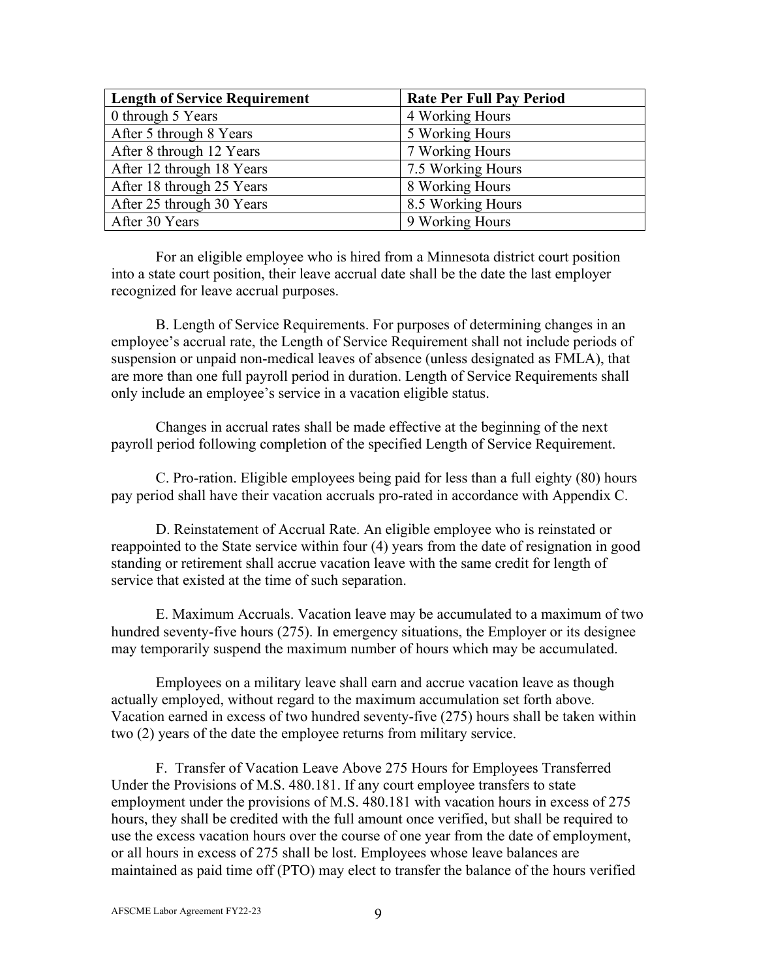| <b>Length of Service Requirement</b> | <b>Rate Per Full Pay Period</b> |
|--------------------------------------|---------------------------------|
| 0 through 5 Years                    | 4 Working Hours                 |
| After 5 through 8 Years              | 5 Working Hours                 |
| After 8 through 12 Years             | 7 Working Hours                 |
| After 12 through 18 Years            | 7.5 Working Hours               |
| After 18 through 25 Years            | 8 Working Hours                 |
| After 25 through 30 Years            | 8.5 Working Hours               |
| After 30 Years                       | 9 Working Hours                 |

For an eligible employee who is hired from a Minnesota district court position into a state court position, their leave accrual date shall be the date the last employer recognized for leave accrual purposes.

B. Length of Service Requirements. For purposes of determining changes in an employee's accrual rate, the Length of Service Requirement shall not include periods of suspension or unpaid non-medical leaves of absence (unless designated as FMLA), that are more than one full payroll period in duration. Length of Service Requirements shall only include an employee's service in a vacation eligible status.

Changes in accrual rates shall be made effective at the beginning of the next payroll period following completion of the specified Length of Service Requirement.

C. Pro-ration. Eligible employees being paid for less than a full eighty (80) hours pay period shall have their vacation accruals pro-rated in accordance with Appendix C.

D. Reinstatement of Accrual Rate. An eligible employee who is reinstated or reappointed to the State service within four (4) years from the date of resignation in good standing or retirement shall accrue vacation leave with the same credit for length of service that existed at the time of such separation.

E. Maximum Accruals. Vacation leave may be accumulated to a maximum of two hundred seventy-five hours (275). In emergency situations, the Employer or its designee may temporarily suspend the maximum number of hours which may be accumulated.

Employees on a military leave shall earn and accrue vacation leave as though actually employed, without regard to the maximum accumulation set forth above. Vacation earned in excess of two hundred seventy-five (275) hours shall be taken within two (2) years of the date the employee returns from military service.

F. Transfer of Vacation Leave Above 275 Hours for Employees Transferred Under the Provisions of M.S. 480.181. If any court employee transfers to state employment under the provisions of M.S. 480.181 with vacation hours in excess of 275 hours, they shall be credited with the full amount once verified, but shall be required to use the excess vacation hours over the course of one year from the date of employment, or all hours in excess of 275 shall be lost. Employees whose leave balances are maintained as paid time off (PTO) may elect to transfer the balance of the hours verified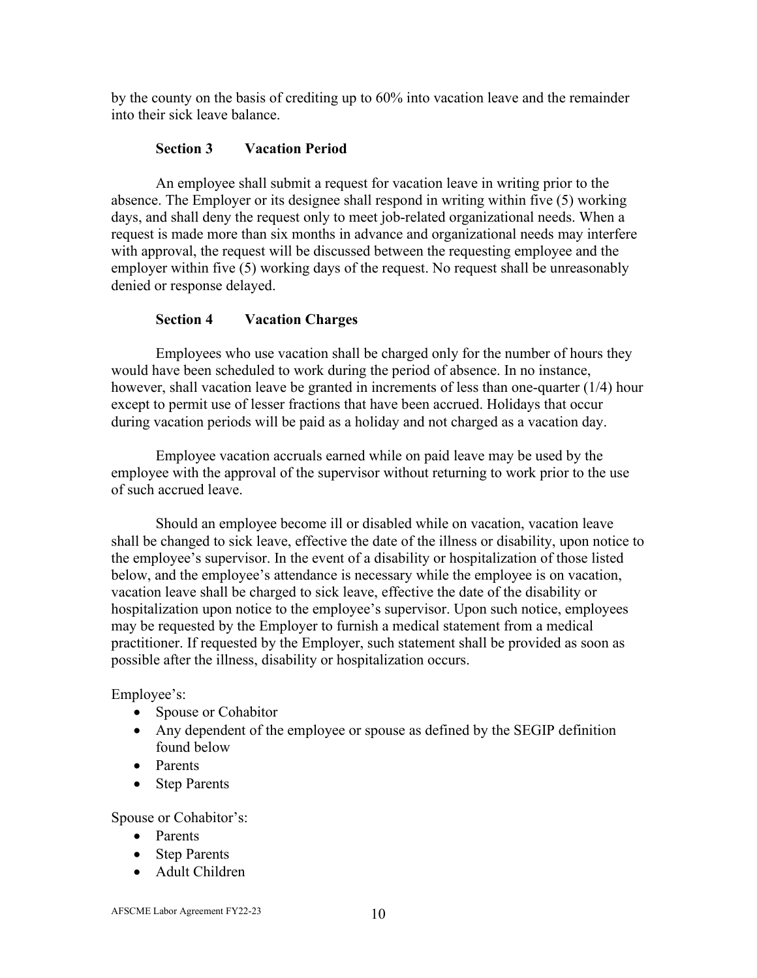by the county on the basis of crediting up to 60% into vacation leave and the remainder into their sick leave balance.

# **Section 3 Vacation Period**

<span id="page-14-0"></span>An employee shall submit a request for vacation leave in writing prior to the absence. The Employer or its designee shall respond in writing within five (5) working days, and shall deny the request only to meet job-related organizational needs. When a request is made more than six months in advance and organizational needs may interfere with approval, the request will be discussed between the requesting employee and the employer within five (5) working days of the request. No request shall be unreasonably denied or response delayed.

# **Section 4 Vacation Charges**

<span id="page-14-1"></span>Employees who use vacation shall be charged only for the number of hours they would have been scheduled to work during the period of absence. In no instance, however, shall vacation leave be granted in increments of less than one-quarter (1/4) hour except to permit use of lesser fractions that have been accrued. Holidays that occur during vacation periods will be paid as a holiday and not charged as a vacation day.

Employee vacation accruals earned while on paid leave may be used by the employee with the approval of the supervisor without returning to work prior to the use of such accrued leave.

Should an employee become ill or disabled while on vacation, vacation leave shall be changed to sick leave, effective the date of the illness or disability, upon notice to the employee's supervisor. In the event of a disability or hospitalization of those listed below, and the employee's attendance is necessary while the employee is on vacation, vacation leave shall be charged to sick leave, effective the date of the disability or hospitalization upon notice to the employee's supervisor. Upon such notice, employees may be requested by the Employer to furnish a medical statement from a medical practitioner. If requested by the Employer, such statement shall be provided as soon as possible after the illness, disability or hospitalization occurs.

Employee's:

- Spouse or Cohabitor
- Any dependent of the employee or spouse as defined by the SEGIP definition found below
- Parents
- Step Parents

Spouse or Cohabitor's:

- Parents
- Step Parents
- Adult Children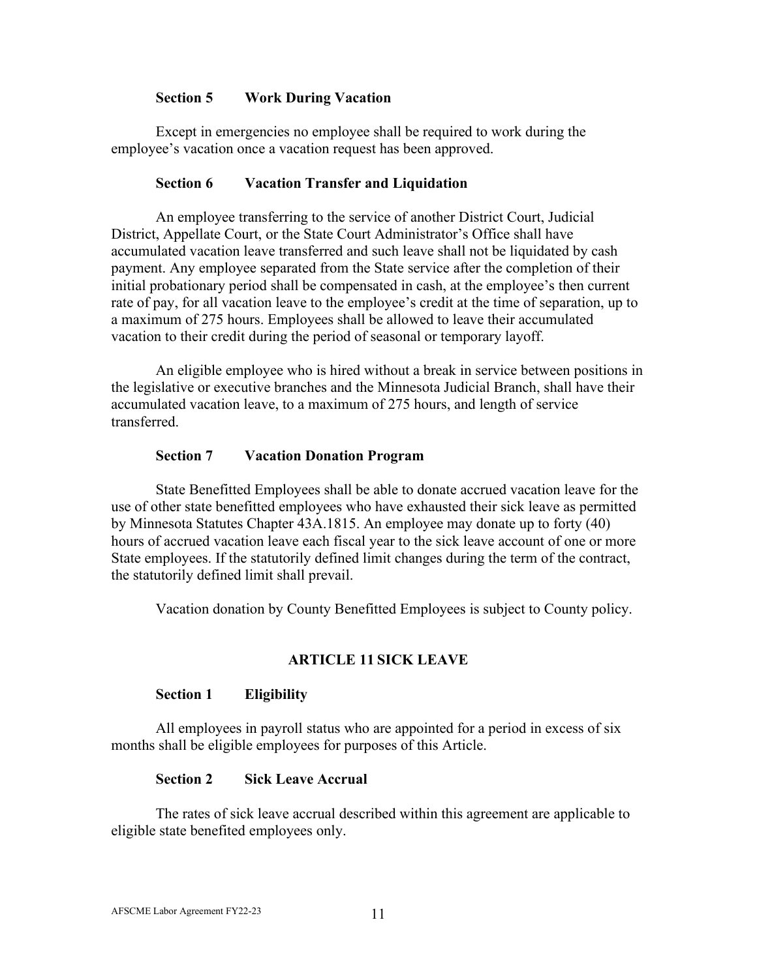### **Section 5 Work During Vacation**

<span id="page-15-0"></span>Except in emergencies no employee shall be required to work during the employee's vacation once a vacation request has been approved.

### **Section 6 Vacation Transfer and Liquidation**

<span id="page-15-1"></span>An employee transferring to the service of another District Court, Judicial District, Appellate Court, or the State Court Administrator's Office shall have accumulated vacation leave transferred and such leave shall not be liquidated by cash payment. Any employee separated from the State service after the completion of their initial probationary period shall be compensated in cash, at the employee's then current rate of pay, for all vacation leave to the employee's credit at the time of separation, up to a maximum of 275 hours. Employees shall be allowed to leave their accumulated vacation to their credit during the period of seasonal or temporary layoff.

An eligible employee who is hired without a break in service between positions in the legislative or executive branches and the Minnesota Judicial Branch, shall have their accumulated vacation leave, to a maximum of 275 hours, and length of service transferred.

### **Section 7 Vacation Donation Program**

<span id="page-15-2"></span>State Benefitted Employees shall be able to donate accrued vacation leave for the use of other state benefitted employees who have exhausted their sick leave as permitted by Minnesota Statutes Chapter 43A.1815. An employee may donate up to forty (40) hours of accrued vacation leave each fiscal year to the sick leave account of one or more State employees. If the statutorily defined limit changes during the term of the contract, the statutorily defined limit shall prevail.

Vacation donation by County Benefitted Employees is subject to County policy.

### **ARTICLE 11 SICK LEAVE**

#### <span id="page-15-3"></span>**Section 1 Eligibility**

<span id="page-15-4"></span>All employees in payroll status who are appointed for a period in excess of six months shall be eligible employees for purposes of this Article.

#### **Section 2 Sick Leave Accrual**

<span id="page-15-5"></span>The rates of sick leave accrual described within this agreement are applicable to eligible state benefited employees only.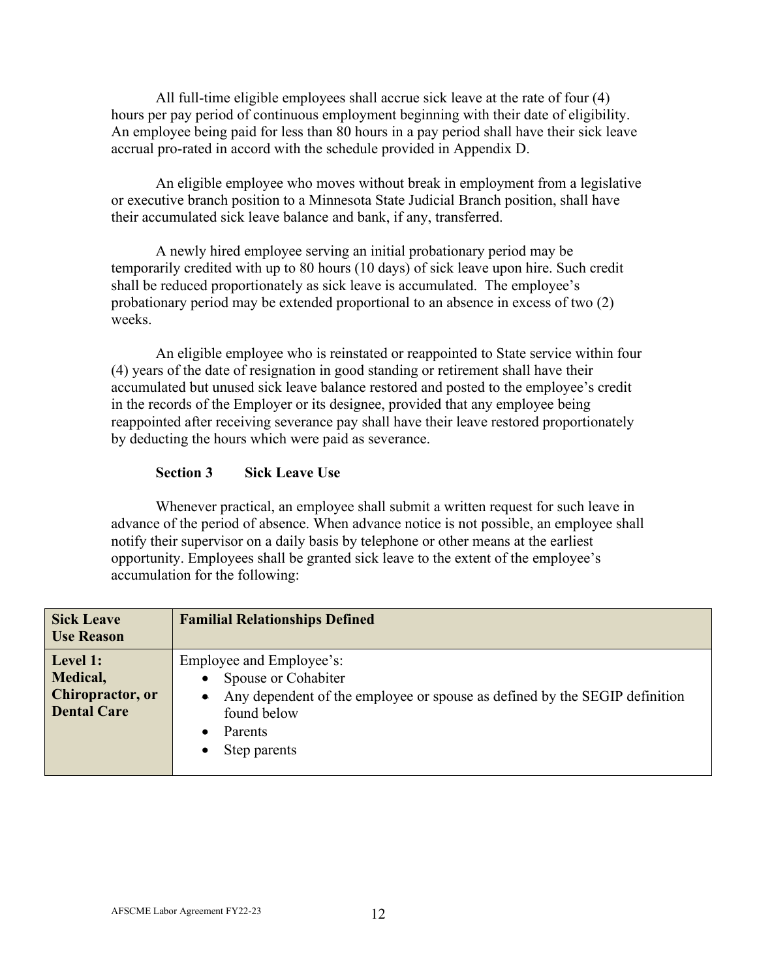All full-time eligible employees shall accrue sick leave at the rate of four (4) hours per pay period of continuous employment beginning with their date of eligibility. An employee being paid for less than 80 hours in a pay period shall have their sick leave accrual pro-rated in accord with the schedule provided in Appendix D.

An eligible employee who moves without break in employment from a legislative or executive branch position to a Minnesota State Judicial Branch position, shall have their accumulated sick leave balance and bank, if any, transferred.

A newly hired employee serving an initial probationary period may be temporarily credited with up to 80 hours (10 days) of sick leave upon hire. Such credit shall be reduced proportionately as sick leave is accumulated. The employee's probationary period may be extended proportional to an absence in excess of two (2) weeks.

An eligible employee who is reinstated or reappointed to State service within four (4) years of the date of resignation in good standing or retirement shall have their accumulated but unused sick leave balance restored and posted to the employee's credit in the records of the Employer or its designee, provided that any employee being reappointed after receiving severance pay shall have their leave restored proportionately by deducting the hours which were paid as severance.

### **Section 3 Sick Leave Use**

<span id="page-16-0"></span>Whenever practical, an employee shall submit a written request for such leave in advance of the period of absence. When advance notice is not possible, an employee shall notify their supervisor on a daily basis by telephone or other means at the earliest opportunity. Employees shall be granted sick leave to the extent of the employee's accumulation for the following:

| <b>Sick Leave</b><br><b>Use Reason</b>                         | <b>Familial Relationships Defined</b>                                                                                                                                                |  |  |
|----------------------------------------------------------------|--------------------------------------------------------------------------------------------------------------------------------------------------------------------------------------|--|--|
| Level 1:<br>Medical,<br>Chiropractor, or<br><b>Dental Care</b> | Employee and Employee's:<br>Spouse or Cohabiter<br>Any dependent of the employee or spouse as defined by the SEGIP definition<br>found below<br>Parents<br>Step parents<br>$\bullet$ |  |  |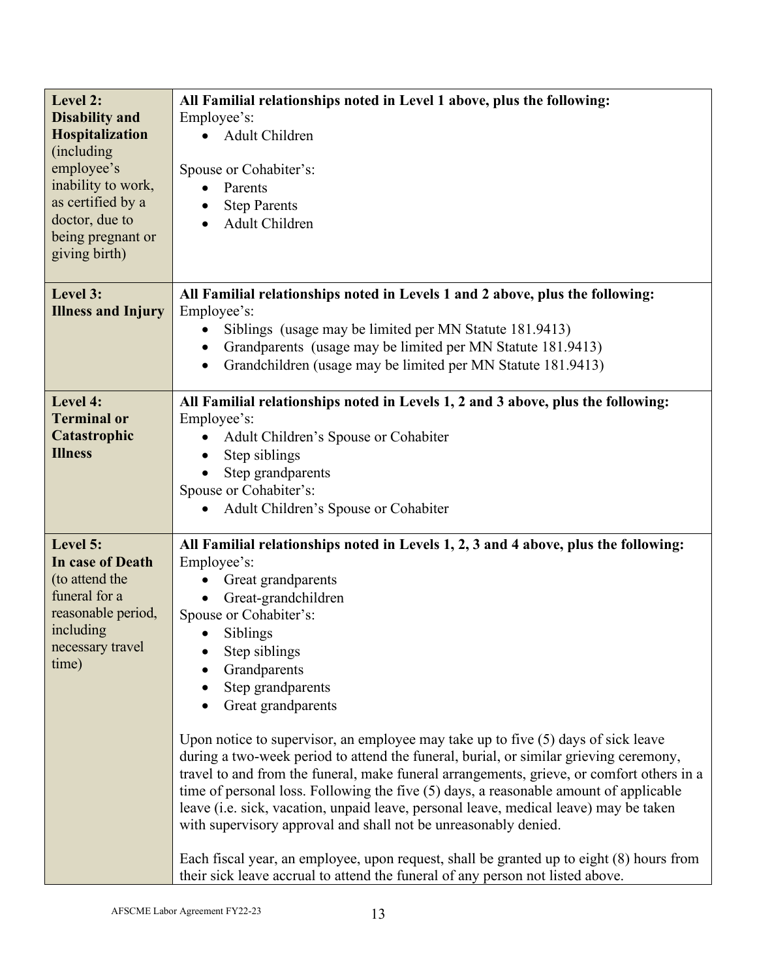| Level 2:<br><b>Disability and</b><br>Hospitalization<br>(including)<br>employee's<br>inability to work,<br>as certified by a<br>doctor, due to<br>being pregnant or<br>giving birth) | All Familial relationships noted in Level 1 above, plus the following:<br>Employee's:<br>Adult Children<br>Spouse or Cohabiter's:<br>Parents<br>$\bullet$<br><b>Step Parents</b><br>Adult Children<br>$\bullet$                                                                                                                                                                                                                                                                                                                                                                                                                                                                                                                                                                                                                                                                                                                                                                                  |  |  |  |
|--------------------------------------------------------------------------------------------------------------------------------------------------------------------------------------|--------------------------------------------------------------------------------------------------------------------------------------------------------------------------------------------------------------------------------------------------------------------------------------------------------------------------------------------------------------------------------------------------------------------------------------------------------------------------------------------------------------------------------------------------------------------------------------------------------------------------------------------------------------------------------------------------------------------------------------------------------------------------------------------------------------------------------------------------------------------------------------------------------------------------------------------------------------------------------------------------|--|--|--|
| Level 3:<br><b>Illness and Injury</b>                                                                                                                                                | All Familial relationships noted in Levels 1 and 2 above, plus the following:<br>Employee's:<br>Siblings (usage may be limited per MN Statute 181.9413)<br>Grandparents (usage may be limited per MN Statute 181.9413)<br>Grandchildren (usage may be limited per MN Statute 181.9413)<br>$\bullet$                                                                                                                                                                                                                                                                                                                                                                                                                                                                                                                                                                                                                                                                                              |  |  |  |
| Level 4:<br><b>Terminal or</b><br>Catastrophic<br><b>Illness</b>                                                                                                                     | All Familial relationships noted in Levels 1, 2 and 3 above, plus the following:<br>Employee's:<br>Adult Children's Spouse or Cohabiter<br>Step siblings<br>$\bullet$<br>Step grandparents<br>Spouse or Cohabiter's:<br>Adult Children's Spouse or Cohabiter                                                                                                                                                                                                                                                                                                                                                                                                                                                                                                                                                                                                                                                                                                                                     |  |  |  |
| Level 5:<br>In case of Death<br>(to attend the<br>funeral for a<br>reasonable period,<br>including<br>necessary travel<br>time)                                                      | All Familial relationships noted in Levels 1, 2, 3 and 4 above, plus the following:<br>Employee's:<br>Great grandparents<br>Great-grandchildren<br>Spouse or Cohabiter's:<br>Siblings<br>$\bullet$<br>Step siblings<br>Grandparents<br>Step grandparents<br>Great grandparents<br>Upon notice to supervisor, an employee may take up to five $(5)$ days of sick leave<br>during a two-week period to attend the funeral, burial, or similar grieving ceremony,<br>travel to and from the funeral, make funeral arrangements, grieve, or comfort others in a<br>time of personal loss. Following the five $(5)$ days, a reasonable amount of applicable<br>leave (i.e. sick, vacation, unpaid leave, personal leave, medical leave) may be taken<br>with supervisory approval and shall not be unreasonably denied.<br>Each fiscal year, an employee, upon request, shall be granted up to eight (8) hours from<br>their sick leave accrual to attend the funeral of any person not listed above. |  |  |  |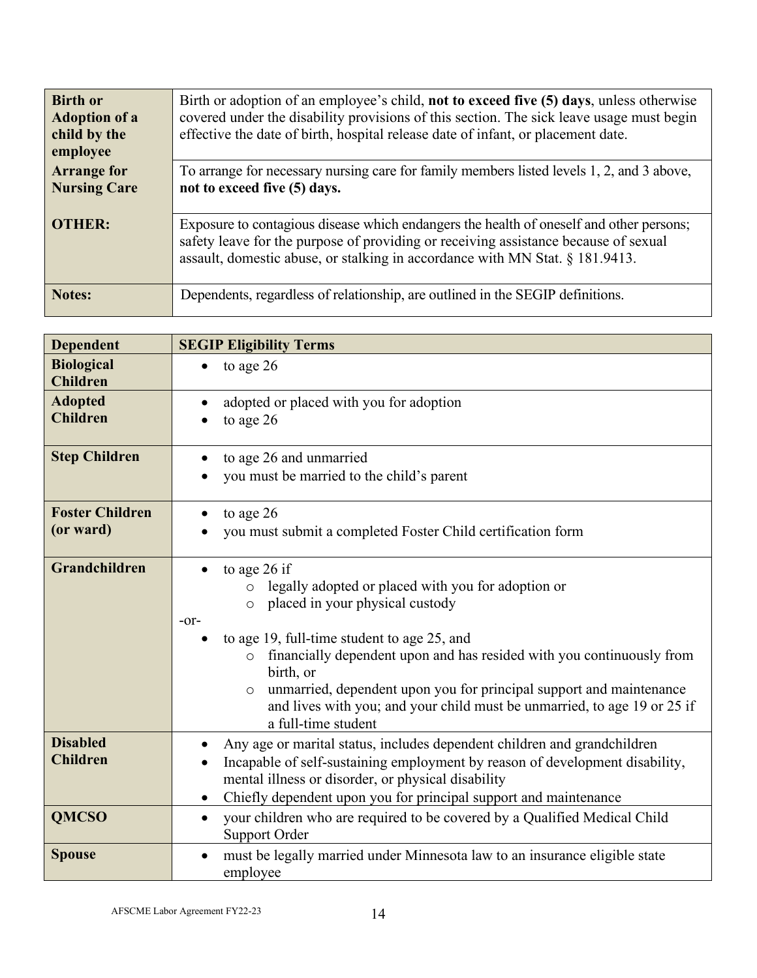| <b>Birth or</b><br><b>Adoption of a</b><br>child by the<br>employee | Birth or adoption of an employee's child, not to exceed five (5) days, unless otherwise<br>covered under the disability provisions of this section. The sick leave usage must begin<br>effective the date of birth, hospital release date of infant, or placement date. |
|---------------------------------------------------------------------|-------------------------------------------------------------------------------------------------------------------------------------------------------------------------------------------------------------------------------------------------------------------------|
| <b>Arrange for</b><br><b>Nursing Care</b>                           | To arrange for necessary nursing care for family members listed levels 1, 2, and 3 above,<br>not to exceed five (5) days.                                                                                                                                               |
| <b>OTHER:</b>                                                       | Exposure to contagious disease which endangers the health of oneself and other persons;<br>safety leave for the purpose of providing or receiving assistance because of sexual<br>assault, domestic abuse, or stalking in accordance with MN Stat. § 181.9413.          |
| Notes:                                                              | Dependents, regardless of relationship, are outlined in the SEGIP definitions.                                                                                                                                                                                          |

| <b>Dependent</b>                     | <b>SEGIP Eligibility Terms</b>                                                                                                                                                                                                                                                                                                                                                                                                                       |  |  |  |  |  |
|--------------------------------------|------------------------------------------------------------------------------------------------------------------------------------------------------------------------------------------------------------------------------------------------------------------------------------------------------------------------------------------------------------------------------------------------------------------------------------------------------|--|--|--|--|--|
| <b>Biological</b><br><b>Children</b> | to age 26                                                                                                                                                                                                                                                                                                                                                                                                                                            |  |  |  |  |  |
| <b>Adopted</b><br><b>Children</b>    | adopted or placed with you for adoption<br>to age 26                                                                                                                                                                                                                                                                                                                                                                                                 |  |  |  |  |  |
| <b>Step Children</b>                 | to age 26 and unmarried<br>you must be married to the child's parent                                                                                                                                                                                                                                                                                                                                                                                 |  |  |  |  |  |
| <b>Foster Children</b><br>(or ward)  | to age 26<br>you must submit a completed Foster Child certification form                                                                                                                                                                                                                                                                                                                                                                             |  |  |  |  |  |
| Grandchildren                        | to age 26 if<br>legally adopted or placed with you for adoption or<br>$\circ$<br>placed in your physical custody<br>$\circ$<br>$-0r-$<br>to age 19, full-time student to age 25, and<br>financially dependent upon and has resided with you continuously from<br>birth, or<br>unmarried, dependent upon you for principal support and maintenance<br>and lives with you; and your child must be unmarried, to age 19 or 25 if<br>a full-time student |  |  |  |  |  |
| <b>Disabled</b><br><b>Children</b>   | Any age or marital status, includes dependent children and grandchildren<br>Incapable of self-sustaining employment by reason of development disability,<br>$\bullet$<br>mental illness or disorder, or physical disability<br>Chiefly dependent upon you for principal support and maintenance<br>$\bullet$                                                                                                                                         |  |  |  |  |  |
| <b>QMCSO</b>                         | your children who are required to be covered by a Qualified Medical Child<br>$\bullet$                                                                                                                                                                                                                                                                                                                                                               |  |  |  |  |  |
|                                      | Support Order                                                                                                                                                                                                                                                                                                                                                                                                                                        |  |  |  |  |  |
| <b>Spouse</b>                        | must be legally married under Minnesota law to an insurance eligible state<br>employee                                                                                                                                                                                                                                                                                                                                                               |  |  |  |  |  |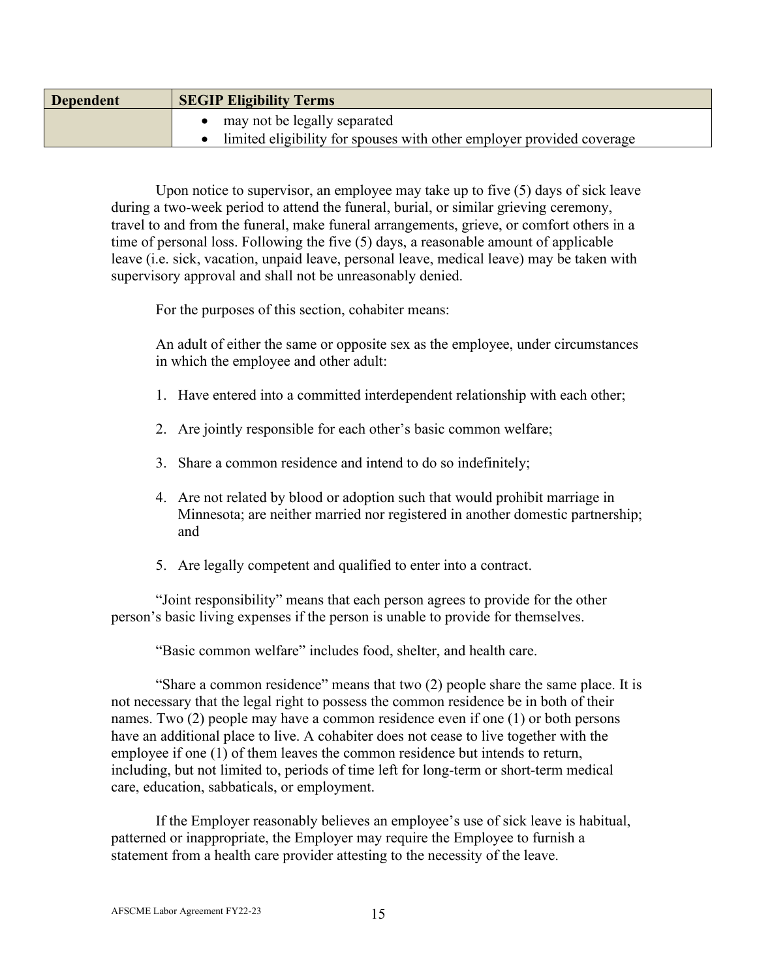| <b>Dependent</b> | <b>SEGIP Eligibility Terms</b>                                        |  |  |
|------------------|-----------------------------------------------------------------------|--|--|
|                  | may not be legally separated                                          |  |  |
|                  | limited eligibility for spouses with other employer provided coverage |  |  |

Upon notice to supervisor, an employee may take up to five (5) days of sick leave during a two-week period to attend the funeral, burial, or similar grieving ceremony, travel to and from the funeral, make funeral arrangements, grieve, or comfort others in a time of personal loss. Following the five (5) days, a reasonable amount of applicable leave (i.e. sick, vacation, unpaid leave, personal leave, medical leave) may be taken with supervisory approval and shall not be unreasonably denied.

For the purposes of this section, cohabiter means:

An adult of either the same or opposite sex as the employee, under circumstances in which the employee and other adult:

- 1. Have entered into a committed interdependent relationship with each other;
- 2. Are jointly responsible for each other's basic common welfare;
- 3. Share a common residence and intend to do so indefinitely;
- 4. Are not related by blood or adoption such that would prohibit marriage in Minnesota; are neither married nor registered in another domestic partnership; and
- 5. Are legally competent and qualified to enter into a contract.

"Joint responsibility" means that each person agrees to provide for the other person's basic living expenses if the person is unable to provide for themselves.

"Basic common welfare" includes food, shelter, and health care.

"Share a common residence" means that two (2) people share the same place. It is not necessary that the legal right to possess the common residence be in both of their names. Two (2) people may have a common residence even if one (1) or both persons have an additional place to live. A cohabiter does not cease to live together with the employee if one (1) of them leaves the common residence but intends to return, including, but not limited to, periods of time left for long-term or short-term medical care, education, sabbaticals, or employment.

If the Employer reasonably believes an employee's use of sick leave is habitual, patterned or inappropriate, the Employer may require the Employee to furnish a statement from a health care provider attesting to the necessity of the leave.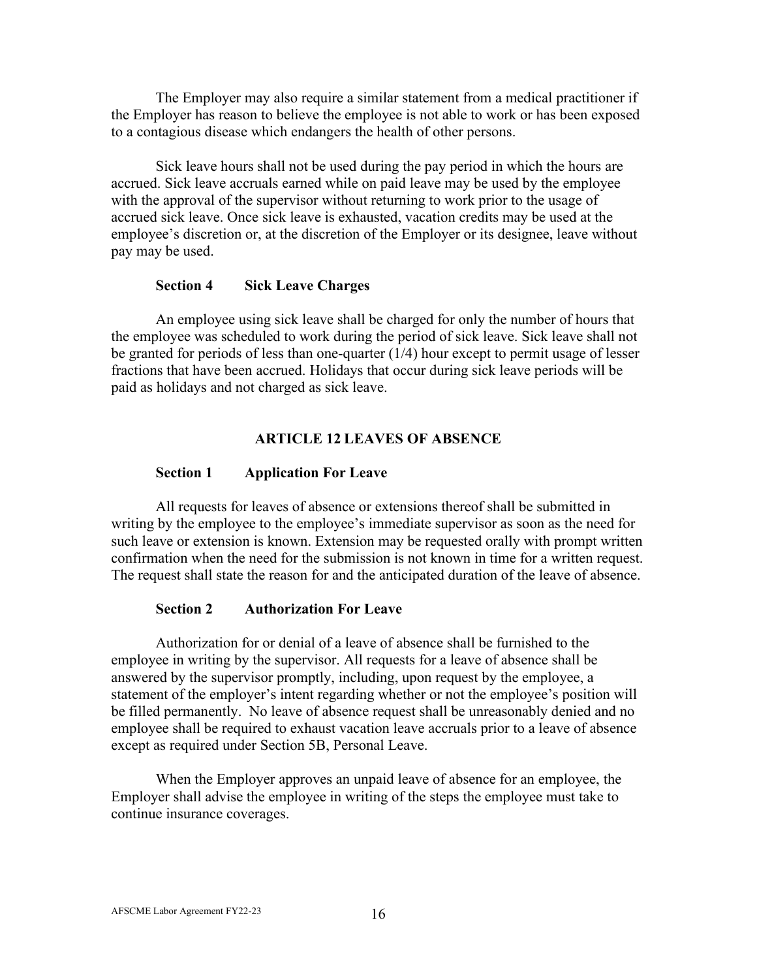The Employer may also require a similar statement from a medical practitioner if the Employer has reason to believe the employee is not able to work or has been exposed to a contagious disease which endangers the health of other persons.

Sick leave hours shall not be used during the pay period in which the hours are accrued. Sick leave accruals earned while on paid leave may be used by the employee with the approval of the supervisor without returning to work prior to the usage of accrued sick leave. Once sick leave is exhausted, vacation credits may be used at the employee's discretion or, at the discretion of the Employer or its designee, leave without pay may be used.

### **Section 4 Sick Leave Charges**

<span id="page-20-0"></span>An employee using sick leave shall be charged for only the number of hours that the employee was scheduled to work during the period of sick leave. Sick leave shall not be granted for periods of less than one-quarter (1/4) hour except to permit usage of lesser fractions that have been accrued. Holidays that occur during sick leave periods will be paid as holidays and not charged as sick leave.

# **ARTICLE 12 LEAVES OF ABSENCE**

### <span id="page-20-1"></span>**Section 1 Application For Leave**

<span id="page-20-2"></span>All requests for leaves of absence or extensions thereof shall be submitted in writing by the employee to the employee's immediate supervisor as soon as the need for such leave or extension is known. Extension may be requested orally with prompt written confirmation when the need for the submission is not known in time for a written request. The request shall state the reason for and the anticipated duration of the leave of absence.

### **Section 2 Authorization For Leave**

<span id="page-20-3"></span>Authorization for or denial of a leave of absence shall be furnished to the employee in writing by the supervisor. All requests for a leave of absence shall be answered by the supervisor promptly, including, upon request by the employee, a statement of the employer's intent regarding whether or not the employee's position will be filled permanently. No leave of absence request shall be unreasonably denied and no employee shall be required to exhaust vacation leave accruals prior to a leave of absence except as required under Section 5B, Personal Leave.

When the Employer approves an unpaid leave of absence for an employee, the Employer shall advise the employee in writing of the steps the employee must take to continue insurance coverages.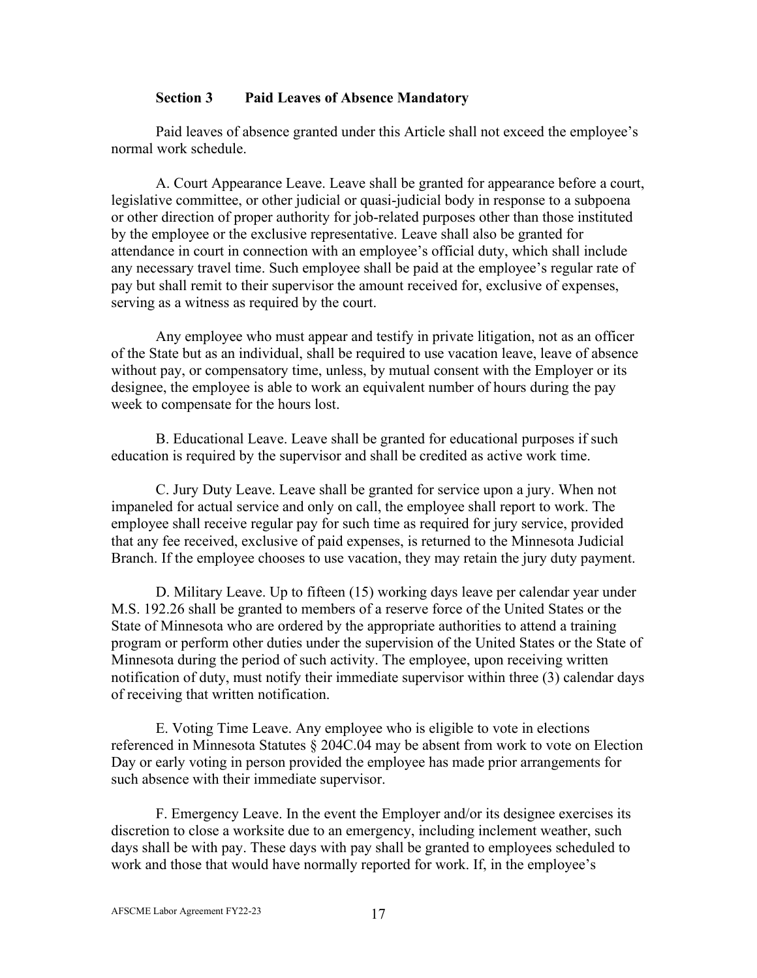### **Section 3 Paid Leaves of Absence Mandatory**

<span id="page-21-0"></span>Paid leaves of absence granted under this Article shall not exceed the employee's normal work schedule.

A. Court Appearance Leave. Leave shall be granted for appearance before a court, legislative committee, or other judicial or quasi-judicial body in response to a subpoena or other direction of proper authority for job-related purposes other than those instituted by the employee or the exclusive representative. Leave shall also be granted for attendance in court in connection with an employee's official duty, which shall include any necessary travel time. Such employee shall be paid at the employee's regular rate of pay but shall remit to their supervisor the amount received for, exclusive of expenses, serving as a witness as required by the court.

Any employee who must appear and testify in private litigation, not as an officer of the State but as an individual, shall be required to use vacation leave, leave of absence without pay, or compensatory time, unless, by mutual consent with the Employer or its designee, the employee is able to work an equivalent number of hours during the pay week to compensate for the hours lost.

B. Educational Leave. Leave shall be granted for educational purposes if such education is required by the supervisor and shall be credited as active work time.

C. Jury Duty Leave. Leave shall be granted for service upon a jury. When not impaneled for actual service and only on call, the employee shall report to work. The employee shall receive regular pay for such time as required for jury service, provided that any fee received, exclusive of paid expenses, is returned to the Minnesota Judicial Branch. If the employee chooses to use vacation, they may retain the jury duty payment.

D. Military Leave. Up to fifteen (15) working days leave per calendar year under M.S. 192.26 shall be granted to members of a reserve force of the United States or the State of Minnesota who are ordered by the appropriate authorities to attend a training program or perform other duties under the supervision of the United States or the State of Minnesota during the period of such activity. The employee, upon receiving written notification of duty, must notify their immediate supervisor within three (3) calendar days of receiving that written notification.

E. Voting Time Leave. Any employee who is eligible to vote in elections referenced in Minnesota Statutes § 204C.04 may be absent from work to vote on Election Day or early voting in person provided the employee has made prior arrangements for such absence with their immediate supervisor.

F. Emergency Leave. In the event the Employer and/or its designee exercises its discretion to close a worksite due to an emergency, including inclement weather, such days shall be with pay. These days with pay shall be granted to employees scheduled to work and those that would have normally reported for work. If, in the employee's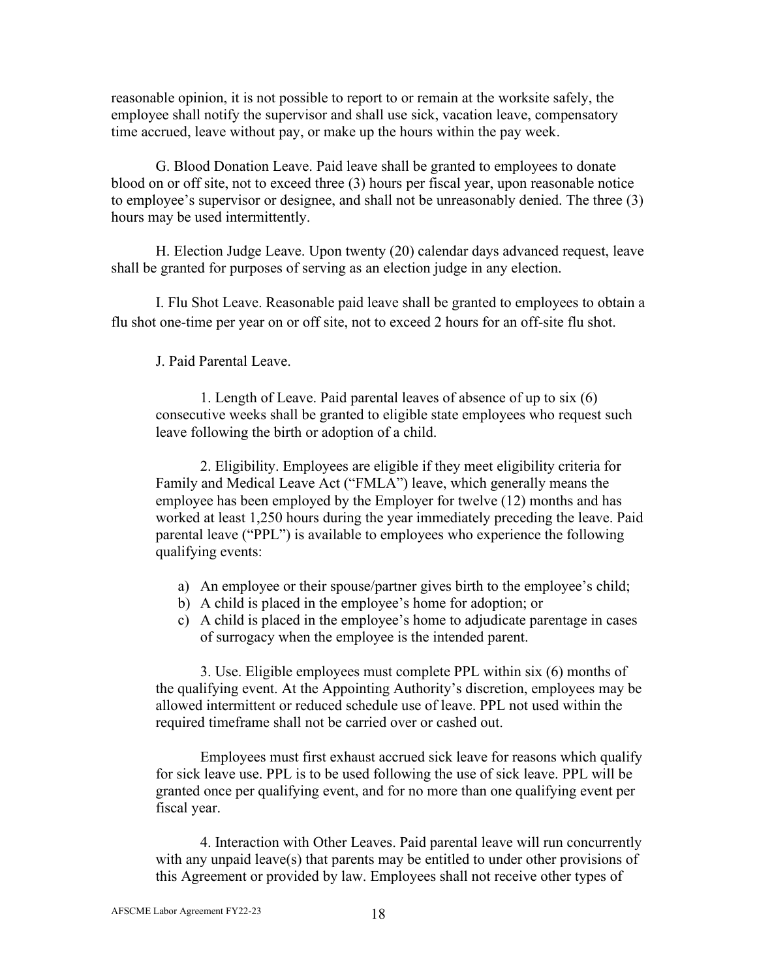reasonable opinion, it is not possible to report to or remain at the worksite safely, the employee shall notify the supervisor and shall use sick, vacation leave, compensatory time accrued, leave without pay, or make up the hours within the pay week.

G. Blood Donation Leave. Paid leave shall be granted to employees to donate blood on or off site, not to exceed three (3) hours per fiscal year, upon reasonable notice to employee's supervisor or designee, and shall not be unreasonably denied. The three (3) hours may be used intermittently.

H. Election Judge Leave. Upon twenty (20) calendar days advanced request, leave shall be granted for purposes of serving as an election judge in any election.

I. Flu Shot Leave. Reasonable paid leave shall be granted to employees to obtain a flu shot one-time per year on or off site, not to exceed 2 hours for an off-site flu shot.

J. Paid Parental Leave.

1. Length of Leave. Paid parental leaves of absence of up to six (6) consecutive weeks shall be granted to eligible state employees who request such leave following the birth or adoption of a child.

2. Eligibility. Employees are eligible if they meet eligibility criteria for Family and Medical Leave Act ("FMLA") leave, which generally means the employee has been employed by the Employer for twelve (12) months and has worked at least 1,250 hours during the year immediately preceding the leave. Paid parental leave ("PPL") is available to employees who experience the following qualifying events:

- a) An employee or their spouse/partner gives birth to the employee's child;
- b) A child is placed in the employee's home for adoption; or
- c) A child is placed in the employee's home to adjudicate parentage in cases of surrogacy when the employee is the intended parent.

3. Use. Eligible employees must complete PPL within six (6) months of the qualifying event. At the Appointing Authority's discretion, employees may be allowed intermittent or reduced schedule use of leave. PPL not used within the required timeframe shall not be carried over or cashed out.

Employees must first exhaust accrued sick leave for reasons which qualify for sick leave use. PPL is to be used following the use of sick leave. PPL will be granted once per qualifying event, and for no more than one qualifying event per fiscal year.

4. Interaction with Other Leaves. Paid parental leave will run concurrently with any unpaid leave(s) that parents may be entitled to under other provisions of this Agreement or provided by law. Employees shall not receive other types of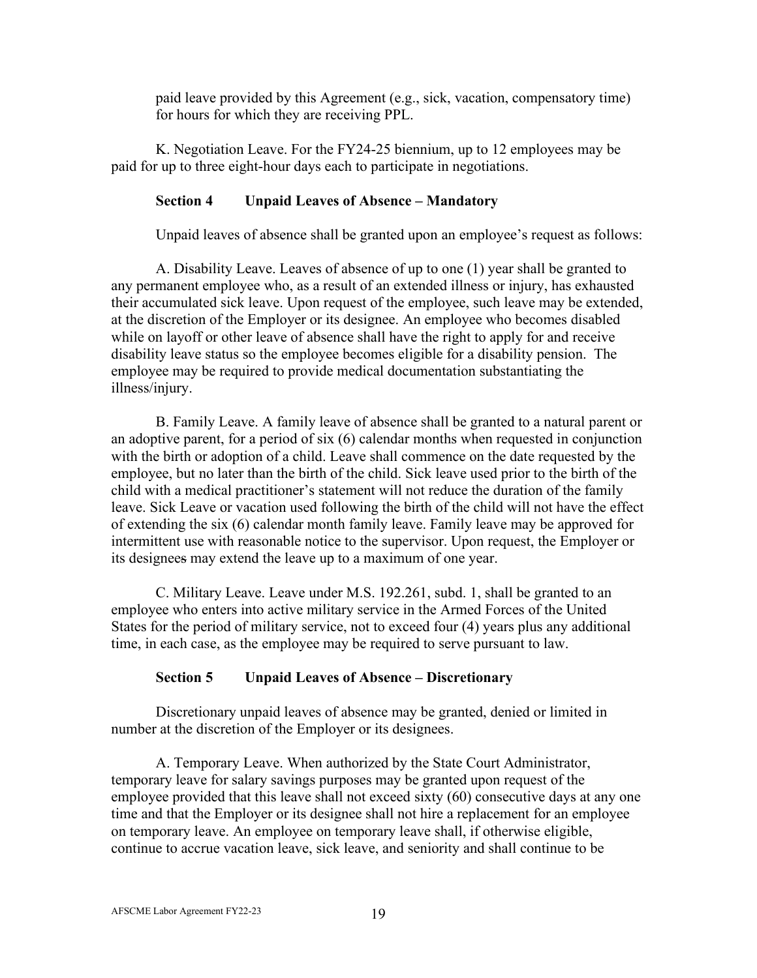paid leave provided by this Agreement (e.g., sick, vacation, compensatory time) for hours for which they are receiving PPL.

K. Negotiation Leave. For the FY24-25 biennium, up to 12 employees may be paid for up to three eight-hour days each to participate in negotiations.

# <span id="page-23-0"></span>**Section 4 Unpaid Leaves of Absence – Mandatory**

Unpaid leaves of absence shall be granted upon an employee's request as follows:

A. Disability Leave. Leaves of absence of up to one (1) year shall be granted to any permanent employee who, as a result of an extended illness or injury, has exhausted their accumulated sick leave. Upon request of the employee, such leave may be extended, at the discretion of the Employer or its designee. An employee who becomes disabled while on layoff or other leave of absence shall have the right to apply for and receive disability leave status so the employee becomes eligible for a disability pension. The employee may be required to provide medical documentation substantiating the illness/injury.

B. Family Leave. A family leave of absence shall be granted to a natural parent or an adoptive parent, for a period of six (6) calendar months when requested in conjunction with the birth or adoption of a child. Leave shall commence on the date requested by the employee, but no later than the birth of the child. Sick leave used prior to the birth of the child with a medical practitioner's statement will not reduce the duration of the family leave. Sick Leave or vacation used following the birth of the child will not have the effect of extending the six (6) calendar month family leave. Family leave may be approved for intermittent use with reasonable notice to the supervisor. Upon request, the Employer or its designees may extend the leave up to a maximum of one year.

C. Military Leave. Leave under M.S. 192.261, subd. 1, shall be granted to an employee who enters into active military service in the Armed Forces of the United States for the period of military service, not to exceed four (4) years plus any additional time, in each case, as the employee may be required to serve pursuant to law.

### **Section 5 Unpaid Leaves of Absence – Discretionary**

<span id="page-23-1"></span>Discretionary unpaid leaves of absence may be granted, denied or limited in number at the discretion of the Employer or its designees.

A. Temporary Leave. When authorized by the State Court Administrator, temporary leave for salary savings purposes may be granted upon request of the employee provided that this leave shall not exceed sixty (60) consecutive days at any one time and that the Employer or its designee shall not hire a replacement for an employee on temporary leave. An employee on temporary leave shall, if otherwise eligible, continue to accrue vacation leave, sick leave, and seniority and shall continue to be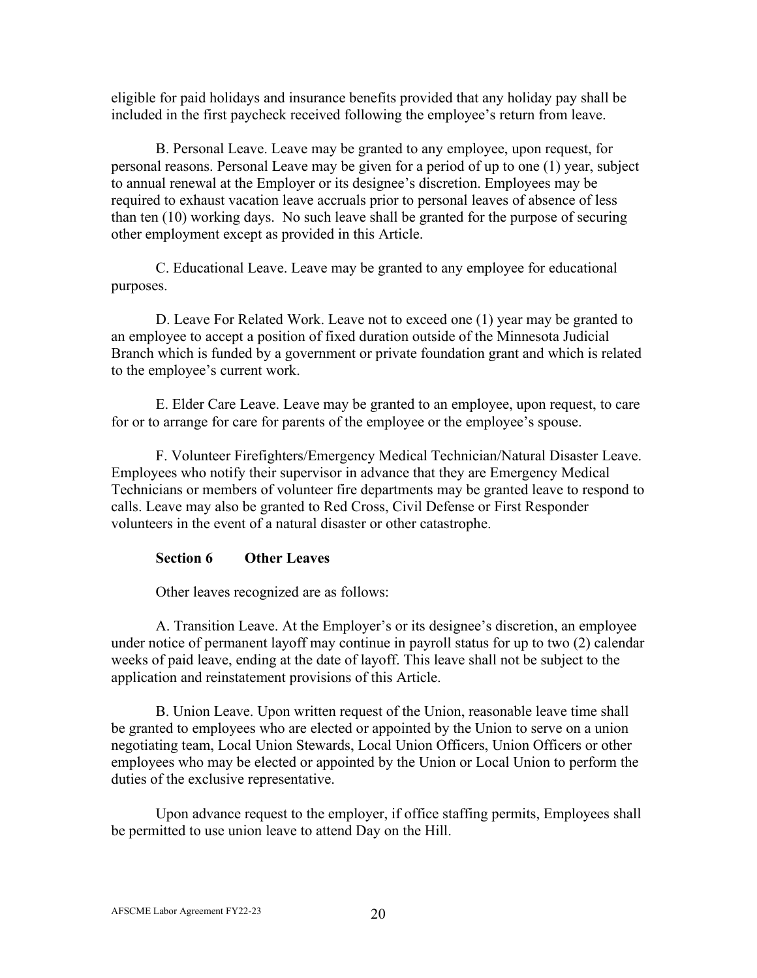eligible for paid holidays and insurance benefits provided that any holiday pay shall be included in the first paycheck received following the employee's return from leave.

B. Personal Leave. Leave may be granted to any employee, upon request, for personal reasons. Personal Leave may be given for a period of up to one (1) year, subject to annual renewal at the Employer or its designee's discretion. Employees may be required to exhaust vacation leave accruals prior to personal leaves of absence of less than ten (10) working days. No such leave shall be granted for the purpose of securing other employment except as provided in this Article.

C. Educational Leave. Leave may be granted to any employee for educational purposes.

D. Leave For Related Work. Leave not to exceed one (1) year may be granted to an employee to accept a position of fixed duration outside of the Minnesota Judicial Branch which is funded by a government or private foundation grant and which is related to the employee's current work.

E. Elder Care Leave. Leave may be granted to an employee, upon request, to care for or to arrange for care for parents of the employee or the employee's spouse.

F. Volunteer Firefighters/Emergency Medical Technician/Natural Disaster Leave. Employees who notify their supervisor in advance that they are Emergency Medical Technicians or members of volunteer fire departments may be granted leave to respond to calls. Leave may also be granted to Red Cross, Civil Defense or First Responder volunteers in the event of a natural disaster or other catastrophe.

# <span id="page-24-0"></span>**Section 6 Other Leaves**

Other leaves recognized are as follows:

A. Transition Leave. At the Employer's or its designee's discretion, an employee under notice of permanent layoff may continue in payroll status for up to two (2) calendar weeks of paid leave, ending at the date of layoff. This leave shall not be subject to the application and reinstatement provisions of this Article.

B. Union Leave. Upon written request of the Union, reasonable leave time shall be granted to employees who are elected or appointed by the Union to serve on a union negotiating team, Local Union Stewards, Local Union Officers, Union Officers or other employees who may be elected or appointed by the Union or Local Union to perform the duties of the exclusive representative.

Upon advance request to the employer, if office staffing permits, Employees shall be permitted to use union leave to attend Day on the Hill.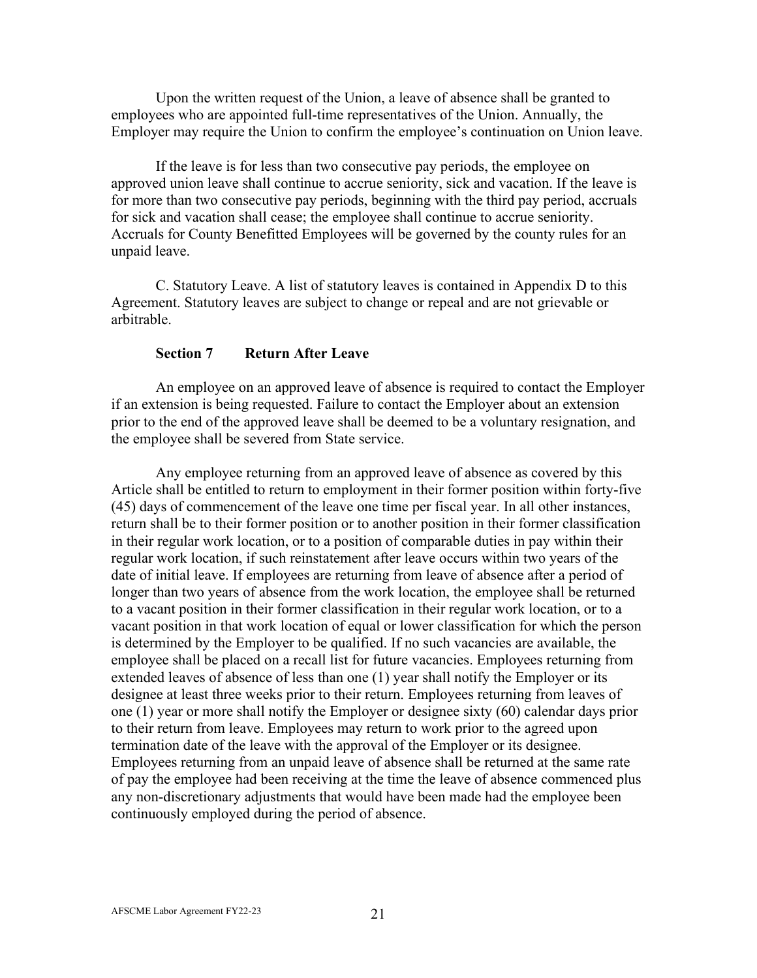Upon the written request of the Union, a leave of absence shall be granted to employees who are appointed full-time representatives of the Union. Annually, the Employer may require the Union to confirm the employee's continuation on Union leave.

If the leave is for less than two consecutive pay periods, the employee on approved union leave shall continue to accrue seniority, sick and vacation. If the leave is for more than two consecutive pay periods, beginning with the third pay period, accruals for sick and vacation shall cease; the employee shall continue to accrue seniority. Accruals for County Benefitted Employees will be governed by the county rules for an unpaid leave.

C. Statutory Leave. A list of statutory leaves is contained in Appendix D to this Agreement. Statutory leaves are subject to change or repeal and are not grievable or arbitrable.

### **Section 7 Return After Leave**

<span id="page-25-0"></span>An employee on an approved leave of absence is required to contact the Employer if an extension is being requested. Failure to contact the Employer about an extension prior to the end of the approved leave shall be deemed to be a voluntary resignation, and the employee shall be severed from State service.

Any employee returning from an approved leave of absence as covered by this Article shall be entitled to return to employment in their former position within forty-five (45) days of commencement of the leave one time per fiscal year. In all other instances, return shall be to their former position or to another position in their former classification in their regular work location, or to a position of comparable duties in pay within their regular work location, if such reinstatement after leave occurs within two years of the date of initial leave. If employees are returning from leave of absence after a period of longer than two years of absence from the work location, the employee shall be returned to a vacant position in their former classification in their regular work location, or to a vacant position in that work location of equal or lower classification for which the person is determined by the Employer to be qualified. If no such vacancies are available, the employee shall be placed on a recall list for future vacancies. Employees returning from extended leaves of absence of less than one (1) year shall notify the Employer or its designee at least three weeks prior to their return. Employees returning from leaves of one (1) year or more shall notify the Employer or designee sixty (60) calendar days prior to their return from leave. Employees may return to work prior to the agreed upon termination date of the leave with the approval of the Employer or its designee. Employees returning from an unpaid leave of absence shall be returned at the same rate of pay the employee had been receiving at the time the leave of absence commenced plus any non-discretionary adjustments that would have been made had the employee been continuously employed during the period of absence.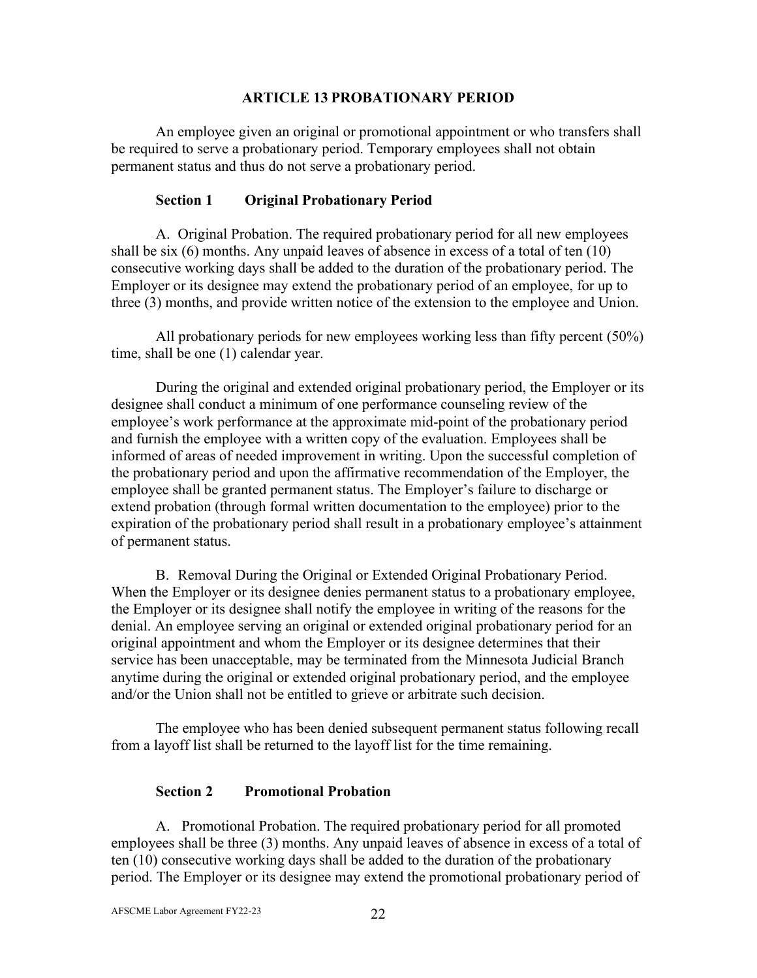#### **ARTICLE 13 PROBATIONARY PERIOD**

<span id="page-26-0"></span>An employee given an original or promotional appointment or who transfers shall be required to serve a probationary period. Temporary employees shall not obtain permanent status and thus do not serve a probationary period.

### **Section 1 Original Probationary Period**

<span id="page-26-1"></span>A. Original Probation. The required probationary period for all new employees shall be six (6) months. Any unpaid leaves of absence in excess of a total of ten (10) consecutive working days shall be added to the duration of the probationary period. The Employer or its designee may extend the probationary period of an employee, for up to three (3) months, and provide written notice of the extension to the employee and Union.

All probationary periods for new employees working less than fifty percent (50%) time, shall be one (1) calendar year.

During the original and extended original probationary period, the Employer or its designee shall conduct a minimum of one performance counseling review of the employee's work performance at the approximate mid-point of the probationary period and furnish the employee with a written copy of the evaluation. Employees shall be informed of areas of needed improvement in writing. Upon the successful completion of the probationary period and upon the affirmative recommendation of the Employer, the employee shall be granted permanent status. The Employer's failure to discharge or extend probation (through formal written documentation to the employee) prior to the expiration of the probationary period shall result in a probationary employee's attainment of permanent status.

B. Removal During the Original or Extended Original Probationary Period. When the Employer or its designee denies permanent status to a probationary employee, the Employer or its designee shall notify the employee in writing of the reasons for the denial. An employee serving an original or extended original probationary period for an original appointment and whom the Employer or its designee determines that their service has been unacceptable, may be terminated from the Minnesota Judicial Branch anytime during the original or extended original probationary period, and the employee and/or the Union shall not be entitled to grieve or arbitrate such decision.

The employee who has been denied subsequent permanent status following recall from a layoff list shall be returned to the layoff list for the time remaining.

### **Section 2 Promotional Probation**

<span id="page-26-2"></span>A. Promotional Probation. The required probationary period for all promoted employees shall be three (3) months. Any unpaid leaves of absence in excess of a total of ten (10) consecutive working days shall be added to the duration of the probationary period. The Employer or its designee may extend the promotional probationary period of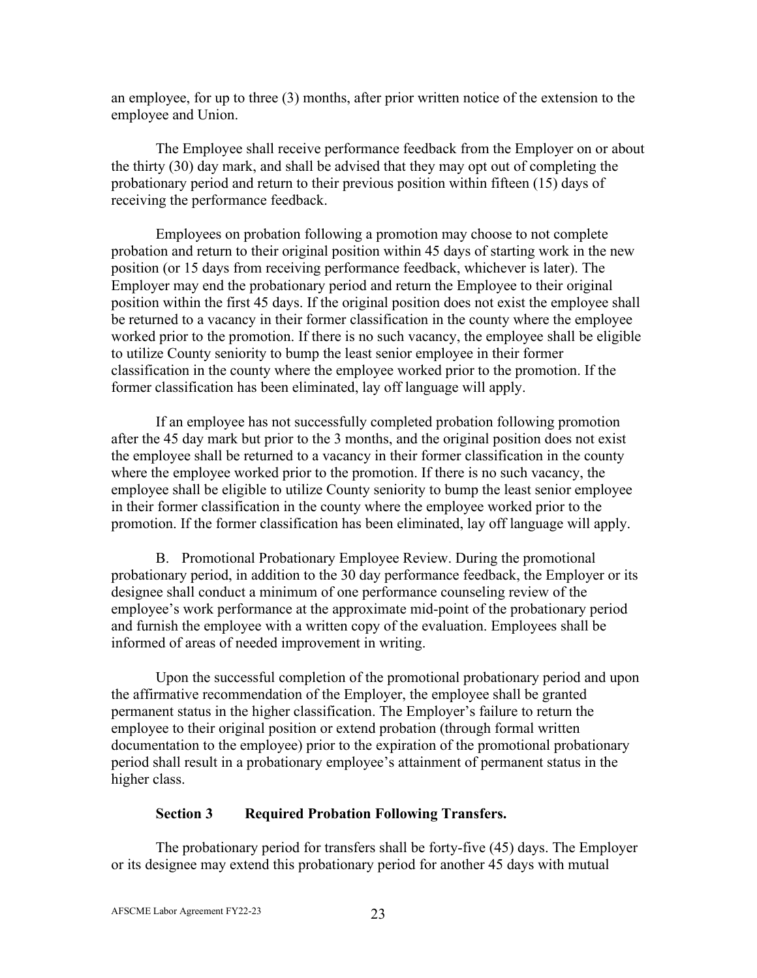an employee, for up to three (3) months, after prior written notice of the extension to the employee and Union.

The Employee shall receive performance feedback from the Employer on or about the thirty (30) day mark, and shall be advised that they may opt out of completing the probationary period and return to their previous position within fifteen (15) days of receiving the performance feedback.

Employees on probation following a promotion may choose to not complete probation and return to their original position within 45 days of starting work in the new position (or 15 days from receiving performance feedback, whichever is later). The Employer may end the probationary period and return the Employee to their original position within the first 45 days. If the original position does not exist the employee shall be returned to a vacancy in their former classification in the county where the employee worked prior to the promotion. If there is no such vacancy, the employee shall be eligible to utilize County seniority to bump the least senior employee in their former classification in the county where the employee worked prior to the promotion. If the former classification has been eliminated, lay off language will apply.

If an employee has not successfully completed probation following promotion after the 45 day mark but prior to the 3 months, and the original position does not exist the employee shall be returned to a vacancy in their former classification in the county where the employee worked prior to the promotion. If there is no such vacancy, the employee shall be eligible to utilize County seniority to bump the least senior employee in their former classification in the county where the employee worked prior to the promotion. If the former classification has been eliminated, lay off language will apply.

B. Promotional Probationary Employee Review. During the promotional probationary period, in addition to the 30 day performance feedback, the Employer or its designee shall conduct a minimum of one performance counseling review of the employee's work performance at the approximate mid-point of the probationary period and furnish the employee with a written copy of the evaluation. Employees shall be informed of areas of needed improvement in writing.

Upon the successful completion of the promotional probationary period and upon the affirmative recommendation of the Employer, the employee shall be granted permanent status in the higher classification. The Employer's failure to return the employee to their original position or extend probation (through formal written documentation to the employee) prior to the expiration of the promotional probationary period shall result in a probationary employee's attainment of permanent status in the higher class.

#### **Section 3 Required Probation Following Transfers.**

<span id="page-27-0"></span>The probationary period for transfers shall be forty-five (45) days. The Employer or its designee may extend this probationary period for another 45 days with mutual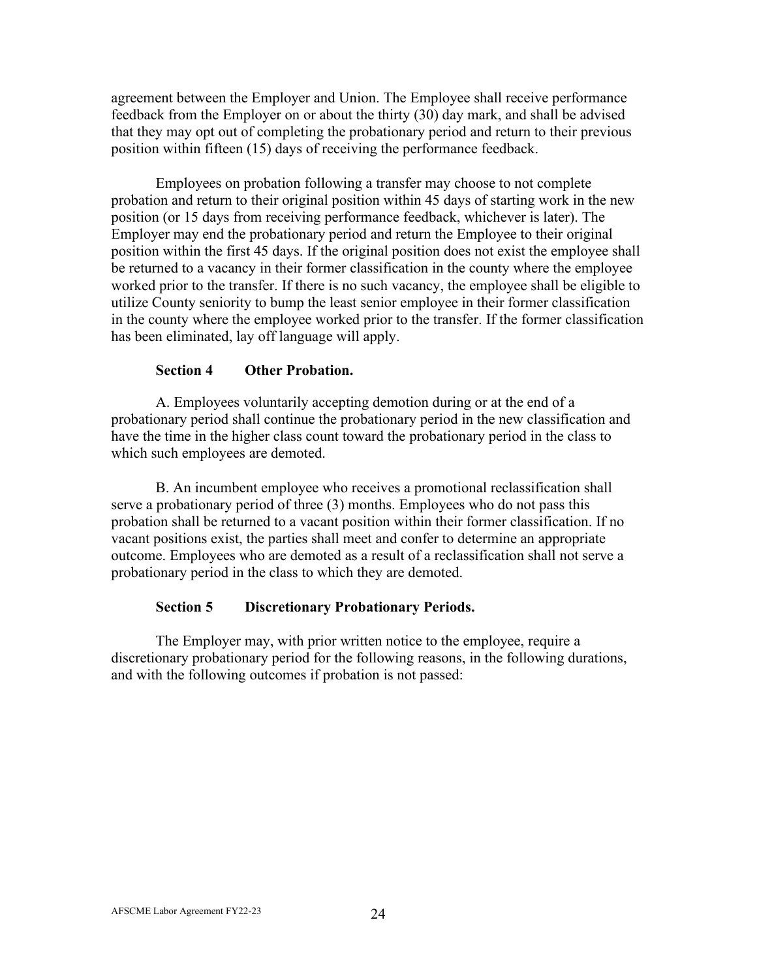agreement between the Employer and Union. The Employee shall receive performance feedback from the Employer on or about the thirty (30) day mark, and shall be advised that they may opt out of completing the probationary period and return to their previous position within fifteen (15) days of receiving the performance feedback.

Employees on probation following a transfer may choose to not complete probation and return to their original position within 45 days of starting work in the new position (or 15 days from receiving performance feedback, whichever is later). The Employer may end the probationary period and return the Employee to their original position within the first 45 days. If the original position does not exist the employee shall be returned to a vacancy in their former classification in the county where the employee worked prior to the transfer. If there is no such vacancy, the employee shall be eligible to utilize County seniority to bump the least senior employee in their former classification in the county where the employee worked prior to the transfer. If the former classification has been eliminated, lay off language will apply.

#### **Section 4 Other Probation.**

<span id="page-28-0"></span>A. Employees voluntarily accepting demotion during or at the end of a probationary period shall continue the probationary period in the new classification and have the time in the higher class count toward the probationary period in the class to which such employees are demoted.

B. An incumbent employee who receives a promotional reclassification shall serve a probationary period of three (3) months. Employees who do not pass this probation shall be returned to a vacant position within their former classification. If no vacant positions exist, the parties shall meet and confer to determine an appropriate outcome. Employees who are demoted as a result of a reclassification shall not serve a probationary period in the class to which they are demoted.

### **Section 5 Discretionary Probationary Periods.**

<span id="page-28-1"></span>The Employer may, with prior written notice to the employee, require a discretionary probationary period for the following reasons, in the following durations, and with the following outcomes if probation is not passed: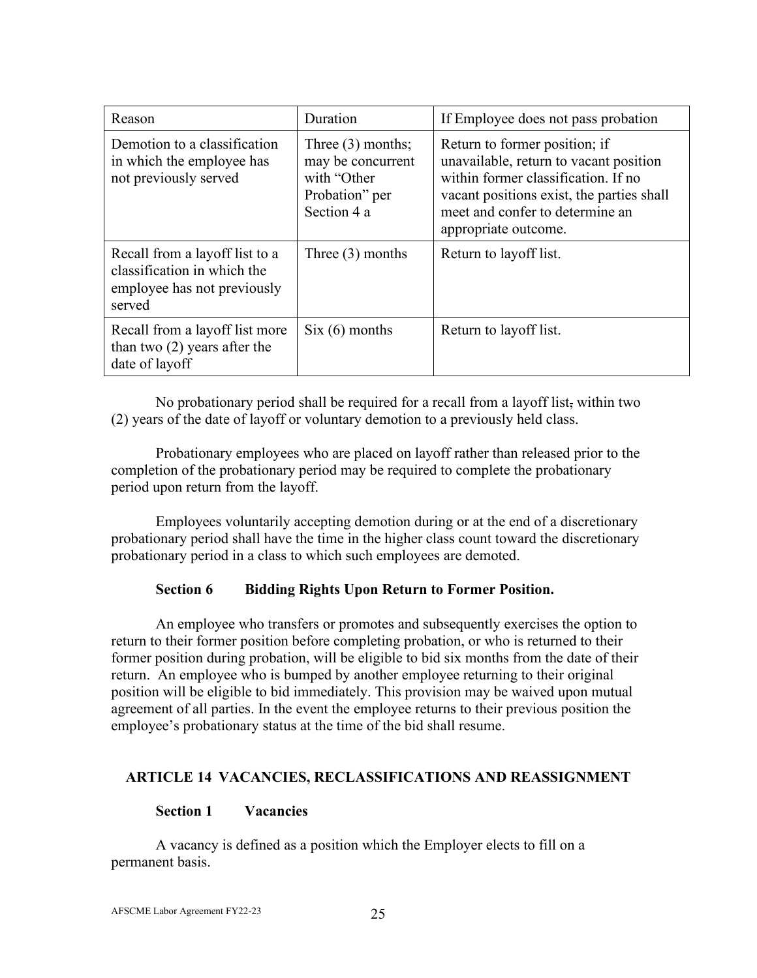| Reason                                                                                                 | Duration                                                                                 | If Employee does not pass probation                                                                                                                                                                                    |  |
|--------------------------------------------------------------------------------------------------------|------------------------------------------------------------------------------------------|------------------------------------------------------------------------------------------------------------------------------------------------------------------------------------------------------------------------|--|
| Demotion to a classification<br>in which the employee has<br>not previously served                     | Three $(3)$ months;<br>may be concurrent<br>with "Other<br>Probation" per<br>Section 4 a | Return to former position; if<br>unavailable, return to vacant position<br>within former classification. If no<br>vacant positions exist, the parties shall<br>meet and confer to determine an<br>appropriate outcome. |  |
| Recall from a layoff list to a<br>classification in which the<br>employee has not previously<br>served | Three $(3)$ months                                                                       | Return to lay off list.                                                                                                                                                                                                |  |
| Recall from a layoff list more<br>than two $(2)$ years after the<br>date of layoff                     | $Six (6)$ months                                                                         | Return to lay off list.                                                                                                                                                                                                |  |

No probationary period shall be required for a recall from a layoff list, within two (2) years of the date of layoff or voluntary demotion to a previously held class.

Probationary employees who are placed on layoff rather than released prior to the completion of the probationary period may be required to complete the probationary period upon return from the layoff.

Employees voluntarily accepting demotion during or at the end of a discretionary probationary period shall have the time in the higher class count toward the discretionary probationary period in a class to which such employees are demoted.

# **Section 6 Bidding Rights Upon Return to Former Position.**

<span id="page-29-0"></span>An employee who transfers or promotes and subsequently exercises the option to return to their former position before completing probation, or who is returned to their former position during probation, will be eligible to bid six months from the date of their return. An employee who is bumped by another employee returning to their original position will be eligible to bid immediately. This provision may be waived upon mutual agreement of all parties. In the event the employee returns to their previous position the employee's probationary status at the time of the bid shall resume.

### <span id="page-29-1"></span>**ARTICLE 14 VACANCIES, RECLASSIFICATIONS AND REASSIGNMENT**

# **Section 1 Vacancies**

<span id="page-29-2"></span>A vacancy is defined as a position which the Employer elects to fill on a permanent basis.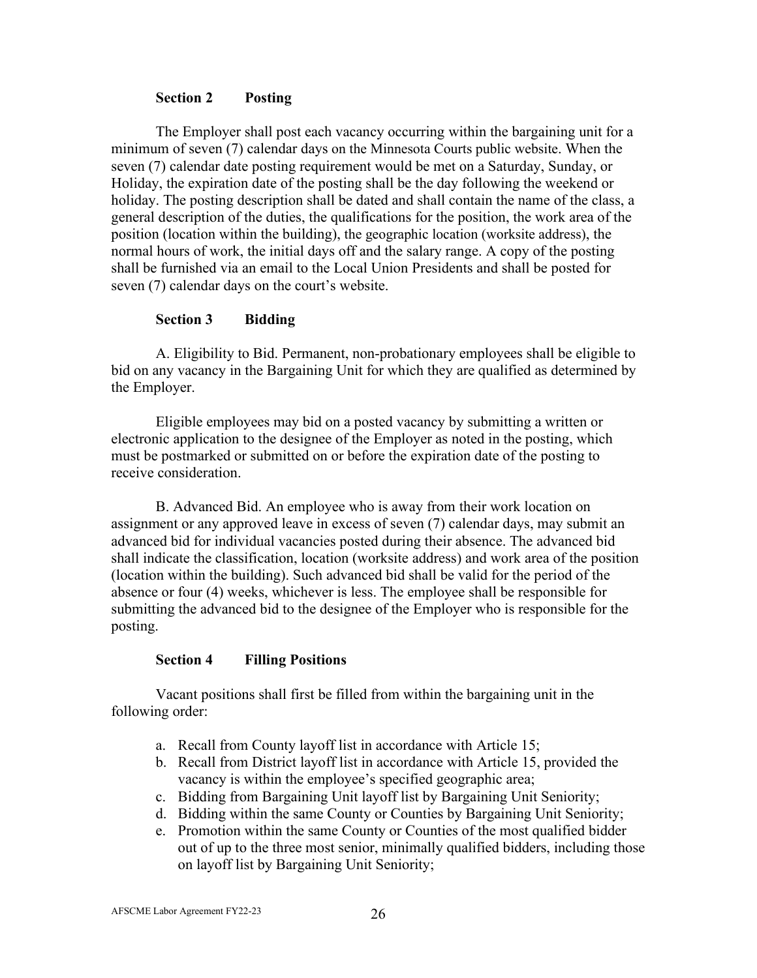#### **Section 2 Posting**

<span id="page-30-0"></span>The Employer shall post each vacancy occurring within the bargaining unit for a minimum of seven (7) calendar days on the Minnesota Courts public website. When the seven (7) calendar date posting requirement would be met on a Saturday, Sunday, or Holiday, the expiration date of the posting shall be the day following the weekend or holiday. The posting description shall be dated and shall contain the name of the class, a general description of the duties, the qualifications for the position, the work area of the position (location within the building), the geographic location (worksite address), the normal hours of work, the initial days off and the salary range. A copy of the posting shall be furnished via an email to the Local Union Presidents and shall be posted for seven (7) calendar days on the court's website.

### **Section 3 Bidding**

<span id="page-30-1"></span>A. Eligibility to Bid. Permanent, non-probationary employees shall be eligible to bid on any vacancy in the Bargaining Unit for which they are qualified as determined by the Employer.

Eligible employees may bid on a posted vacancy by submitting a written or electronic application to the designee of the Employer as noted in the posting, which must be postmarked or submitted on or before the expiration date of the posting to receive consideration.

B. Advanced Bid. An employee who is away from their work location on assignment or any approved leave in excess of seven (7) calendar days, may submit an advanced bid for individual vacancies posted during their absence. The advanced bid shall indicate the classification, location (worksite address) and work area of the position (location within the building). Such advanced bid shall be valid for the period of the absence or four (4) weeks, whichever is less. The employee shall be responsible for submitting the advanced bid to the designee of the Employer who is responsible for the posting.

### **Section 4 Filling Positions**

<span id="page-30-2"></span>Vacant positions shall first be filled from within the bargaining unit in the following order:

- a. Recall from County layoff list in accordance with Article 15;
- b. Recall from District layoff list in accordance with Article 15, provided the vacancy is within the employee's specified geographic area;
- c. Bidding from Bargaining Unit layoff list by Bargaining Unit Seniority;
- d. Bidding within the same County or Counties by Bargaining Unit Seniority;
- e. Promotion within the same County or Counties of the most qualified bidder out of up to the three most senior, minimally qualified bidders, including those on layoff list by Bargaining Unit Seniority;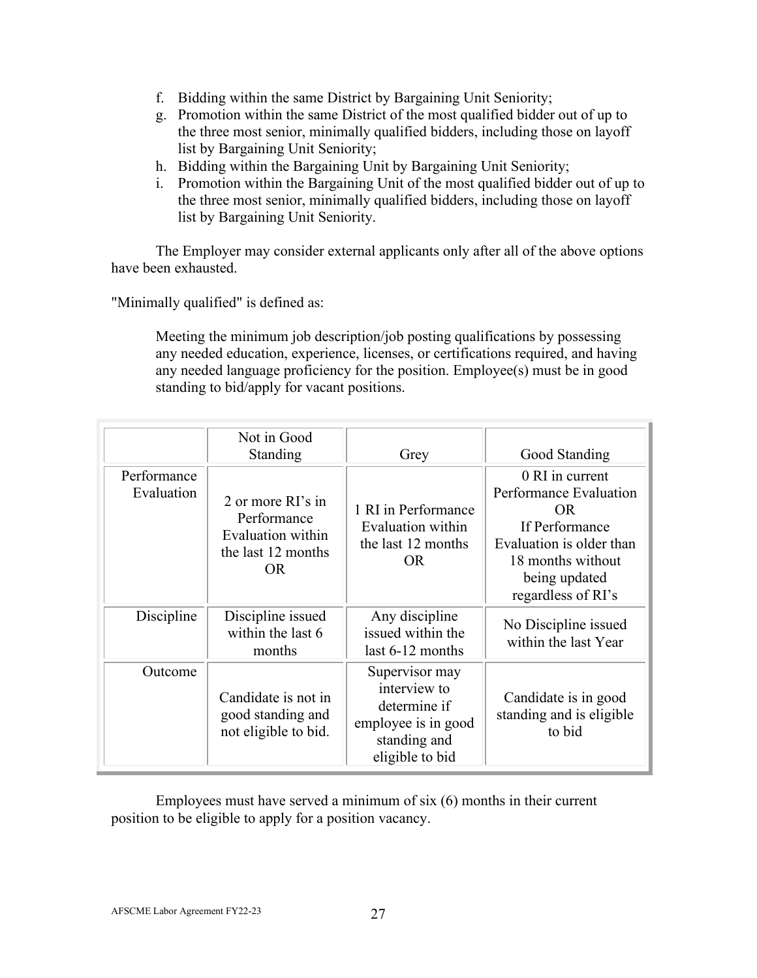- f. Bidding within the same District by Bargaining Unit Seniority;
- g. Promotion within the same District of the most qualified bidder out of up to the three most senior, minimally qualified bidders, including those on layoff list by Bargaining Unit Seniority;
- h. Bidding within the Bargaining Unit by Bargaining Unit Seniority;
- i. Promotion within the Bargaining Unit of the most qualified bidder out of up to the three most senior, minimally qualified bidders, including those on layoff list by Bargaining Unit Seniority.

The Employer may consider external applicants only after all of the above options have been exhausted.

"Minimally qualified" is defined as:

Meeting the minimum job description/job posting qualifications by possessing any needed education, experience, licenses, or certifications required, and having any needed language proficiency for the position. Employee(s) must be in good standing to bid/apply for vacant positions.

|                           | Not in Good<br>Standing                                                            | Grey                                                                                                     | Good Standing                                                                                                                                              |
|---------------------------|------------------------------------------------------------------------------------|----------------------------------------------------------------------------------------------------------|------------------------------------------------------------------------------------------------------------------------------------------------------------|
| Performance<br>Evaluation | 2 or more RI's in<br>Performance<br>Evaluation within<br>the last 12 months<br>OR. | 1 RI in Performance<br>Evaluation within<br>the last 12 months<br>OR.                                    | 0 RI in current<br>Performance Evaluation<br>OR.<br>If Performance<br>Evaluation is older than<br>18 months without<br>being updated<br>regardless of RI's |
| Discipline                | Discipline issued<br>within the last 6<br>months                                   | Any discipline<br>issued within the<br>last 6-12 months                                                  | No Discipline issued<br>within the last Year                                                                                                               |
| Outcome                   | Candidate is not in<br>good standing and<br>not eligible to bid.                   | Supervisor may<br>interview to<br>determine if<br>employee is in good<br>standing and<br>eligible to bid | Candidate is in good<br>standing and is eligible<br>to bid                                                                                                 |

Employees must have served a minimum of six (6) months in their current position to be eligible to apply for a position vacancy.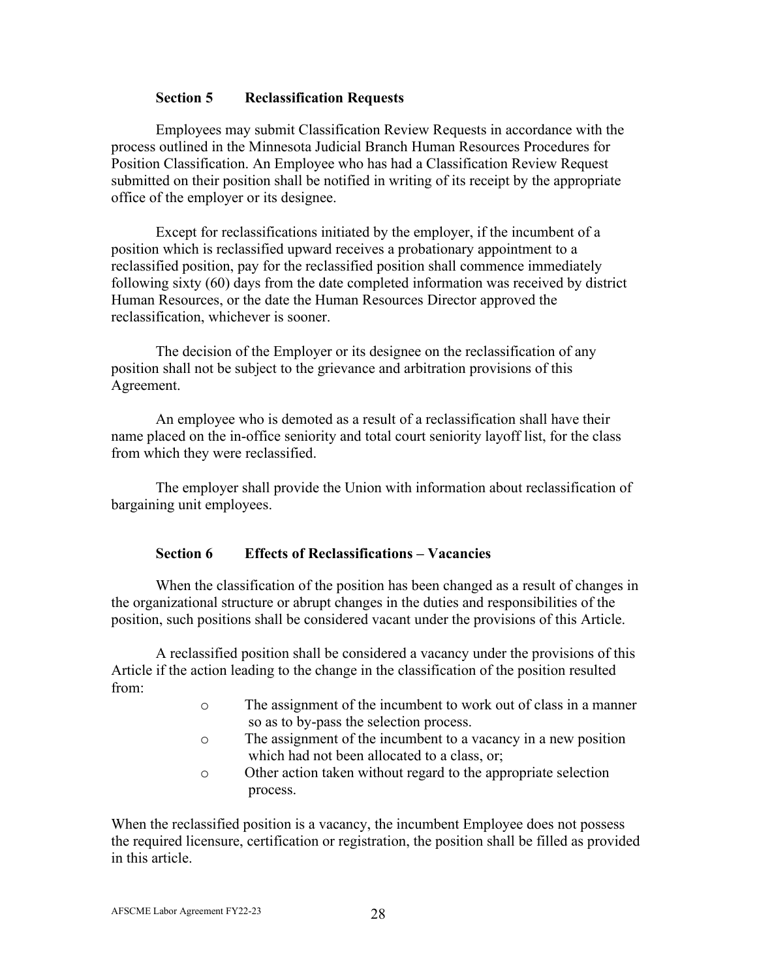### **Section 5 Reclassification Requests**

<span id="page-32-0"></span>Employees may submit Classification Review Requests in accordance with the process outlined in the Minnesota Judicial Branch Human Resources Procedures for Position Classification. An Employee who has had a Classification Review Request submitted on their position shall be notified in writing of its receipt by the appropriate office of the employer or its designee.

Except for reclassifications initiated by the employer, if the incumbent of a position which is reclassified upward receives a probationary appointment to a reclassified position, pay for the reclassified position shall commence immediately following sixty (60) days from the date completed information was received by district Human Resources, or the date the Human Resources Director approved the reclassification, whichever is sooner.

The decision of the Employer or its designee on the reclassification of any position shall not be subject to the grievance and arbitration provisions of this Agreement.

An employee who is demoted as a result of a reclassification shall have their name placed on the in-office seniority and total court seniority layoff list, for the class from which they were reclassified.

The employer shall provide the Union with information about reclassification of bargaining unit employees.

### **Section 6 Effects of Reclassifications – Vacancies**

<span id="page-32-1"></span>When the classification of the position has been changed as a result of changes in the organizational structure or abrupt changes in the duties and responsibilities of the position, such positions shall be considered vacant under the provisions of this Article.

A reclassified position shall be considered a vacancy under the provisions of this Article if the action leading to the change in the classification of the position resulted from:

- o The assignment of the incumbent to work out of class in a manner so as to by-pass the selection process.
- o The assignment of the incumbent to a vacancy in a new position which had not been allocated to a class, or:
- o Other action taken without regard to the appropriate selection process.

When the reclassified position is a vacancy, the incumbent Employee does not possess the required licensure, certification or registration, the position shall be filled as provided in this article.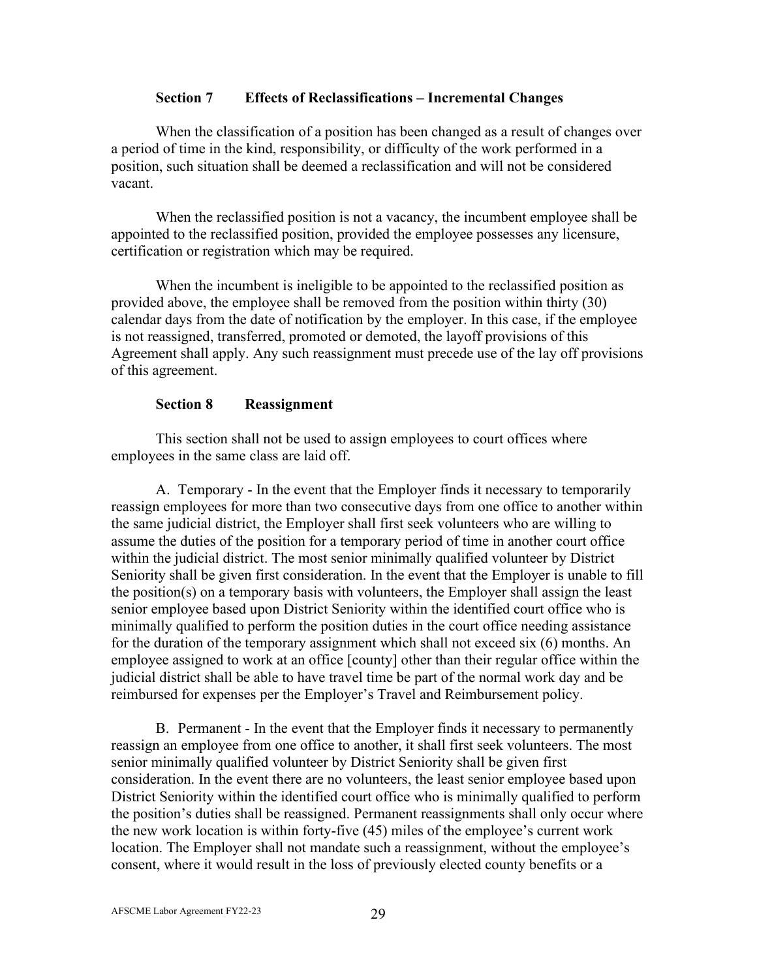#### **Section 7 Effects of Reclassifications – Incremental Changes**

When the classification of a position has been changed as a result of changes over a period of time in the kind, responsibility, or difficulty of the work performed in a position, such situation shall be deemed a reclassification and will not be considered vacant.

When the reclassified position is not a vacancy, the incumbent employee shall be appointed to the reclassified position, provided the employee possesses any licensure, certification or registration which may be required.

When the incumbent is ineligible to be appointed to the reclassified position as provided above, the employee shall be removed from the position within thirty (30) calendar days from the date of notification by the employer. In this case, if the employee is not reassigned, transferred, promoted or demoted, the layoff provisions of this Agreement shall apply. Any such reassignment must precede use of the lay off provisions of this agreement.

### **Section 8 Reassignment**

<span id="page-33-0"></span>This section shall not be used to assign employees to court offices where employees in the same class are laid off.

A. Temporary - In the event that the Employer finds it necessary to temporarily reassign employees for more than two consecutive days from one office to another within the same judicial district, the Employer shall first seek volunteers who are willing to assume the duties of the position for a temporary period of time in another court office within the judicial district. The most senior minimally qualified volunteer by District Seniority shall be given first consideration. In the event that the Employer is unable to fill the position(s) on a temporary basis with volunteers, the Employer shall assign the least senior employee based upon District Seniority within the identified court office who is minimally qualified to perform the position duties in the court office needing assistance for the duration of the temporary assignment which shall not exceed six (6) months. An employee assigned to work at an office [county] other than their regular office within the judicial district shall be able to have travel time be part of the normal work day and be reimbursed for expenses per the Employer's Travel and Reimbursement policy.

B. Permanent - In the event that the Employer finds it necessary to permanently reassign an employee from one office to another, it shall first seek volunteers. The most senior minimally qualified volunteer by District Seniority shall be given first consideration. In the event there are no volunteers, the least senior employee based upon District Seniority within the identified court office who is minimally qualified to perform the position's duties shall be reassigned. Permanent reassignments shall only occur where the new work location is within forty-five (45) miles of the employee's current work location. The Employer shall not mandate such a reassignment, without the employee's consent, where it would result in the loss of previously elected county benefits or a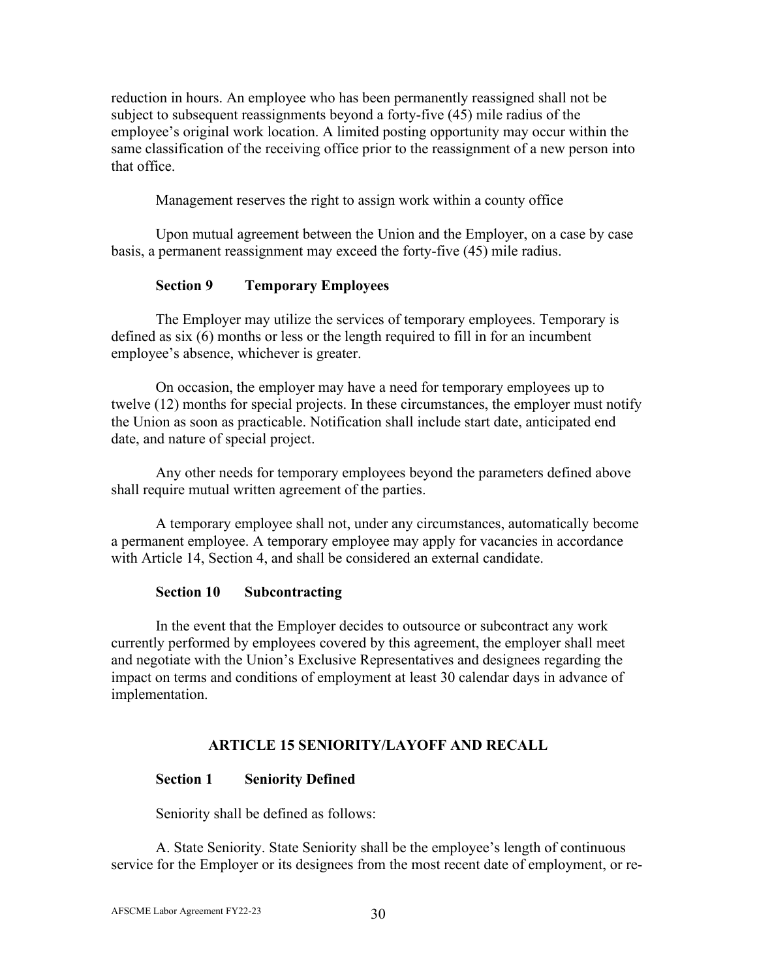reduction in hours. An employee who has been permanently reassigned shall not be subject to subsequent reassignments beyond a forty-five (45) mile radius of the employee's original work location. A limited posting opportunity may occur within the same classification of the receiving office prior to the reassignment of a new person into that office.

Management reserves the right to assign work within a county office

Upon mutual agreement between the Union and the Employer, on a case by case basis, a permanent reassignment may exceed the forty-five (45) mile radius.

# **Section 9 Temporary Employees**

<span id="page-34-0"></span>The Employer may utilize the services of temporary employees. Temporary is defined as six (6) months or less or the length required to fill in for an incumbent employee's absence, whichever is greater.

On occasion, the employer may have a need for temporary employees up to twelve (12) months for special projects. In these circumstances, the employer must notify the Union as soon as practicable. Notification shall include start date, anticipated end date, and nature of special project.

Any other needs for temporary employees beyond the parameters defined above shall require mutual written agreement of the parties.

A temporary employee shall not, under any circumstances, automatically become a permanent employee. A temporary employee may apply for vacancies in accordance with Article 14, Section 4, and shall be considered an external candidate.

### **Section 10 Subcontracting**

In the event that the Employer decides to outsource or subcontract any work currently performed by employees covered by this agreement, the employer shall meet and negotiate with the Union's Exclusive Representatives and designees regarding the impact on terms and conditions of employment at least 30 calendar days in advance of implementation.

### **ARTICLE 15 SENIORITY/LAYOFF AND RECALL**

### <span id="page-34-2"></span><span id="page-34-1"></span>**Section 1 Seniority Defined**

Seniority shall be defined as follows:

A. State Seniority. State Seniority shall be the employee's length of continuous service for the Employer or its designees from the most recent date of employment, or re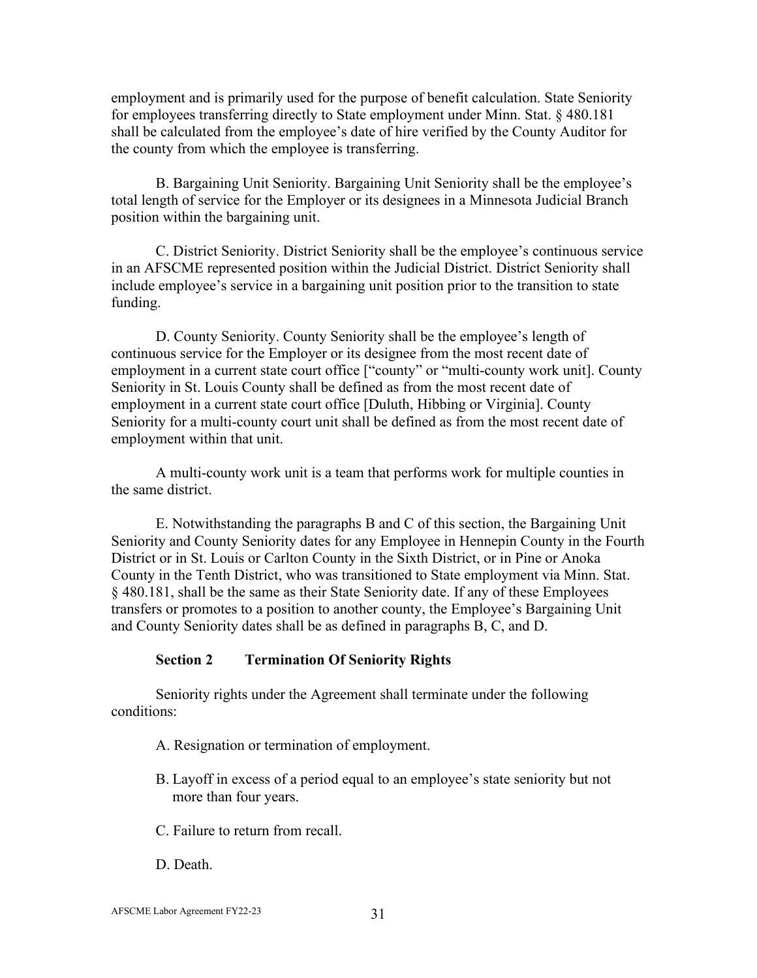employment and is primarily used for the purpose of benefit calculation. State Seniority for employees transferring directly to State employment under Minn. Stat. § 480.181 shall be calculated from the employee's date of hire verified by the County Auditor for the county from which the employee is transferring.

B. Bargaining Unit Seniority. Bargaining Unit Seniority shall be the employee's total length of service for the Employer or its designees in a Minnesota Judicial Branch position within the bargaining unit.

C. District Seniority. District Seniority shall be the employee's continuous service in an AFSCME represented position within the Judicial District. District Seniority shall include employee's service in a bargaining unit position prior to the transition to state funding.

D. County Seniority. County Seniority shall be the employee's length of continuous service for the Employer or its designee from the most recent date of employment in a current state court office ["county" or "multi-county work unit]. County Seniority in St. Louis County shall be defined as from the most recent date of employment in a current state court office [Duluth, Hibbing or Virginia]. County Seniority for a multi-county court unit shall be defined as from the most recent date of employment within that unit.

A multi-county work unit is a team that performs work for multiple counties in the same district.

E. Notwithstanding the paragraphs B and C of this section, the Bargaining Unit Seniority and County Seniority dates for any Employee in Hennepin County in the Fourth District or in St. Louis or Carlton County in the Sixth District, or in Pine or Anoka County in the Tenth District, who was transitioned to State employment via Minn. Stat. § 480.181, shall be the same as their State Seniority date. If any of these Employees transfers or promotes to a position to another county, the Employee's Bargaining Unit and County Seniority dates shall be as defined in paragraphs B, C, and D.

#### **Section 2 Termination Of Seniority Rights**

<span id="page-35-0"></span>Seniority rights under the Agreement shall terminate under the following conditions:

- A. Resignation or termination of employment.
- B. Layoff in excess of a period equal to an employee's state seniority but not more than four years.
- C. Failure to return from recall.
- D. Death.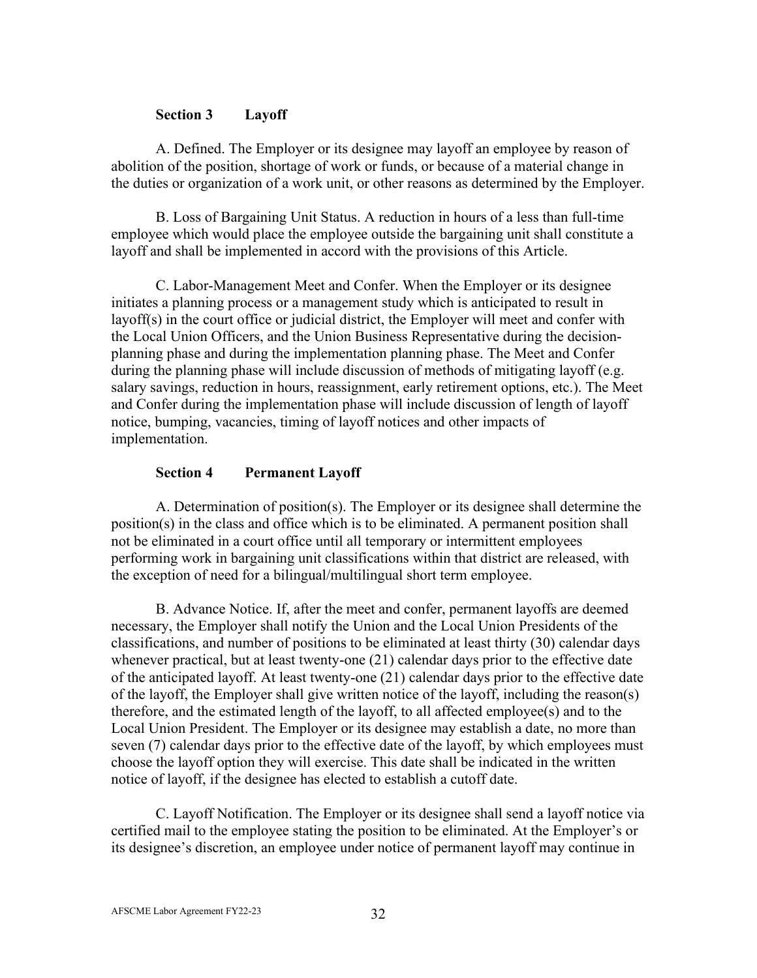#### **Section 3 Layoff**

A. Defined. The Employer or its designee may layoff an employee by reason of abolition of the position, shortage of work or funds, or because of a material change in the duties or organization of a work unit, or other reasons as determined by the Employer.

B. Loss of Bargaining Unit Status. A reduction in hours of a less than full-time employee which would place the employee outside the bargaining unit shall constitute a layoff and shall be implemented in accord with the provisions of this Article.

C. Labor-Management Meet and Confer. When the Employer or its designee initiates a planning process or a management study which is anticipated to result in layoff(s) in the court office or judicial district, the Employer will meet and confer with the Local Union Officers, and the Union Business Representative during the decisionplanning phase and during the implementation planning phase. The Meet and Confer during the planning phase will include discussion of methods of mitigating layoff (e.g. salary savings, reduction in hours, reassignment, early retirement options, etc.). The Meet and Confer during the implementation phase will include discussion of length of layoff notice, bumping, vacancies, timing of layoff notices and other impacts of implementation.

#### **Section 4 Permanent Layoff**

A. Determination of position(s). The Employer or its designee shall determine the position(s) in the class and office which is to be eliminated. A permanent position shall not be eliminated in a court office until all temporary or intermittent employees performing work in bargaining unit classifications within that district are released, with the exception of need for a bilingual/multilingual short term employee.

B. Advance Notice. If, after the meet and confer, permanent layoffs are deemed necessary, the Employer shall notify the Union and the Local Union Presidents of the classifications, and number of positions to be eliminated at least thirty (30) calendar days whenever practical, but at least twenty-one (21) calendar days prior to the effective date of the anticipated layoff. At least twenty-one (21) calendar days prior to the effective date of the layoff, the Employer shall give written notice of the layoff, including the reason(s) therefore, and the estimated length of the layoff, to all affected employee(s) and to the Local Union President. The Employer or its designee may establish a date, no more than seven (7) calendar days prior to the effective date of the layoff, by which employees must choose the layoff option they will exercise. This date shall be indicated in the written notice of layoff, if the designee has elected to establish a cutoff date.

C. Layoff Notification. The Employer or its designee shall send a layoff notice via certified mail to the employee stating the position to be eliminated. At the Employer's or its designee's discretion, an employee under notice of permanent layoff may continue in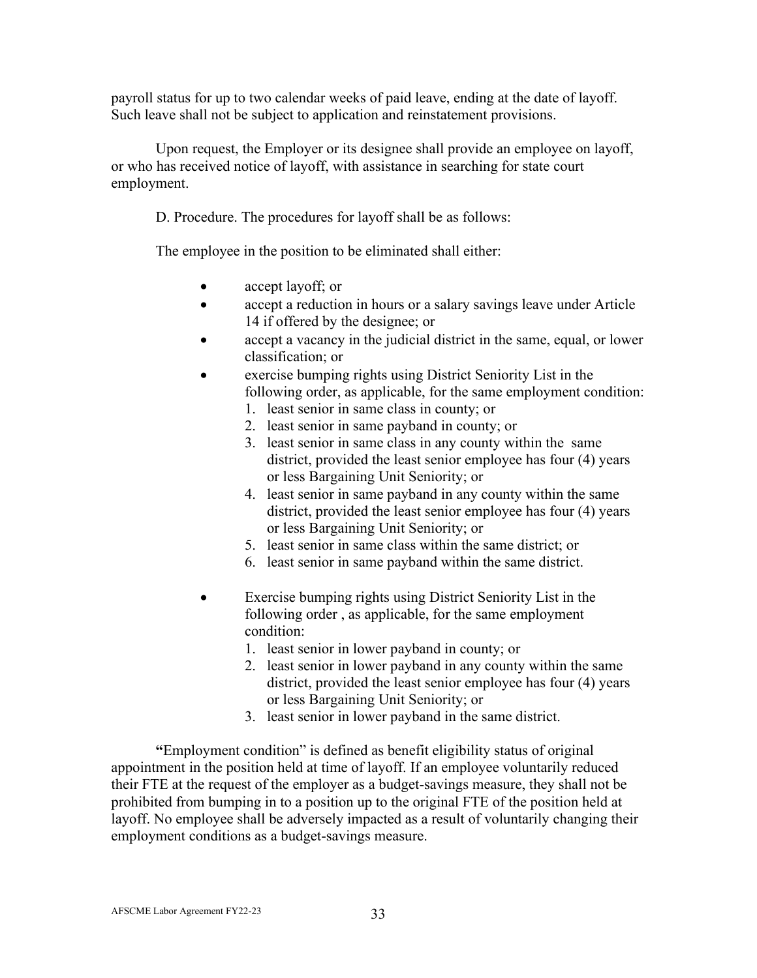payroll status for up to two calendar weeks of paid leave, ending at the date of layoff. Such leave shall not be subject to application and reinstatement provisions.

Upon request, the Employer or its designee shall provide an employee on layoff, or who has received notice of layoff, with assistance in searching for state court employment.

D. Procedure. The procedures for layoff shall be as follows:

The employee in the position to be eliminated shall either:

- accept layoff; or
- accept a reduction in hours or a salary savings leave under Article 14 if offered by the designee; or
- accept a vacancy in the judicial district in the same, equal, or lower classification; or
- exercise bumping rights using District Seniority List in the following order, as applicable, for the same employment condition:
	- 1. least senior in same class in county; or
	- 2. least senior in same payband in county; or
	- 3. least senior in same class in any county within the same district, provided the least senior employee has four (4) years or less Bargaining Unit Seniority; or
	- 4. least senior in same payband in any county within the same district, provided the least senior employee has four (4) years or less Bargaining Unit Seniority; or
	- 5. least senior in same class within the same district; or
	- 6. least senior in same payband within the same district.
- Exercise bumping rights using District Seniority List in the following order , as applicable, for the same employment condition:
	- 1. least senior in lower payband in county; or
	- 2. least senior in lower payband in any county within the same district, provided the least senior employee has four (4) years or less Bargaining Unit Seniority; or
	- 3. least senior in lower payband in the same district.

**"**Employment condition" is defined as benefit eligibility status of original appointment in the position held at time of layoff. If an employee voluntarily reduced their FTE at the request of the employer as a budget-savings measure, they shall not be prohibited from bumping in to a position up to the original FTE of the position held at layoff. No employee shall be adversely impacted as a result of voluntarily changing their employment conditions as a budget-savings measure.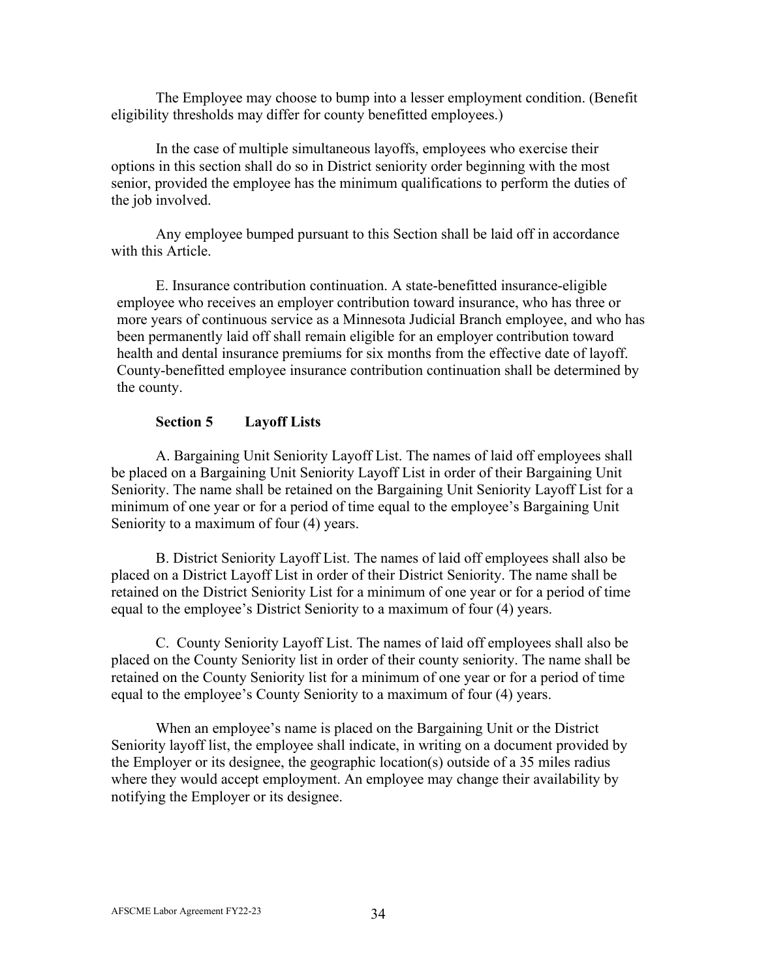The Employee may choose to bump into a lesser employment condition. (Benefit eligibility thresholds may differ for county benefitted employees.)

In the case of multiple simultaneous layoffs, employees who exercise their options in this section shall do so in District seniority order beginning with the most senior, provided the employee has the minimum qualifications to perform the duties of the job involved.

Any employee bumped pursuant to this Section shall be laid off in accordance with this Article.

E. Insurance contribution continuation. A state-benefitted insurance-eligible employee who receives an employer contribution toward insurance, who has three or more years of continuous service as a Minnesota Judicial Branch employee, and who has been permanently laid off shall remain eligible for an employer contribution toward health and dental insurance premiums for six months from the effective date of layoff. County-benefitted employee insurance contribution continuation shall be determined by the county.

## **Section 5 Layoff Lists**

A. Bargaining Unit Seniority Layoff List. The names of laid off employees shall be placed on a Bargaining Unit Seniority Layoff List in order of their Bargaining Unit Seniority. The name shall be retained on the Bargaining Unit Seniority Layoff List for a minimum of one year or for a period of time equal to the employee's Bargaining Unit Seniority to a maximum of four  $(4)$  years.

B. District Seniority Layoff List. The names of laid off employees shall also be placed on a District Layoff List in order of their District Seniority. The name shall be retained on the District Seniority List for a minimum of one year or for a period of time equal to the employee's District Seniority to a maximum of four (4) years.

C. County Seniority Layoff List. The names of laid off employees shall also be placed on the County Seniority list in order of their county seniority. The name shall be retained on the County Seniority list for a minimum of one year or for a period of time equal to the employee's County Seniority to a maximum of four (4) years.

When an employee's name is placed on the Bargaining Unit or the District Seniority layoff list, the employee shall indicate, in writing on a document provided by the Employer or its designee, the geographic location(s) outside of a 35 miles radius where they would accept employment. An employee may change their availability by notifying the Employer or its designee.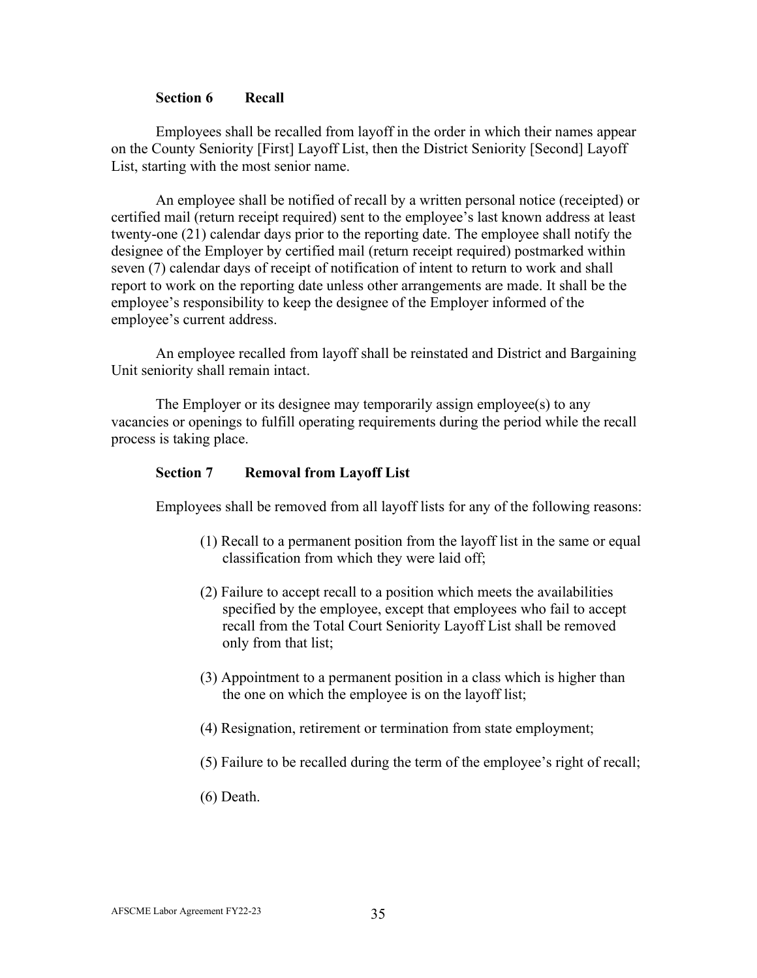#### **Section 6 Recall**

Employees shall be recalled from layoff in the order in which their names appear on the County Seniority [First] Layoff List, then the District Seniority [Second] Layoff List, starting with the most senior name.

An employee shall be notified of recall by a written personal notice (receipted) or certified mail (return receipt required) sent to the employee's last known address at least twenty-one (21) calendar days prior to the reporting date. The employee shall notify the designee of the Employer by certified mail (return receipt required) postmarked within seven (7) calendar days of receipt of notification of intent to return to work and shall report to work on the reporting date unless other arrangements are made. It shall be the employee's responsibility to keep the designee of the Employer informed of the employee's current address.

An employee recalled from layoff shall be reinstated and District and Bargaining Unit seniority shall remain intact.

The Employer or its designee may temporarily assign employee(s) to any vacancies or openings to fulfill operating requirements during the period while the recall process is taking place.

#### **Section 7 Removal from Layoff List**

Employees shall be removed from all layoff lists for any of the following reasons:

- (1) Recall to a permanent position from the layoff list in the same or equal classification from which they were laid off;
- (2) Failure to accept recall to a position which meets the availabilities specified by the employee, except that employees who fail to accept recall from the Total Court Seniority Layoff List shall be removed only from that list;
- (3) Appointment to a permanent position in a class which is higher than the one on which the employee is on the layoff list;
- (4) Resignation, retirement or termination from state employment;
- (5) Failure to be recalled during the term of the employee's right of recall;
- (6) Death.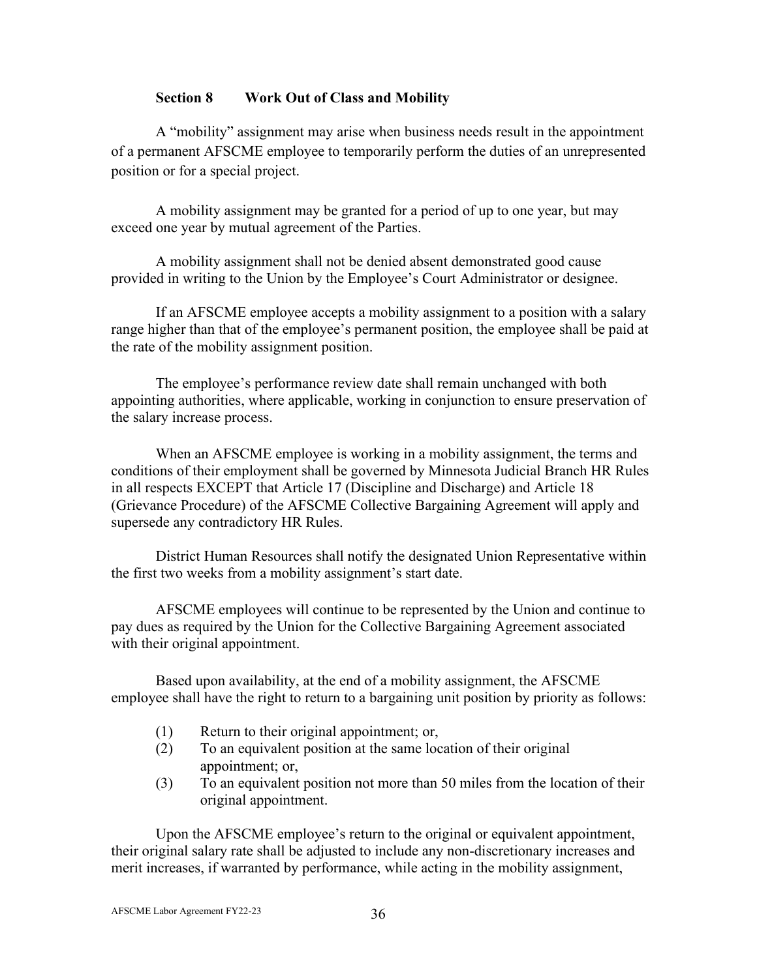## **Section 8 Work Out of Class and Mobility**

A "mobility" assignment may arise when business needs result in the appointment of a permanent AFSCME employee to temporarily perform the duties of an unrepresented position or for a special project.

A mobility assignment may be granted for a period of up to one year, but may exceed one year by mutual agreement of the Parties.

A mobility assignment shall not be denied absent demonstrated good cause provided in writing to the Union by the Employee's Court Administrator or designee.

If an AFSCME employee accepts a mobility assignment to a position with a salary range higher than that of the employee's permanent position, the employee shall be paid at the rate of the mobility assignment position.

The employee's performance review date shall remain unchanged with both appointing authorities, where applicable, working in conjunction to ensure preservation of the salary increase process.

When an AFSCME employee is working in a mobility assignment, the terms and conditions of their employment shall be governed by Minnesota Judicial Branch HR Rules in all respects EXCEPT that Article 17 (Discipline and Discharge) and Article 18 (Grievance Procedure) of the AFSCME Collective Bargaining Agreement will apply and supersede any contradictory HR Rules.

District Human Resources shall notify the designated Union Representative within the first two weeks from a mobility assignment's start date.

AFSCME employees will continue to be represented by the Union and continue to pay dues as required by the Union for the Collective Bargaining Agreement associated with their original appointment.

Based upon availability, at the end of a mobility assignment, the AFSCME employee shall have the right to return to a bargaining unit position by priority as follows:

- (1) Return to their original appointment; or,
- (2) To an equivalent position at the same location of their original appointment; or,
- (3) To an equivalent position not more than 50 miles from the location of their original appointment.

Upon the AFSCME employee's return to the original or equivalent appointment, their original salary rate shall be adjusted to include any non-discretionary increases and merit increases, if warranted by performance, while acting in the mobility assignment,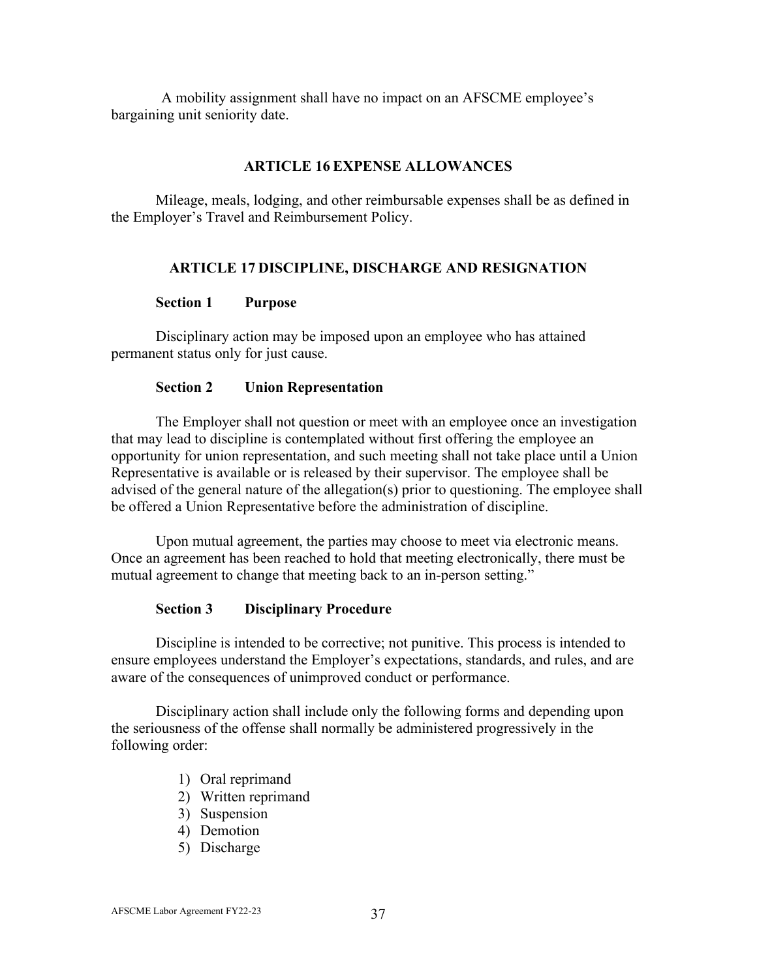A mobility assignment shall have no impact on an AFSCME employee's bargaining unit seniority date.

### **ARTICLE 16 EXPENSE ALLOWANCES**

Mileage, meals, lodging, and other reimbursable expenses shall be as defined in the Employer's Travel and Reimbursement Policy.

## **ARTICLE 17 DISCIPLINE, DISCHARGE AND RESIGNATION**

#### **Section 1 Purpose**

Disciplinary action may be imposed upon an employee who has attained permanent status only for just cause.

#### **Section 2 Union Representation**

The Employer shall not question or meet with an employee once an investigation that may lead to discipline is contemplated without first offering the employee an opportunity for union representation, and such meeting shall not take place until a Union Representative is available or is released by their supervisor. The employee shall be advised of the general nature of the allegation(s) prior to questioning. The employee shall be offered a Union Representative before the administration of discipline.

Upon mutual agreement, the parties may choose to meet via electronic means. Once an agreement has been reached to hold that meeting electronically, there must be mutual agreement to change that meeting back to an in-person setting."

#### **Section 3 Disciplinary Procedure**

Discipline is intended to be corrective; not punitive. This process is intended to ensure employees understand the Employer's expectations, standards, and rules, and are aware of the consequences of unimproved conduct or performance.

Disciplinary action shall include only the following forms and depending upon the seriousness of the offense shall normally be administered progressively in the following order:

- 1) Oral reprimand
- 2) Written reprimand
- 3) Suspension
- 4) Demotion
- 5) Discharge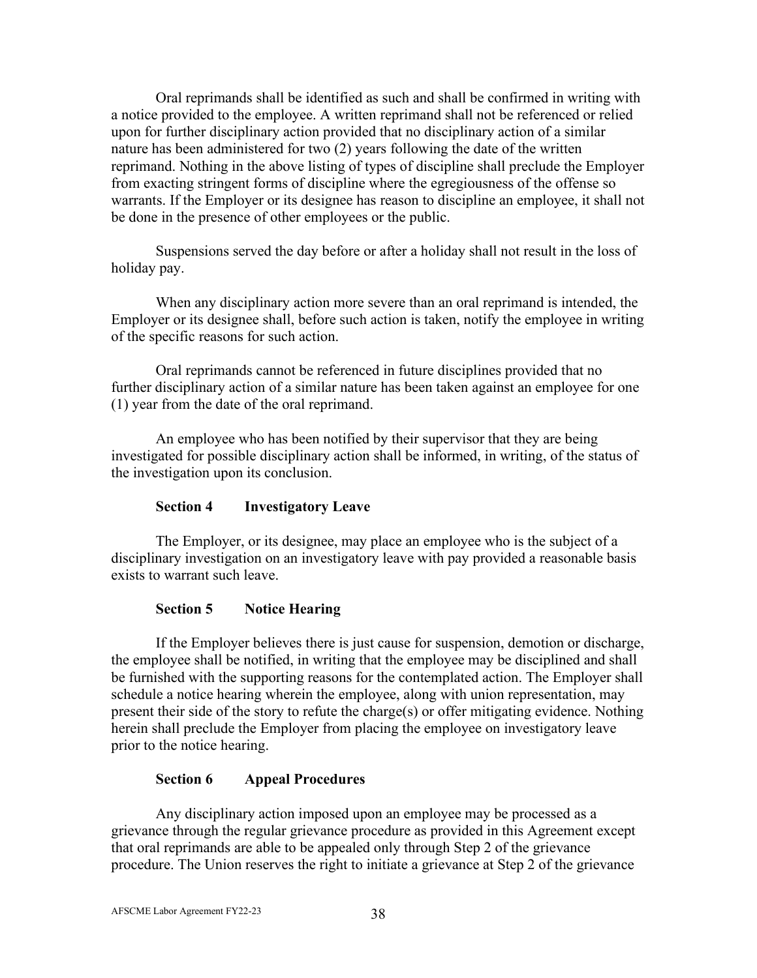Oral reprimands shall be identified as such and shall be confirmed in writing with a notice provided to the employee. A written reprimand shall not be referenced or relied upon for further disciplinary action provided that no disciplinary action of a similar nature has been administered for two (2) years following the date of the written reprimand. Nothing in the above listing of types of discipline shall preclude the Employer from exacting stringent forms of discipline where the egregiousness of the offense so warrants. If the Employer or its designee has reason to discipline an employee, it shall not be done in the presence of other employees or the public.

Suspensions served the day before or after a holiday shall not result in the loss of holiday pay.

When any disciplinary action more severe than an oral reprimand is intended, the Employer or its designee shall, before such action is taken, notify the employee in writing of the specific reasons for such action.

Oral reprimands cannot be referenced in future disciplines provided that no further disciplinary action of a similar nature has been taken against an employee for one (1) year from the date of the oral reprimand.

An employee who has been notified by their supervisor that they are being investigated for possible disciplinary action shall be informed, in writing, of the status of the investigation upon its conclusion.

## **Section 4 Investigatory Leave**

The Employer, or its designee, may place an employee who is the subject of a disciplinary investigation on an investigatory leave with pay provided a reasonable basis exists to warrant such leave.

## **Section 5 Notice Hearing**

If the Employer believes there is just cause for suspension, demotion or discharge, the employee shall be notified, in writing that the employee may be disciplined and shall be furnished with the supporting reasons for the contemplated action. The Employer shall schedule a notice hearing wherein the employee, along with union representation, may present their side of the story to refute the charge(s) or offer mitigating evidence. Nothing herein shall preclude the Employer from placing the employee on investigatory leave prior to the notice hearing.

## **Section 6 Appeal Procedures**

Any disciplinary action imposed upon an employee may be processed as a grievance through the regular grievance procedure as provided in this Agreement except that oral reprimands are able to be appealed only through Step 2 of the grievance procedure. The Union reserves the right to initiate a grievance at Step 2 of the grievance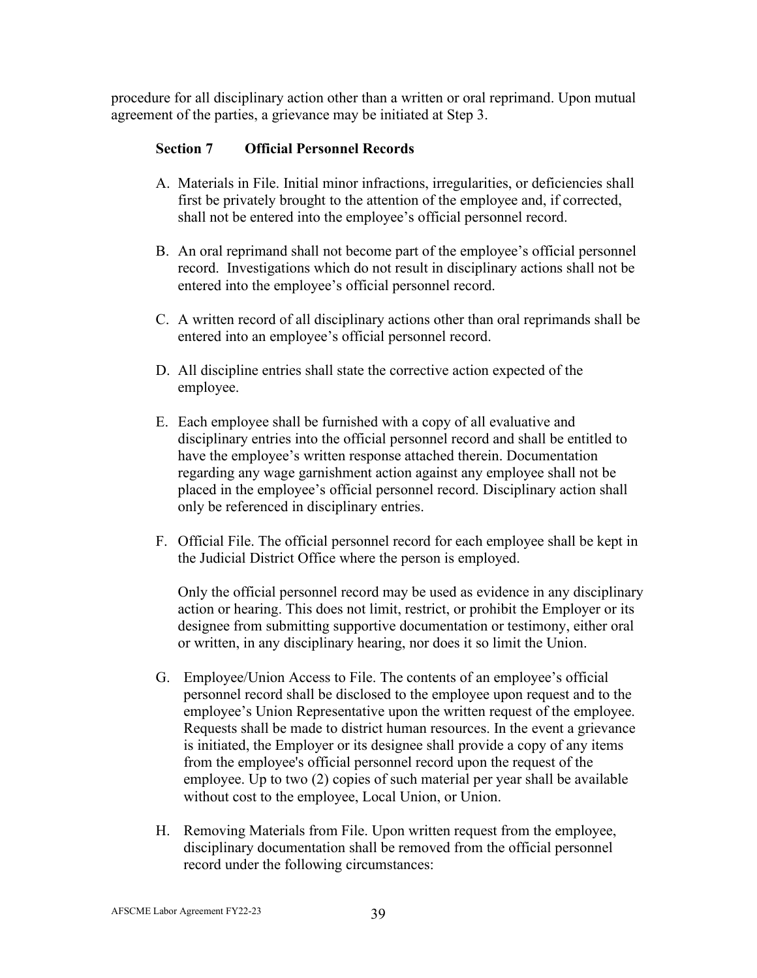procedure for all disciplinary action other than a written or oral reprimand. Upon mutual agreement of the parties, a grievance may be initiated at Step 3.

## **Section 7 Official Personnel Records**

- A. Materials in File. Initial minor infractions, irregularities, or deficiencies shall first be privately brought to the attention of the employee and, if corrected, shall not be entered into the employee's official personnel record.
- B. An oral reprimand shall not become part of the employee's official personnel record. Investigations which do not result in disciplinary actions shall not be entered into the employee's official personnel record.
- C. A written record of all disciplinary actions other than oral reprimands shall be entered into an employee's official personnel record.
- D. All discipline entries shall state the corrective action expected of the employee.
- E. Each employee shall be furnished with a copy of all evaluative and disciplinary entries into the official personnel record and shall be entitled to have the employee's written response attached therein. Documentation regarding any wage garnishment action against any employee shall not be placed in the employee's official personnel record. Disciplinary action shall only be referenced in disciplinary entries.
- F. Official File. The official personnel record for each employee shall be kept in the Judicial District Office where the person is employed.

Only the official personnel record may be used as evidence in any disciplinary action or hearing. This does not limit, restrict, or prohibit the Employer or its designee from submitting supportive documentation or testimony, either oral or written, in any disciplinary hearing, nor does it so limit the Union.

- G. Employee/Union Access to File. The contents of an employee's official personnel record shall be disclosed to the employee upon request and to the employee's Union Representative upon the written request of the employee. Requests shall be made to district human resources. In the event a grievance is initiated, the Employer or its designee shall provide a copy of any items from the employee's official personnel record upon the request of the employee. Up to two (2) copies of such material per year shall be available without cost to the employee, Local Union, or Union.
- H. Removing Materials from File. Upon written request from the employee, disciplinary documentation shall be removed from the official personnel record under the following circumstances: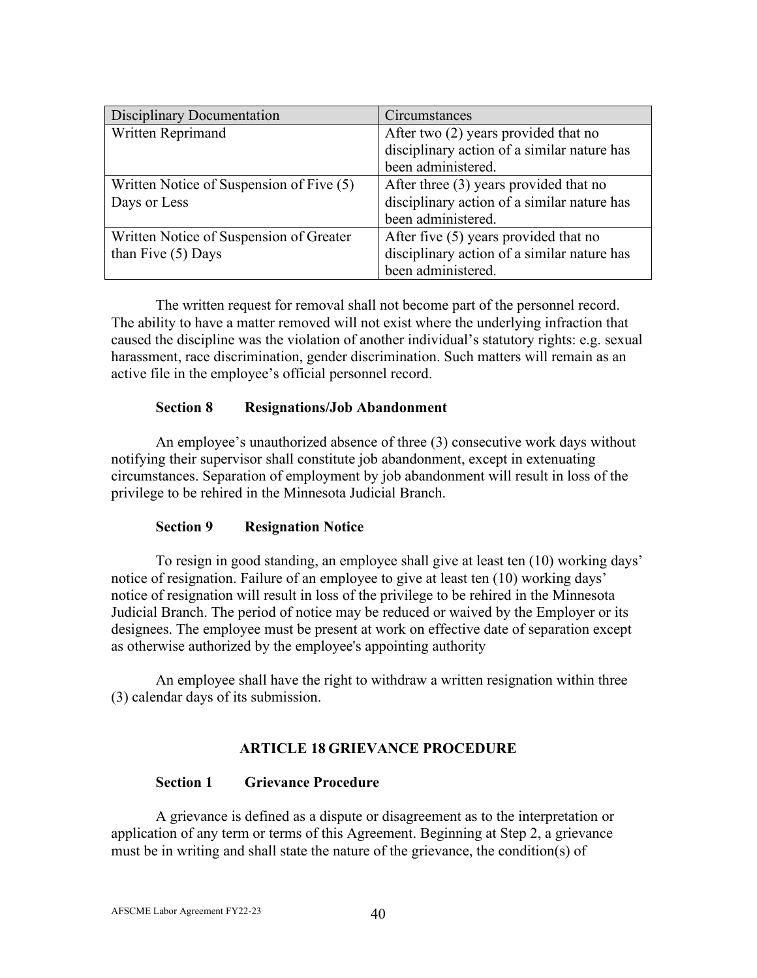| <b>Disciplinary Documentation</b>        | <b>Circumstances</b>                        |
|------------------------------------------|---------------------------------------------|
| Written Reprimand                        | After two (2) years provided that no        |
|                                          | disciplinary action of a similar nature has |
|                                          | been administered.                          |
| Written Notice of Suspension of Five (5) | After three (3) years provided that no      |
| Days or Less                             | disciplinary action of a similar nature has |
|                                          | been administered.                          |
| Written Notice of Suspension of Greater  | After five $(5)$ years provided that no     |
| than Five $(5)$ Days                     | disciplinary action of a similar nature has |
|                                          | been administered.                          |

The written request for removal shall not become part of the personnel record. The ability to have a matter removed will not exist where the underlying infraction that caused the discipline was the violation of another individual's statutory rights: e.g. sexual harassment, race discrimination, gender discrimination. Such matters will remain as an active file in the employee's official personnel record.

### **Section 8 Resignations/Job Abandonment**

An employee's unauthorized absence of three (3) consecutive work days without notifying their supervisor shall constitute job abandonment, except in extenuating circumstances. Separation of employment by job abandonment will result in loss of the privilege to be rehired in the Minnesota Judicial Branch.

#### **Section 9 Resignation Notice**

To resign in good standing, an employee shall give at least ten (10) working days' notice of resignation. Failure of an employee to give at least ten (10) working days' notice of resignation will result in loss of the privilege to be rehired in the Minnesota Judicial Branch. The period of notice may be reduced or waived by the Employer or its designees. The employee must be present at work on effective date of separation except as otherwise authorized by the employee's appointing authority

An employee shall have the right to withdraw a written resignation within three (3) calendar days of its submission.

#### **ARTICLE 18 GRIEVANCE PROCEDURE**

#### **Section 1 Grievance Procedure**

A grievance is defined as a dispute or disagreement as to the interpretation or application of any term or terms of this Agreement. Beginning at Step 2, a grievance must be in writing and shall state the nature of the grievance, the condition(s) of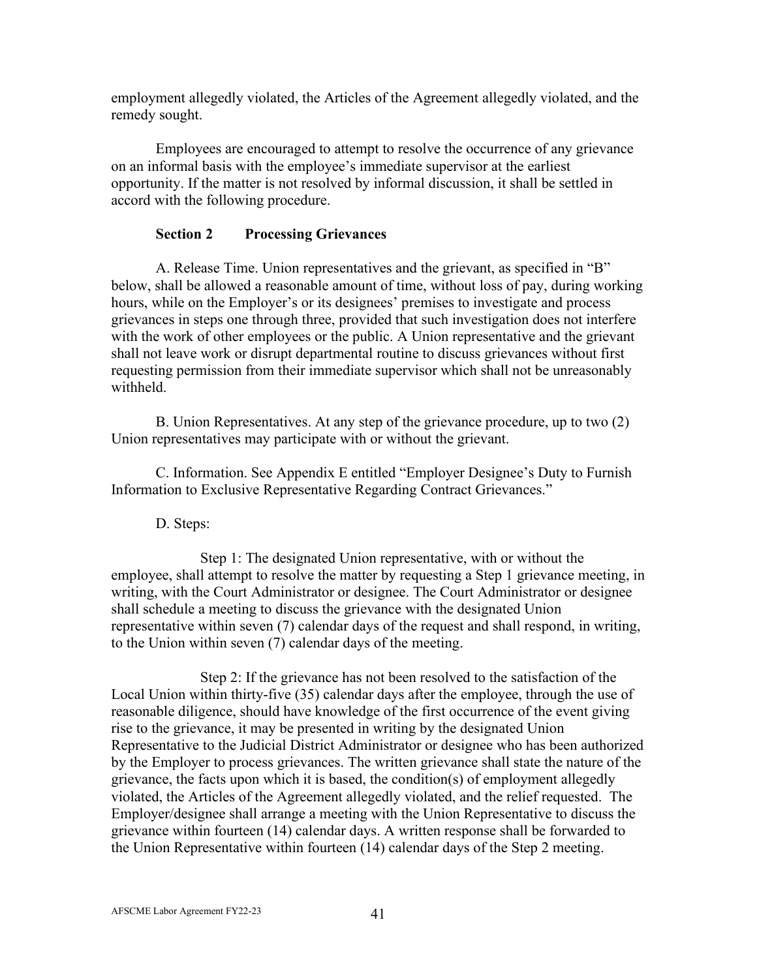employment allegedly violated, the Articles of the Agreement allegedly violated, and the remedy sought.

Employees are encouraged to attempt to resolve the occurrence of any grievance on an informal basis with the employee's immediate supervisor at the earliest opportunity. If the matter is not resolved by informal discussion, it shall be settled in accord with the following procedure.

## **Section 2 Processing Grievances**

A. Release Time. Union representatives and the grievant, as specified in "B" below, shall be allowed a reasonable amount of time, without loss of pay, during working hours, while on the Employer's or its designees' premises to investigate and process grievances in steps one through three, provided that such investigation does not interfere with the work of other employees or the public. A Union representative and the grievant shall not leave work or disrupt departmental routine to discuss grievances without first requesting permission from their immediate supervisor which shall not be unreasonably withheld.

B. Union Representatives. At any step of the grievance procedure, up to two (2) Union representatives may participate with or without the grievant.

C. Information. See Appendix E entitled "Employer Designee's Duty to Furnish Information to Exclusive Representative Regarding Contract Grievances."

D. Steps:

Step 1: The designated Union representative, with or without the employee, shall attempt to resolve the matter by requesting a Step 1 grievance meeting, in writing, with the Court Administrator or designee. The Court Administrator or designee shall schedule a meeting to discuss the grievance with the designated Union representative within seven (7) calendar days of the request and shall respond, in writing, to the Union within seven (7) calendar days of the meeting.

Step 2: If the grievance has not been resolved to the satisfaction of the Local Union within thirty-five (35) calendar days after the employee, through the use of reasonable diligence, should have knowledge of the first occurrence of the event giving rise to the grievance, it may be presented in writing by the designated Union Representative to the Judicial District Administrator or designee who has been authorized by the Employer to process grievances. The written grievance shall state the nature of the grievance, the facts upon which it is based, the condition(s) of employment allegedly violated, the Articles of the Agreement allegedly violated, and the relief requested. The Employer/designee shall arrange a meeting with the Union Representative to discuss the grievance within fourteen (14) calendar days. A written response shall be forwarded to the Union Representative within fourteen (14) calendar days of the Step 2 meeting.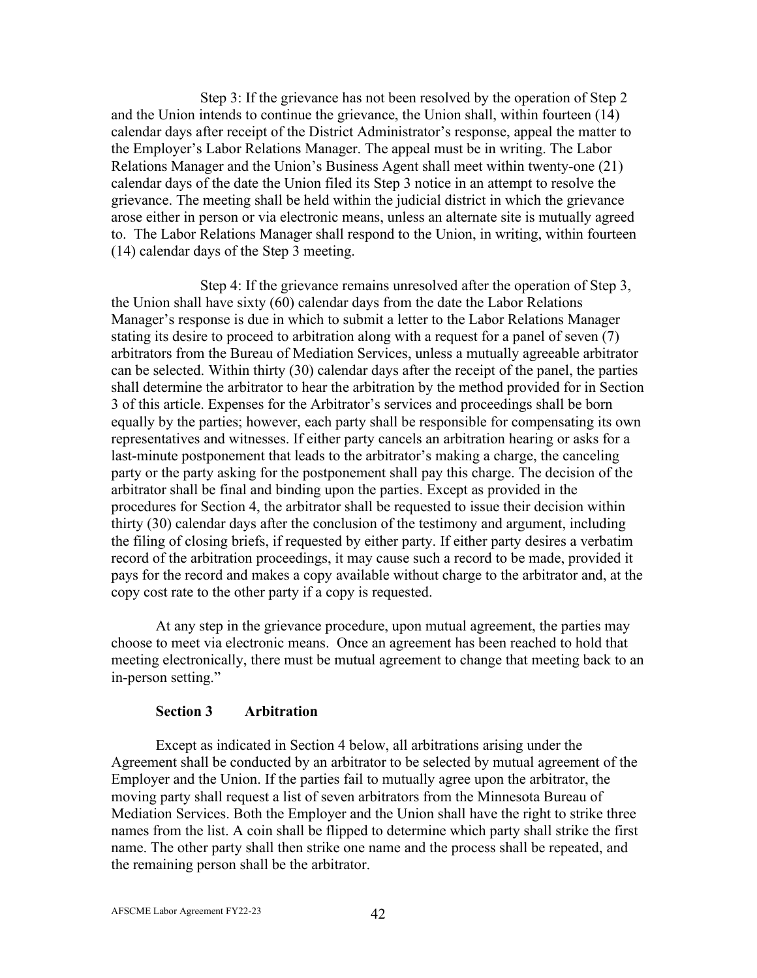Step 3: If the grievance has not been resolved by the operation of Step 2 and the Union intends to continue the grievance, the Union shall, within fourteen (14) calendar days after receipt of the District Administrator's response, appeal the matter to the Employer's Labor Relations Manager. The appeal must be in writing. The Labor Relations Manager and the Union's Business Agent shall meet within twenty-one (21) calendar days of the date the Union filed its Step 3 notice in an attempt to resolve the grievance. The meeting shall be held within the judicial district in which the grievance arose either in person or via electronic means, unless an alternate site is mutually agreed to. The Labor Relations Manager shall respond to the Union, in writing, within fourteen (14) calendar days of the Step 3 meeting.

Step 4: If the grievance remains unresolved after the operation of Step 3, the Union shall have sixty (60) calendar days from the date the Labor Relations Manager's response is due in which to submit a letter to the Labor Relations Manager stating its desire to proceed to arbitration along with a request for a panel of seven (7) arbitrators from the Bureau of Mediation Services, unless a mutually agreeable arbitrator can be selected. Within thirty (30) calendar days after the receipt of the panel, the parties shall determine the arbitrator to hear the arbitration by the method provided for in Section 3 of this article. Expenses for the Arbitrator's services and proceedings shall be born equally by the parties; however, each party shall be responsible for compensating its own representatives and witnesses. If either party cancels an arbitration hearing or asks for a last-minute postponement that leads to the arbitrator's making a charge, the canceling party or the party asking for the postponement shall pay this charge. The decision of the arbitrator shall be final and binding upon the parties. Except as provided in the procedures for Section 4, the arbitrator shall be requested to issue their decision within thirty (30) calendar days after the conclusion of the testimony and argument, including the filing of closing briefs, if requested by either party. If either party desires a verbatim record of the arbitration proceedings, it may cause such a record to be made, provided it pays for the record and makes a copy available without charge to the arbitrator and, at the copy cost rate to the other party if a copy is requested.

At any step in the grievance procedure, upon mutual agreement, the parties may choose to meet via electronic means. Once an agreement has been reached to hold that meeting electronically, there must be mutual agreement to change that meeting back to an in-person setting."

#### **Section 3 Arbitration**

Except as indicated in Section 4 below, all arbitrations arising under the Agreement shall be conducted by an arbitrator to be selected by mutual agreement of the Employer and the Union. If the parties fail to mutually agree upon the arbitrator, the moving party shall request a list of seven arbitrators from the Minnesota Bureau of Mediation Services. Both the Employer and the Union shall have the right to strike three names from the list. A coin shall be flipped to determine which party shall strike the first name. The other party shall then strike one name and the process shall be repeated, and the remaining person shall be the arbitrator.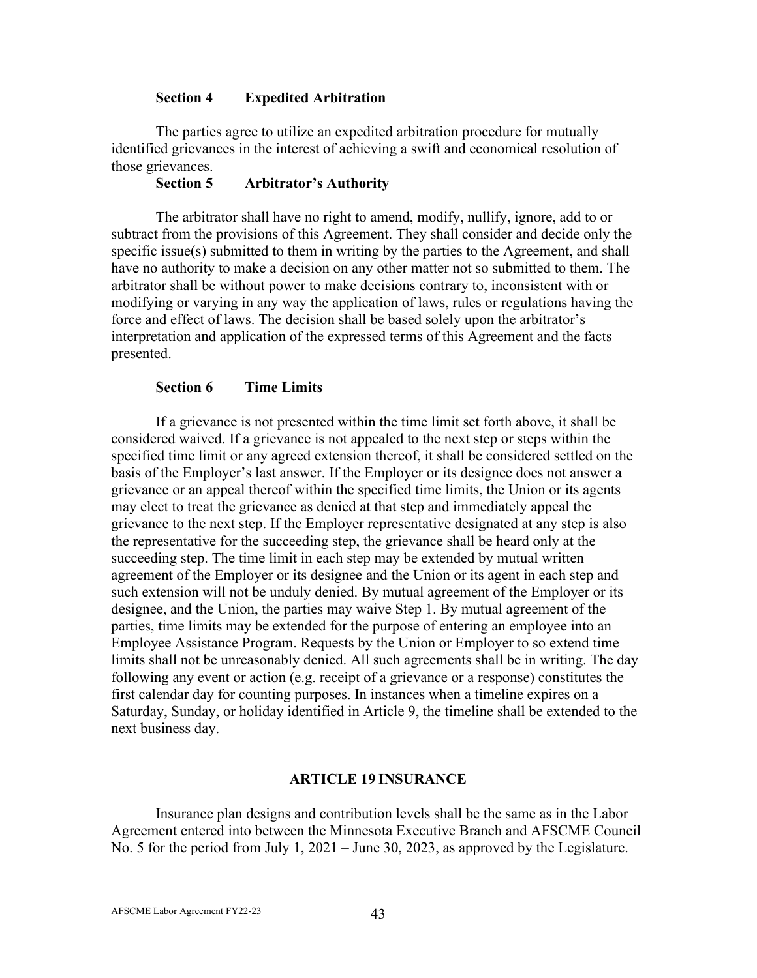### **Section 4 Expedited Arbitration**

The parties agree to utilize an expedited arbitration procedure for mutually identified grievances in the interest of achieving a swift and economical resolution of those grievances.

## **Section 5 Arbitrator's Authority**

The arbitrator shall have no right to amend, modify, nullify, ignore, add to or subtract from the provisions of this Agreement. They shall consider and decide only the specific issue(s) submitted to them in writing by the parties to the Agreement, and shall have no authority to make a decision on any other matter not so submitted to them. The arbitrator shall be without power to make decisions contrary to, inconsistent with or modifying or varying in any way the application of laws, rules or regulations having the force and effect of laws. The decision shall be based solely upon the arbitrator's interpretation and application of the expressed terms of this Agreement and the facts presented.

### **Section 6 Time Limits**

If a grievance is not presented within the time limit set forth above, it shall be considered waived. If a grievance is not appealed to the next step or steps within the specified time limit or any agreed extension thereof, it shall be considered settled on the basis of the Employer's last answer. If the Employer or its designee does not answer a grievance or an appeal thereof within the specified time limits, the Union or its agents may elect to treat the grievance as denied at that step and immediately appeal the grievance to the next step. If the Employer representative designated at any step is also the representative for the succeeding step, the grievance shall be heard only at the succeeding step. The time limit in each step may be extended by mutual written agreement of the Employer or its designee and the Union or its agent in each step and such extension will not be unduly denied. By mutual agreement of the Employer or its designee, and the Union, the parties may waive Step 1. By mutual agreement of the parties, time limits may be extended for the purpose of entering an employee into an Employee Assistance Program. Requests by the Union or Employer to so extend time limits shall not be unreasonably denied. All such agreements shall be in writing. The day following any event or action (e.g. receipt of a grievance or a response) constitutes the first calendar day for counting purposes. In instances when a timeline expires on a Saturday, Sunday, or holiday identified in Article 9, the timeline shall be extended to the next business day.

#### **ARTICLE 19 INSURANCE**

Insurance plan designs and contribution levels shall be the same as in the Labor Agreement entered into between the Minnesota Executive Branch and AFSCME Council No. 5 for the period from July 1, 2021 – June 30, 2023, as approved by the Legislature.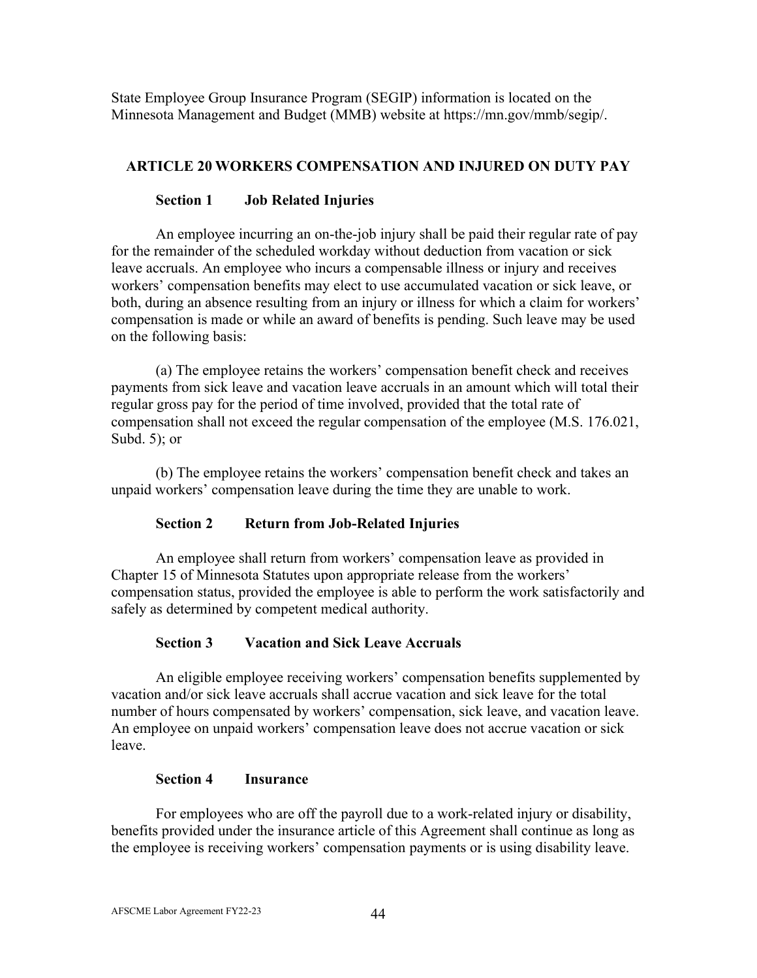State Employee Group Insurance Program (SEGIP) information is located on the Minnesota Management and Budget (MMB) website at [https://mn.gov/mmb/segip/.](https://mn.gov/mmb/segip/)

## **ARTICLE 20 WORKERS COMPENSATION AND INJURED ON DUTY PAY**

## **Section 1 Job Related Injuries**

An employee incurring an on-the-job injury shall be paid their regular rate of pay for the remainder of the scheduled workday without deduction from vacation or sick leave accruals. An employee who incurs a compensable illness or injury and receives workers' compensation benefits may elect to use accumulated vacation or sick leave, or both, during an absence resulting from an injury or illness for which a claim for workers' compensation is made or while an award of benefits is pending. Such leave may be used on the following basis:

(a) The employee retains the workers' compensation benefit check and receives payments from sick leave and vacation leave accruals in an amount which will total their regular gross pay for the period of time involved, provided that the total rate of compensation shall not exceed the regular compensation of the employee (M.S. 176.021, Subd. 5); or

(b) The employee retains the workers' compensation benefit check and takes an unpaid workers' compensation leave during the time they are unable to work.

## **Section 2 Return from Job-Related Injuries**

An employee shall return from workers' compensation leave as provided in Chapter 15 of Minnesota Statutes upon appropriate release from the workers' compensation status, provided the employee is able to perform the work satisfactorily and safely as determined by competent medical authority.

## **Section 3 Vacation and Sick Leave Accruals**

An eligible employee receiving workers' compensation benefits supplemented by vacation and/or sick leave accruals shall accrue vacation and sick leave for the total number of hours compensated by workers' compensation, sick leave, and vacation leave. An employee on unpaid workers' compensation leave does not accrue vacation or sick leave.

#### **Section 4 Insurance**

For employees who are off the payroll due to a work-related injury or disability, benefits provided under the insurance article of this Agreement shall continue as long as the employee is receiving workers' compensation payments or is using disability leave.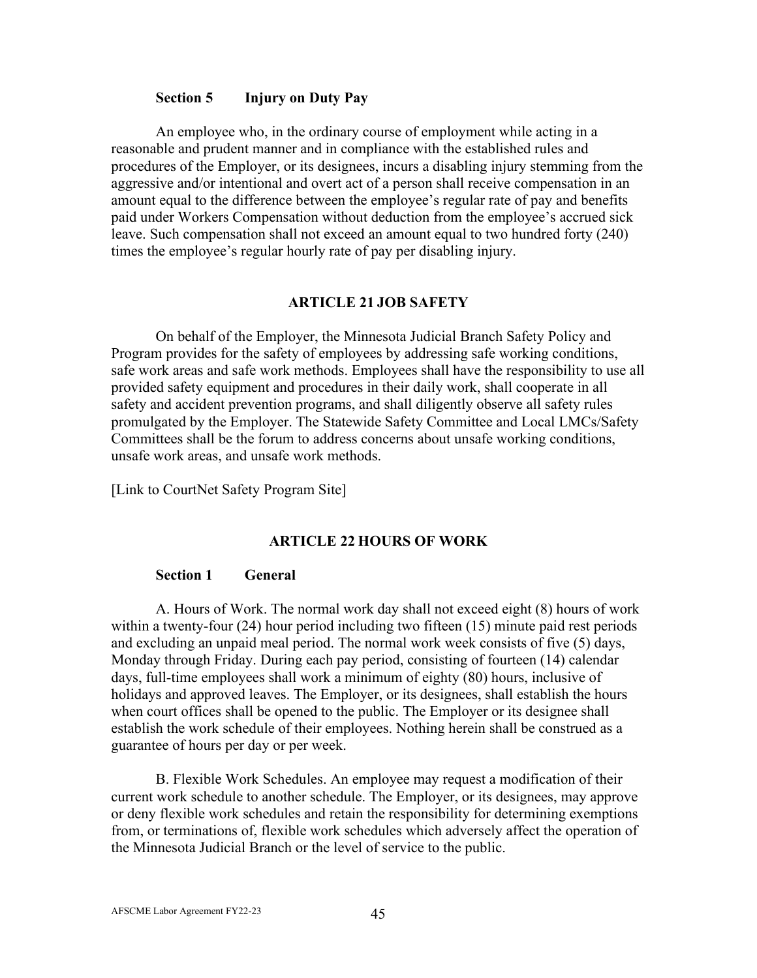#### **Section 5 Injury on Duty Pay**

An employee who, in the ordinary course of employment while acting in a reasonable and prudent manner and in compliance with the established rules and procedures of the Employer, or its designees, incurs a disabling injury stemming from the aggressive and/or intentional and overt act of a person shall receive compensation in an amount equal to the difference between the employee's regular rate of pay and benefits paid under Workers Compensation without deduction from the employee's accrued sick leave. Such compensation shall not exceed an amount equal to two hundred forty (240) times the employee's regular hourly rate of pay per disabling injury.

#### **ARTICLE 21 JOB SAFETY**

On behalf of the Employer, the Minnesota Judicial Branch Safety Policy and Program provides for the safety of employees by addressing safe working conditions, safe work areas and safe work methods. Employees shall have the responsibility to use all provided safety equipment and procedures in their daily work, shall cooperate in all safety and accident prevention programs, and shall diligently observe all safety rules promulgated by the Employer. The Statewide Safety Committee and Local LMCs/Safety Committees shall be the forum to address concerns about unsafe working conditions, unsafe work areas, and unsafe work methods.

[\[Link to CourtNet Safety](http://courtnet.courts.state.mn.us/0/?page=2373) Program Site]

#### **ARTICLE 22 HOURS OF WORK**

#### **Section 1 General**

A. Hours of Work. The normal work day shall not exceed eight (8) hours of work within a twenty-four (24) hour period including two fifteen (15) minute paid rest periods and excluding an unpaid meal period. The normal work week consists of five (5) days, Monday through Friday. During each pay period, consisting of fourteen (14) calendar days, full-time employees shall work a minimum of eighty (80) hours, inclusive of holidays and approved leaves. The Employer, or its designees, shall establish the hours when court offices shall be opened to the public. The Employer or its designee shall establish the work schedule of their employees. Nothing herein shall be construed as a guarantee of hours per day or per week.

B. Flexible Work Schedules. An employee may request a modification of their current work schedule to another schedule. The Employer, or its designees, may approve or deny flexible work schedules and retain the responsibility for determining exemptions from, or terminations of, flexible work schedules which adversely affect the operation of the Minnesota Judicial Branch or the level of service to the public.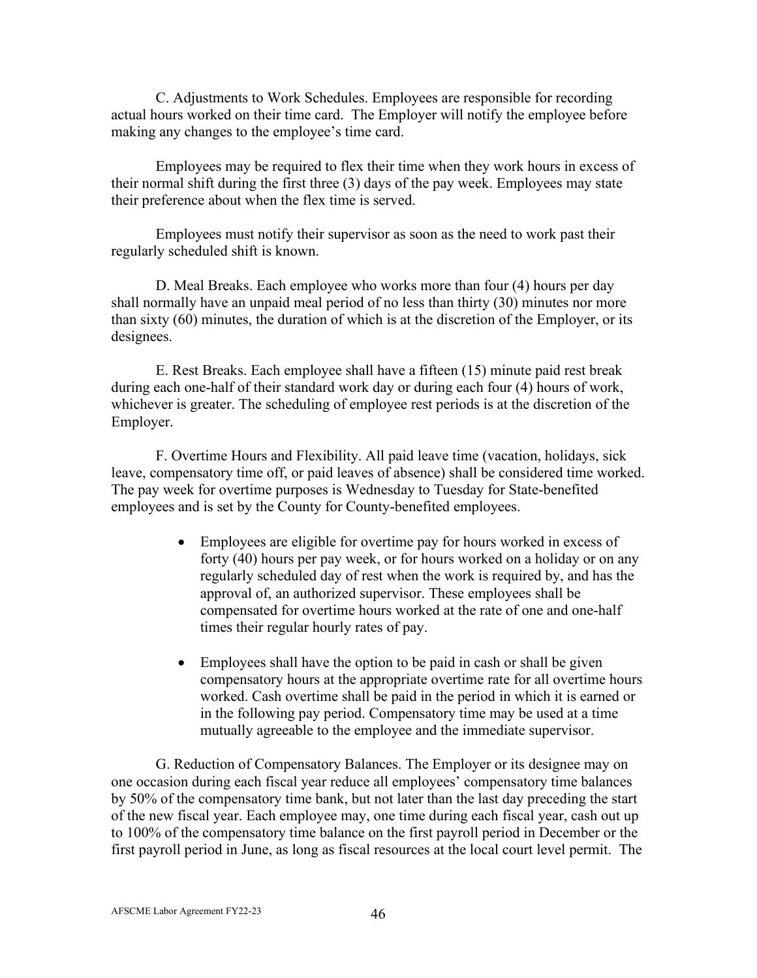C. Adjustments to Work Schedules. Employees are responsible for recording actual hours worked on their time card. The Employer will notify the employee before making any changes to the employee's time card.

Employees may be required to flex their time when they work hours in excess of their normal shift during the first three (3) days of the pay week. Employees may state their preference about when the flex time is served.

Employees must notify their supervisor as soon as the need to work past their regularly scheduled shift is known.

D. Meal Breaks. Each employee who works more than four (4) hours per day shall normally have an unpaid meal period of no less than thirty (30) minutes nor more than sixty (60) minutes, the duration of which is at the discretion of the Employer, or its designees.

E. Rest Breaks. Each employee shall have a fifteen (15) minute paid rest break during each one-half of their standard work day or during each four (4) hours of work, whichever is greater. The scheduling of employee rest periods is at the discretion of the Employer.

F. Overtime Hours and Flexibility. All paid leave time (vacation, holidays, sick leave, compensatory time off, or paid leaves of absence) shall be considered time worked. The pay week for overtime purposes is Wednesday to Tuesday for State-benefited employees and is set by the County for County-benefited employees.

- Employees are eligible for overtime pay for hours worked in excess of forty (40) hours per pay week, or for hours worked on a holiday or on any regularly scheduled day of rest when the work is required by, and has the approval of, an authorized supervisor. These employees shall be compensated for overtime hours worked at the rate of one and one-half times their regular hourly rates of pay.
- Employees shall have the option to be paid in cash or shall be given compensatory hours at the appropriate overtime rate for all overtime hours worked. Cash overtime shall be paid in the period in which it is earned or in the following pay period. Compensatory time may be used at a time mutually agreeable to the employee and the immediate supervisor.

G. Reduction of Compensatory Balances. The Employer or its designee may on one occasion during each fiscal year reduce all employees' compensatory time balances by 50% of the compensatory time bank, but not later than the last day preceding the start of the new fiscal year. Each employee may, one time during each fiscal year, cash out up to 100% of the compensatory time balance on the first payroll period in December or the first payroll period in June, as long as fiscal resources at the local court level permit. The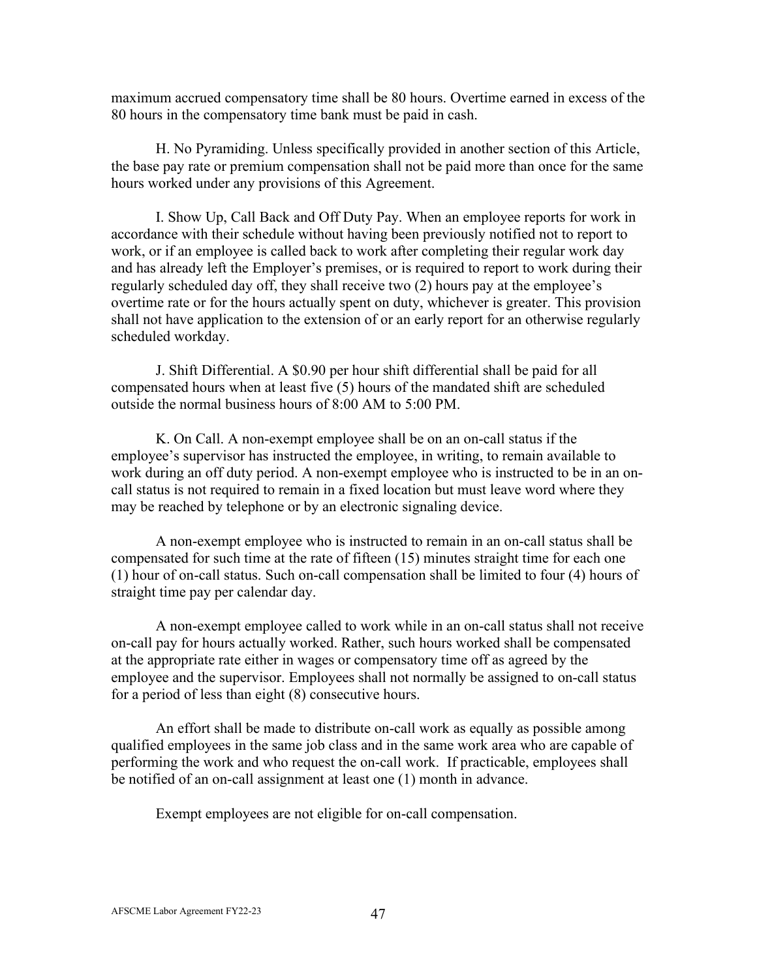maximum accrued compensatory time shall be 80 hours. Overtime earned in excess of the 80 hours in the compensatory time bank must be paid in cash.

H. No Pyramiding. Unless specifically provided in another section of this Article, the base pay rate or premium compensation shall not be paid more than once for the same hours worked under any provisions of this Agreement.

I. Show Up, Call Back and Off Duty Pay. When an employee reports for work in accordance with their schedule without having been previously notified not to report to work, or if an employee is called back to work after completing their regular work day and has already left the Employer's premises, or is required to report to work during their regularly scheduled day off, they shall receive two (2) hours pay at the employee's overtime rate or for the hours actually spent on duty, whichever is greater. This provision shall not have application to the extension of or an early report for an otherwise regularly scheduled workday.

J. Shift Differential. A \$0.90 per hour shift differential shall be paid for all compensated hours when at least five (5) hours of the mandated shift are scheduled outside the normal business hours of 8:00 AM to 5:00 PM.

K. On Call. A non-exempt employee shall be on an on-call status if the employee's supervisor has instructed the employee, in writing, to remain available to work during an off duty period. A non-exempt employee who is instructed to be in an oncall status is not required to remain in a fixed location but must leave word where they may be reached by telephone or by an electronic signaling device.

A non-exempt employee who is instructed to remain in an on-call status shall be compensated for such time at the rate of fifteen (15) minutes straight time for each one (1) hour of on-call status. Such on-call compensation shall be limited to four (4) hours of straight time pay per calendar day.

A non-exempt employee called to work while in an on-call status shall not receive on-call pay for hours actually worked. Rather, such hours worked shall be compensated at the appropriate rate either in wages or compensatory time off as agreed by the employee and the supervisor. Employees shall not normally be assigned to on-call status for a period of less than eight (8) consecutive hours.

An effort shall be made to distribute on-call work as equally as possible among qualified employees in the same job class and in the same work area who are capable of performing the work and who request the on-call work. If practicable, employees shall be notified of an on-call assignment at least one (1) month in advance.

Exempt employees are not eligible for on-call compensation.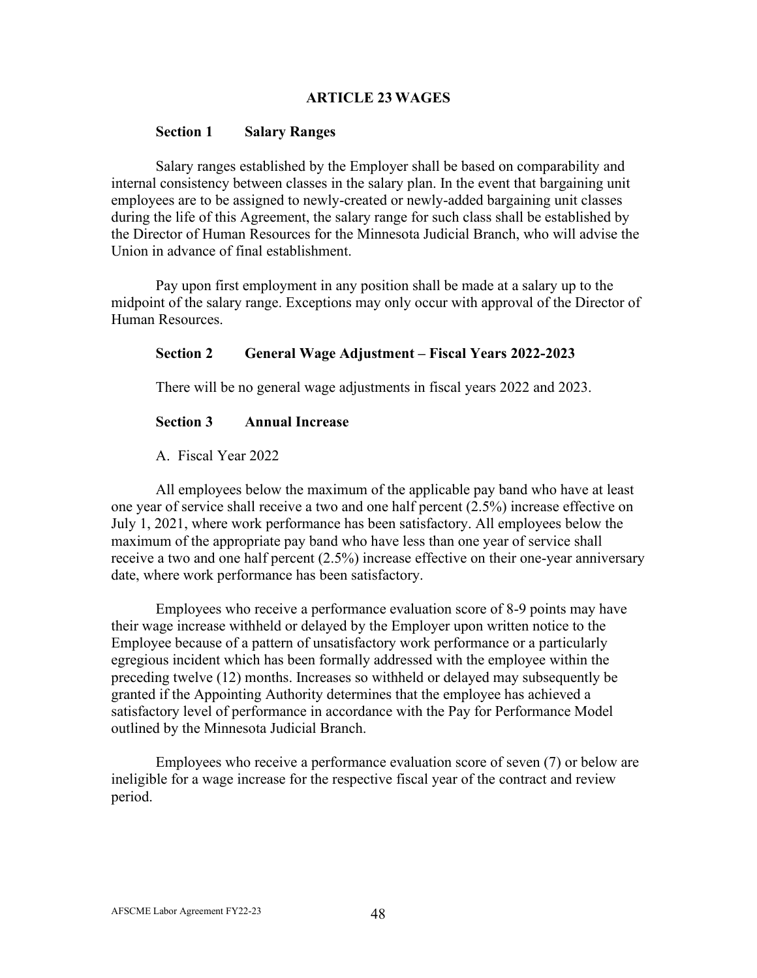### **ARTICLE 23 WAGES**

#### **Section 1 Salary Ranges**

Salary ranges established by the Employer shall be based on comparability and internal consistency between classes in the salary plan. In the event that bargaining unit employees are to be assigned to newly-created or newly-added bargaining unit classes during the life of this Agreement, the salary range for such class shall be established by the Director of Human Resources for the Minnesota Judicial Branch, who will advise the Union in advance of final establishment.

Pay upon first employment in any position shall be made at a salary up to the midpoint of the salary range. Exceptions may only occur with approval of the Director of Human Resources.

### **Section 2 General Wage Adjustment – Fiscal Years 2022-2023**

There will be no general wage adjustments in fiscal years 2022 and 2023.

### **Section 3 Annual Increase**

### A. Fiscal Year 2022

All employees below the maximum of the applicable pay band who have at least one year of service shall receive a two and one half percent (2.5%) increase effective on July 1, 2021, where work performance has been satisfactory. All employees below the maximum of the appropriate pay band who have less than one year of service shall receive a two and one half percent (2.5%) increase effective on their one-year anniversary date, where work performance has been satisfactory.

Employees who receive a performance evaluation score of 8-9 points may have their wage increase withheld or delayed by the Employer upon written notice to the Employee because of a pattern of unsatisfactory work performance or a particularly egregious incident which has been formally addressed with the employee within the preceding twelve (12) months. Increases so withheld or delayed may subsequently be granted if the Appointing Authority determines that the employee has achieved a satisfactory level of performance in accordance with the Pay for Performance Model outlined by the Minnesota Judicial Branch.

Employees who receive a performance evaluation score of seven (7) or below are ineligible for a wage increase for the respective fiscal year of the contract and review period.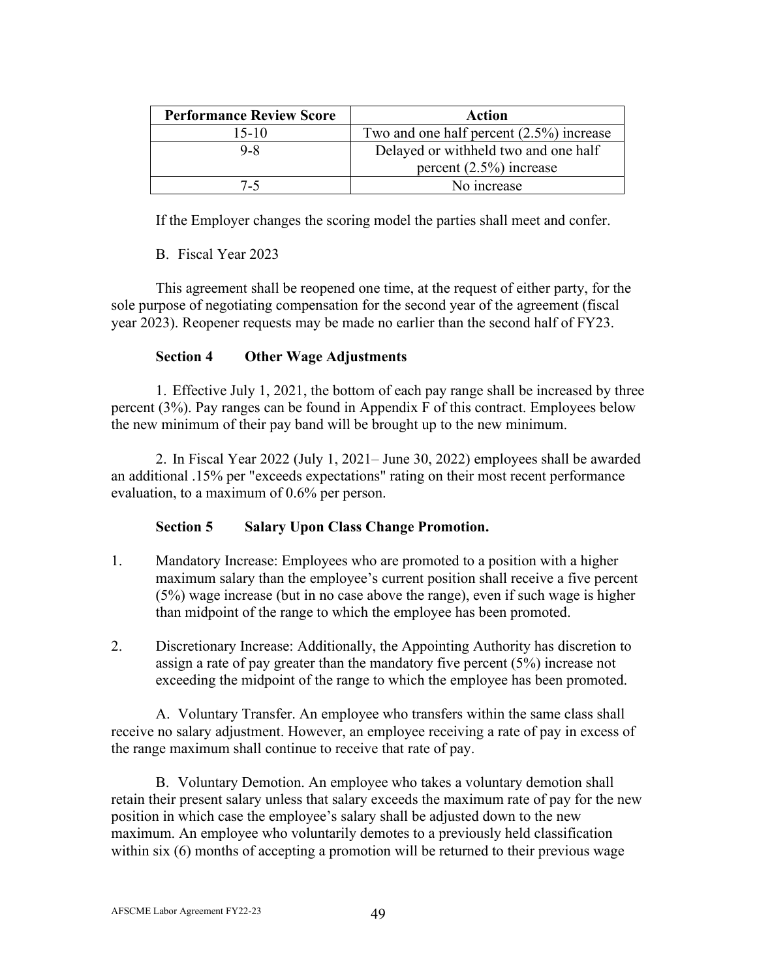| <b>Performance Review Score</b> | <b>Action</b>                               |  |
|---------------------------------|---------------------------------------------|--|
| $15-10$                         | Two and one half percent $(2.5\%)$ increase |  |
| $9 - 8$                         | Delayed or withheld two and one half        |  |
|                                 | percent $(2.5\%)$ increase                  |  |
| 7-5.                            | No increase                                 |  |

If the Employer changes the scoring model the parties shall meet and confer.

B. Fiscal Year 2023

This agreement shall be reopened one time, at the request of either party, for the sole purpose of negotiating compensation for the second year of the agreement (fiscal year 2023). Reopener requests may be made no earlier than the second half of FY23.

## **Section 4 Other Wage Adjustments**

1. Effective July 1, 2021, the bottom of each pay range shall be increased by three percent (3%). Pay ranges can be found in Appendix F of this contract. Employees below the new minimum of their pay band will be brought up to the new minimum.

2. In Fiscal Year 2022 (July 1, 2021– June 30, 2022) employees shall be awarded an additional .15% per "exceeds expectations" rating on their most recent performance evaluation, to a maximum of 0.6% per person.

## **Section 5 Salary Upon Class Change Promotion.**

- 1. Mandatory Increase: Employees who are promoted to a position with a higher maximum salary than the employee's current position shall receive a five percent (5%) wage increase (but in no case above the range), even if such wage is higher than midpoint of the range to which the employee has been promoted.
- 2. Discretionary Increase: Additionally, the Appointing Authority has discretion to assign a rate of pay greater than the mandatory five percent (5%) increase not exceeding the midpoint of the range to which the employee has been promoted.

A. Voluntary Transfer. An employee who transfers within the same class shall receive no salary adjustment. However, an employee receiving a rate of pay in excess of the range maximum shall continue to receive that rate of pay.

B. Voluntary Demotion. An employee who takes a voluntary demotion shall retain their present salary unless that salary exceeds the maximum rate of pay for the new position in which case the employee's salary shall be adjusted down to the new maximum. An employee who voluntarily demotes to a previously held classification within six (6) months of accepting a promotion will be returned to their previous wage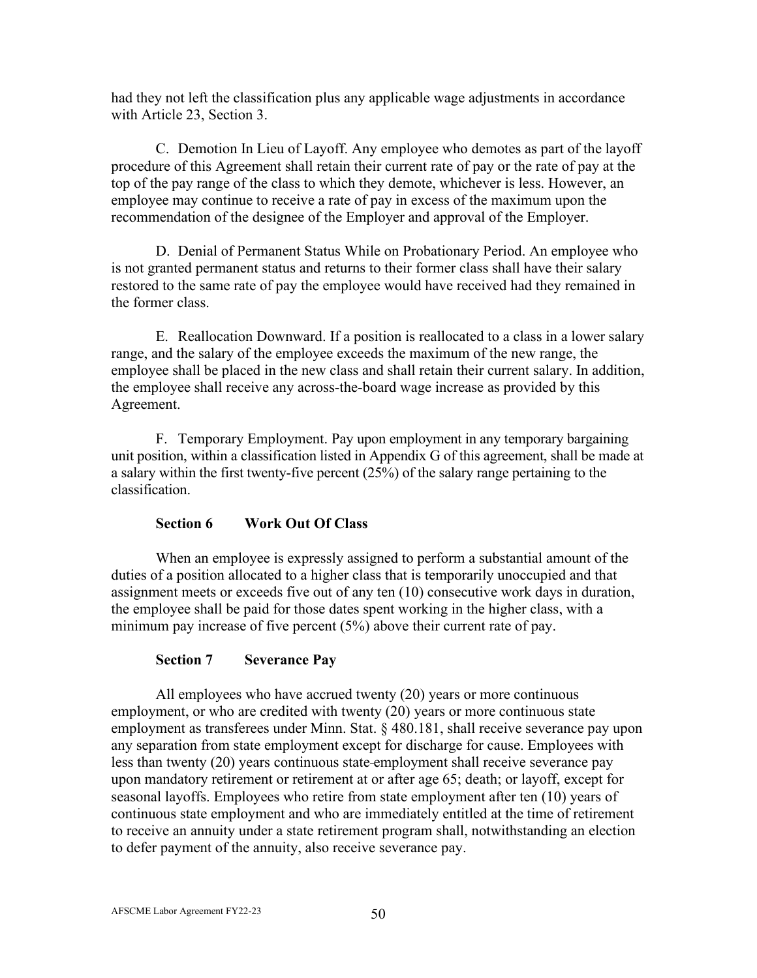had they not left the classification plus any applicable wage adjustments in accordance with Article 23, Section 3.

C. Demotion In Lieu of Layoff. Any employee who demotes as part of the layoff procedure of this Agreement shall retain their current rate of pay or the rate of pay at the top of the pay range of the class to which they demote, whichever is less. However, an employee may continue to receive a rate of pay in excess of the maximum upon the recommendation of the designee of the Employer and approval of the Employer.

D. Denial of Permanent Status While on Probationary Period. An employee who is not granted permanent status and returns to their former class shall have their salary restored to the same rate of pay the employee would have received had they remained in the former class.

E. Reallocation Downward. If a position is reallocated to a class in a lower salary range, and the salary of the employee exceeds the maximum of the new range, the employee shall be placed in the new class and shall retain their current salary. In addition, the employee shall receive any across-the-board wage increase as provided by this Agreement.

F. Temporary Employment. Pay upon employment in any temporary bargaining unit position, within a classification listed in Appendix G of this agreement, shall be made at a salary within the first twenty-five percent (25%) of the salary range pertaining to the classification.

## **Section 6 Work Out Of Class**

When an employee is expressly assigned to perform a substantial amount of the duties of a position allocated to a higher class that is temporarily unoccupied and that assignment meets or exceeds five out of any ten (10) consecutive work days in duration, the employee shall be paid for those dates spent working in the higher class, with a minimum pay increase of five percent (5%) above their current rate of pay.

## **Section 7 Severance Pay**

All employees who have accrued twenty (20) years or more continuous employment, or who are credited with twenty (20) years or more continuous state employment as transferees under Minn. Stat. § 480.181, shall receive severance pay upon any separation from state employment except for discharge for cause. Employees with less than twenty (20) years continuous state employment shall receive severance pay upon mandatory retirement or retirement at or after age 65; death; or layoff, except for seasonal layoffs. Employees who retire from state employment after ten (10) years of continuous state employment and who are immediately entitled at the time of retirement to receive an annuity under a state retirement program shall, notwithstanding an election to defer payment of the annuity, also receive severance pay.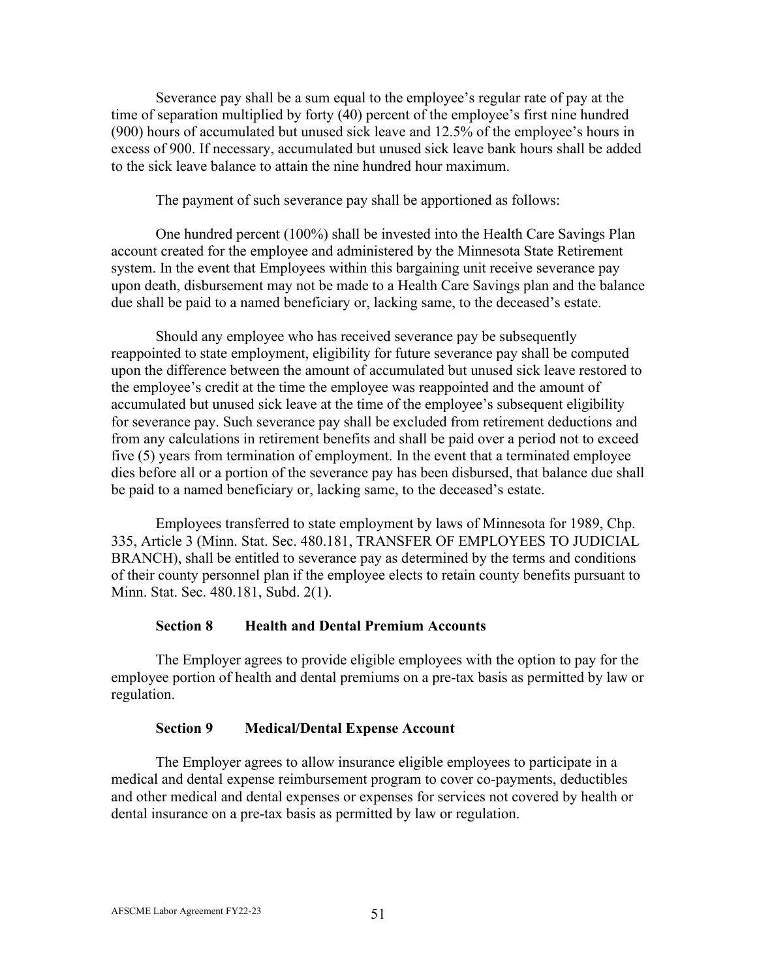Severance pay shall be a sum equal to the employee's regular rate of pay at the time of separation multiplied by forty (40) percent of the employee's first nine hundred (900) hours of accumulated but unused sick leave and 12.5% of the employee's hours in excess of 900. If necessary, accumulated but unused sick leave bank hours shall be added to the sick leave balance to attain the nine hundred hour maximum.

The payment of such severance pay shall be apportioned as follows:

One hundred percent (100%) shall be invested into the Health Care Savings Plan account created for the employee and administered by the Minnesota State Retirement system. In the event that Employees within this bargaining unit receive severance pay upon death, disbursement may not be made to a Health Care Savings plan and the balance due shall be paid to a named beneficiary or, lacking same, to the deceased's estate.

Should any employee who has received severance pay be subsequently reappointed to state employment, eligibility for future severance pay shall be computed upon the difference between the amount of accumulated but unused sick leave restored to the employee's credit at the time the employee was reappointed and the amount of accumulated but unused sick leave at the time of the employee's subsequent eligibility for severance pay. Such severance pay shall be excluded from retirement deductions and from any calculations in retirement benefits and shall be paid over a period not to exceed five (5) years from termination of employment. In the event that a terminated employee dies before all or a portion of the severance pay has been disbursed, that balance due shall be paid to a named beneficiary or, lacking same, to the deceased's estate.

Employees transferred to state employment by laws of Minnesota for 1989, Chp. 335, Article 3 (Minn. Stat. Sec. 480.181, TRANSFER OF EMPLOYEES TO JUDICIAL BRANCH), shall be entitled to severance pay as determined by the terms and conditions of their county personnel plan if the employee elects to retain county benefits pursuant to Minn. Stat. Sec. 480.181, Subd. 2(1).

#### **Section 8 Health and Dental Premium Accounts**

The Employer agrees to provide eligible employees with the option to pay for the employee portion of health and dental premiums on a pre-tax basis as permitted by law or regulation.

#### **Section 9 Medical/Dental Expense Account**

The Employer agrees to allow insurance eligible employees to participate in a medical and dental expense reimbursement program to cover co-payments, deductibles and other medical and dental expenses or expenses for services not covered by health or dental insurance on a pre-tax basis as permitted by law or regulation.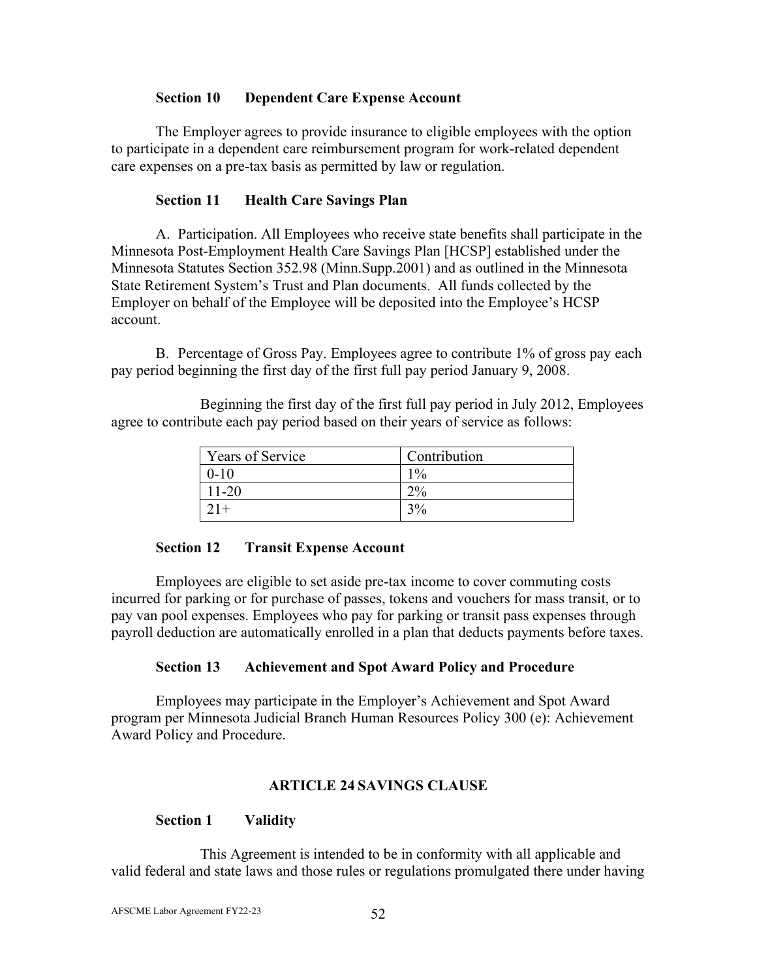## **Section 10 Dependent Care Expense Account**

The Employer agrees to provide insurance to eligible employees with the option to participate in a dependent care reimbursement program for work-related dependent care expenses on a pre-tax basis as permitted by law or regulation.

## **Section 11 Health Care Savings Plan**

A. Participation. All Employees who receive state benefits shall participate in the Minnesota Post-Employment Health Care Savings Plan [HCSP] established under the Minnesota Statutes Section 352.98 (Minn.Supp.2001) and as outlined in the Minnesota State Retirement System's Trust and Plan documents. All funds collected by the Employer on behalf of the Employee will be deposited into the Employee's HCSP account.

B. Percentage of Gross Pay. Employees agree to contribute 1% of gross pay each pay period beginning the first day of the first full pay period January 9, 2008.

Beginning the first day of the first full pay period in July 2012, Employees agree to contribute each pay period based on their years of service as follows:

| Years of Service | Contribution      |
|------------------|-------------------|
| $0 - 10$         | $1\%$             |
| $1 - 20$         | $\mathcal{D}^{0}$ |
|                  | 3%                |

## **Section 12 Transit Expense Account**

Employees are eligible to set aside pre-tax income to cover commuting costs incurred for parking or for purchase of passes, tokens and vouchers for mass transit, or to pay van pool expenses. Employees who pay for parking or transit pass expenses through payroll deduction are automatically enrolled in a plan that deducts payments before taxes.

## **Section 13 Achievement and Spot Award Policy and Procedure**

Employees may participate in the Employer's Achievement and Spot Award program per Minnesota Judicial Branch Human Resources Policy 300 (e): Achievement Award Policy and Procedure.

## **ARTICLE 24 SAVINGS CLAUSE**

## **Section 1 Validity**

This Agreement is intended to be in conformity with all applicable and valid federal and state laws and those rules or regulations promulgated there under having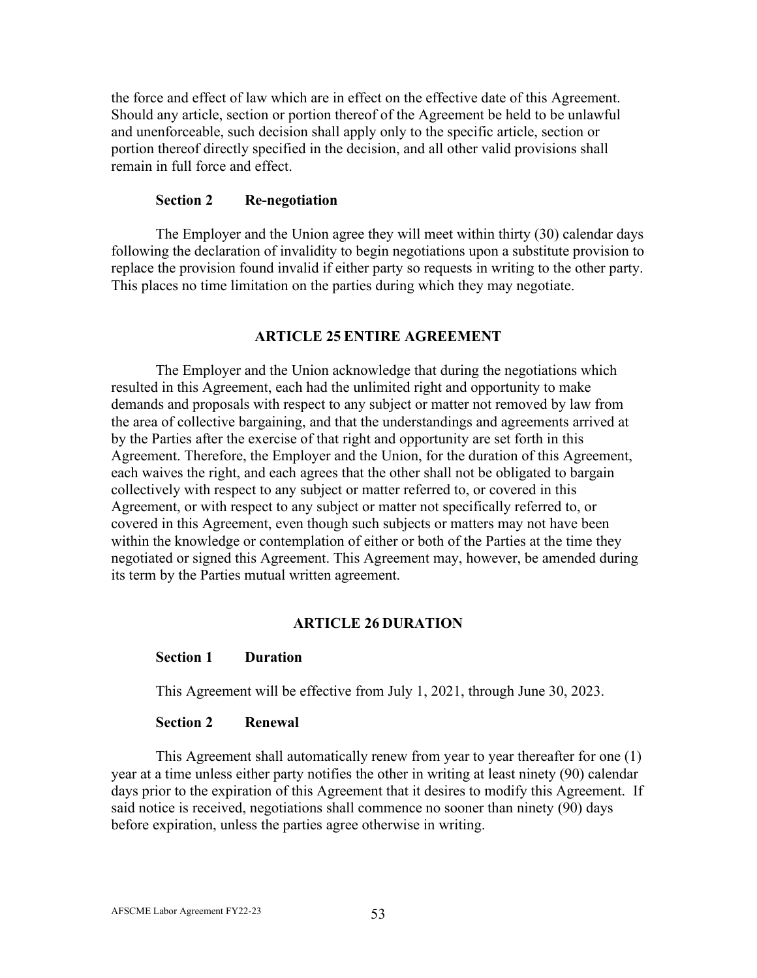the force and effect of law which are in effect on the effective date of this Agreement. Should any article, section or portion thereof of the Agreement be held to be unlawful and unenforceable, such decision shall apply only to the specific article, section or portion thereof directly specified in the decision, and all other valid provisions shall remain in full force and effect.

#### **Section 2 Re-negotiation**

The Employer and the Union agree they will meet within thirty (30) calendar days following the declaration of invalidity to begin negotiations upon a substitute provision to replace the provision found invalid if either party so requests in writing to the other party. This places no time limitation on the parties during which they may negotiate.

#### **ARTICLE 25 ENTIRE AGREEMENT**

The Employer and the Union acknowledge that during the negotiations which resulted in this Agreement, each had the unlimited right and opportunity to make demands and proposals with respect to any subject or matter not removed by law from the area of collective bargaining, and that the understandings and agreements arrived at by the Parties after the exercise of that right and opportunity are set forth in this Agreement. Therefore, the Employer and the Union, for the duration of this Agreement, each waives the right, and each agrees that the other shall not be obligated to bargain collectively with respect to any subject or matter referred to, or covered in this Agreement, or with respect to any subject or matter not specifically referred to, or covered in this Agreement, even though such subjects or matters may not have been within the knowledge or contemplation of either or both of the Parties at the time they negotiated or signed this Agreement. This Agreement may, however, be amended during its term by the Parties mutual written agreement.

#### **ARTICLE 26 DURATION**

#### **Section 1 Duration**

This Agreement will be effective from July 1, 2021, through June 30, 2023.

#### **Section 2 Renewal**

This Agreement shall automatically renew from year to year thereafter for one (1) year at a time unless either party notifies the other in writing at least ninety (90) calendar days prior to the expiration of this Agreement that it desires to modify this Agreement. If said notice is received, negotiations shall commence no sooner than ninety (90) days before expiration, unless the parties agree otherwise in writing.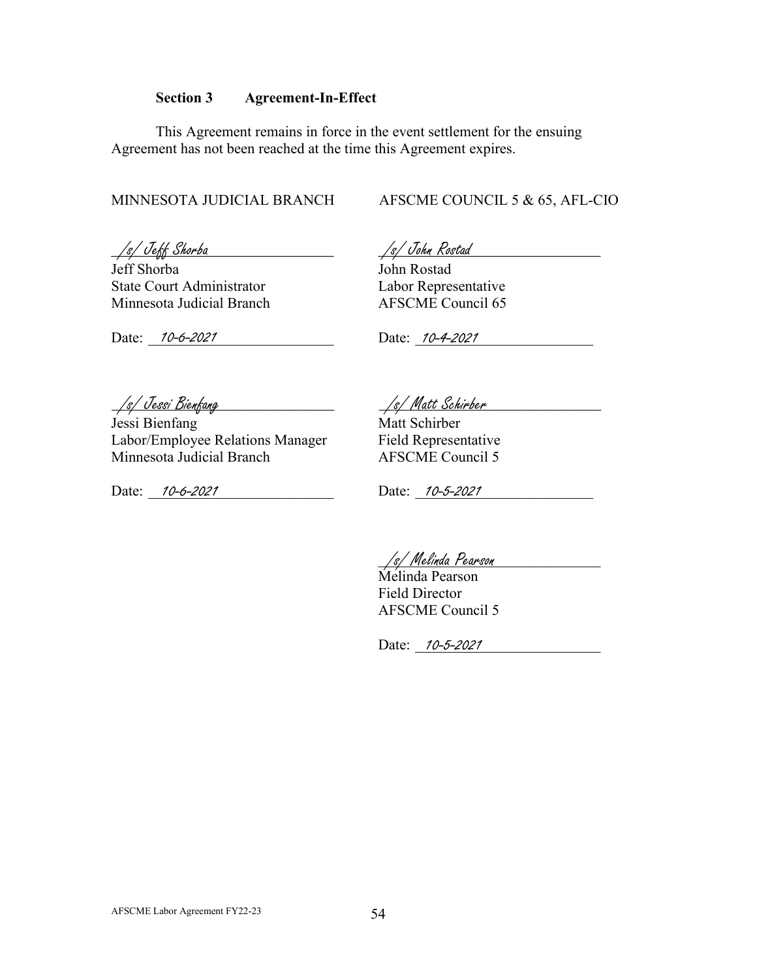#### **Section 3 Agreement-In-Effect**

This Agreement remains in force in the event settlement for the ensuing Agreement has not been reached at the time this Agreement expires.

MINNESOTA JUDICIAL BRANCH AFSCME COUNCIL 5 & 65, AFL-CIO

*\_\_\_\_\_\_\_\_\_\_\_\_\_\_\_\_\_\_\_\_\_\_\_\_\_\_\_\_\_\_ \_\_\_\_\_\_\_\_\_\_\_\_\_\_\_\_\_\_\_\_\_\_\_\_\_\_\_\_\_\_* /s/ Jeff Shorba /s/ John Rostad

Jeff Shorba John Rostad State Court Administrator Labor Representative<br>
Minnesota Judicial Branch<br>
AFSCME Council 65 Minnesota Judicial Branch

Date: 10-6-2021

Date: <u>10-6-2021</u> Date: <u>10-4-2021</u>

Jessi Bienfang Matt Schirber Labor/Employee Relations Manager<br>
Minnesota Judicial Branch<br>
AFSCME Council 5 Minnesota Judicial Branch

Date: 10-6-2021 Date: 10-5-2021 Date: 10-6-2021

\_\_\_\_\_\_\_\_\_\_\_\_\_\_\_\_\_\_\_\_\_\_\_\_\_\_\_\_\_\_ \_\_\_\_\_\_\_\_\_\_\_\_\_\_\_\_\_\_\_\_\_\_\_\_\_\_\_\_\_\_ /s/ Jessi Bienfang /s/ Matt Schirber

\_\_\_\_\_\_\_\_\_\_\_\_\_\_\_\_\_\_\_\_\_\_\_\_\_\_\_\_\_\_ /s/ Melinda Pearson

Melinda Pearson Field Director AFSCME Council 5

Date: <u>10-5-2021</u>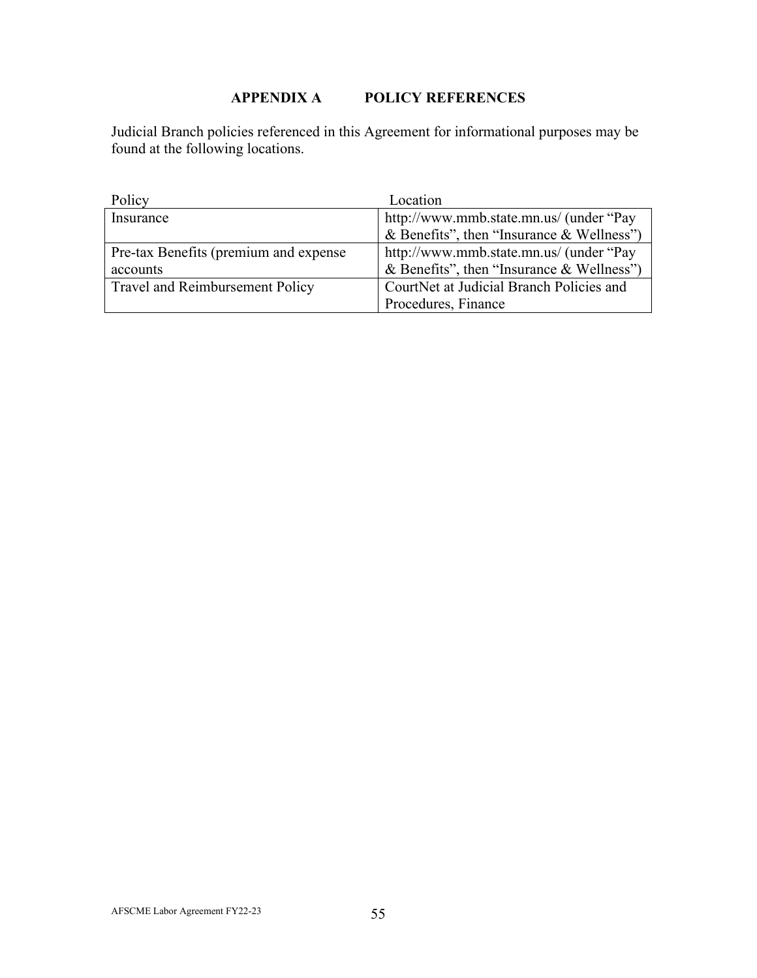# **APPENDIX A POLICY REFERENCES**

Judicial Branch policies referenced in this Agreement for informational purposes may be found at the following locations.

| Policy                                 | Location                                  |
|----------------------------------------|-------------------------------------------|
| Insurance                              | http://www.mmb.state.mn.us/ (under "Pay   |
|                                        | & Benefits", then "Insurance & Wellness") |
| Pre-tax Benefits (premium and expense  | http://www.mmb.state.mn.us/ (under "Pay"  |
| accounts                               | & Benefits", then "Insurance & Wellness") |
| <b>Travel and Reimbursement Policy</b> | CourtNet at Judicial Branch Policies and  |
|                                        | Procedures, Finance                       |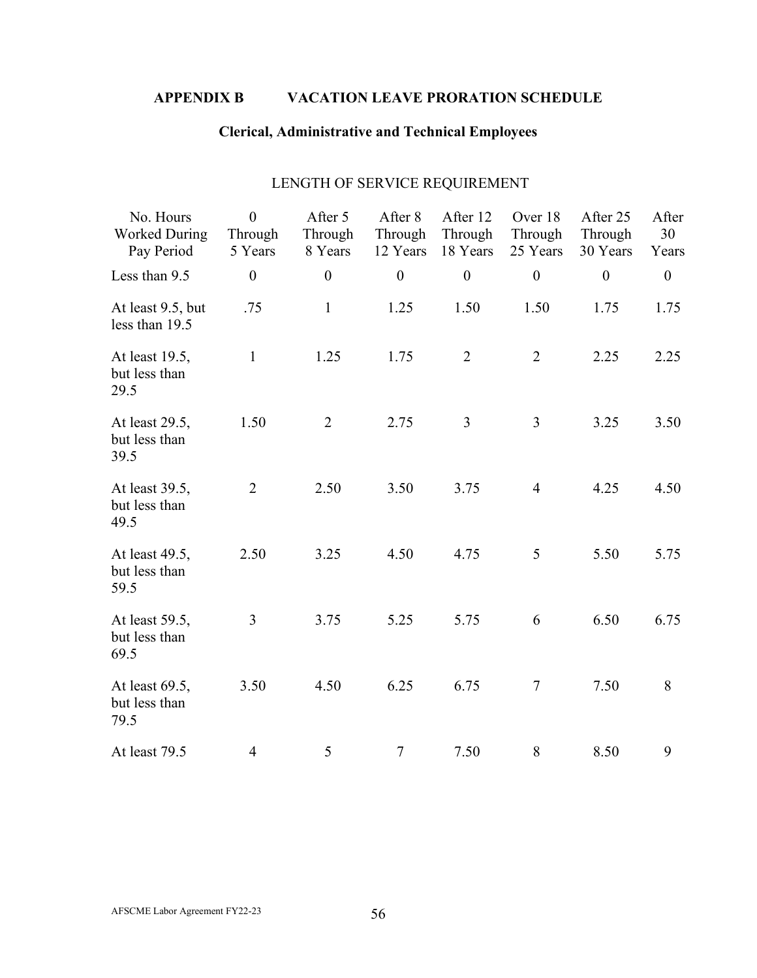# **APPENDIX B VACATION LEAVE PRORATION SCHEDULE**

# **Clerical, Administrative and Technical Employees**

| No. Hours<br><b>Worked During</b><br>Pay Period | $\theta$<br>Through<br>5 Years | After 5<br>Through<br>8 Years | After 8<br>Through<br>12 Years | After 12<br>Through<br>18 Years | Over 18<br>Through<br>25 Years | After 25<br>Through<br>30 Years | After<br>30<br>Years |
|-------------------------------------------------|--------------------------------|-------------------------------|--------------------------------|---------------------------------|--------------------------------|---------------------------------|----------------------|
| Less than 9.5                                   | $\boldsymbol{0}$               | $\boldsymbol{0}$              | $\boldsymbol{0}$               | $\boldsymbol{0}$                | $\boldsymbol{0}$               | $\boldsymbol{0}$                | $\boldsymbol{0}$     |
| At least 9.5, but<br>less than 19.5             | .75                            | $\mathbf 1$                   | 1.25                           | 1.50                            | 1.50                           | 1.75                            | 1.75                 |
| At least 19.5,<br>but less than<br>29.5         | $\mathbf{1}$                   | 1.25                          | 1.75                           | $\overline{2}$                  | $\overline{2}$                 | 2.25                            | 2.25                 |
| At least 29.5,<br>but less than<br>39.5         | 1.50                           | $\overline{2}$                | 2.75                           | 3                               | $\overline{3}$                 | 3.25                            | 3.50                 |
| At least 39.5,<br>but less than<br>49.5         | $\overline{2}$                 | 2.50                          | 3.50                           | 3.75                            | $\overline{4}$                 | 4.25                            | 4.50                 |
| At least 49.5,<br>but less than<br>59.5         | 2.50                           | 3.25                          | 4.50                           | 4.75                            | 5                              | 5.50                            | 5.75                 |
| At least 59.5,<br>but less than<br>69.5         | 3                              | 3.75                          | 5.25                           | 5.75                            | 6                              | 6.50                            | 6.75                 |
| At least 69.5,<br>but less than<br>79.5         | 3.50                           | 4.50                          | 6.25                           | 6.75                            | $\tau$                         | 7.50                            | 8                    |
| At least 79.5                                   | $\overline{4}$                 | 5                             | $\tau$                         | 7.50                            | 8                              | 8.50                            | 9                    |

## LENGTH OF SERVICE REQUIREMENT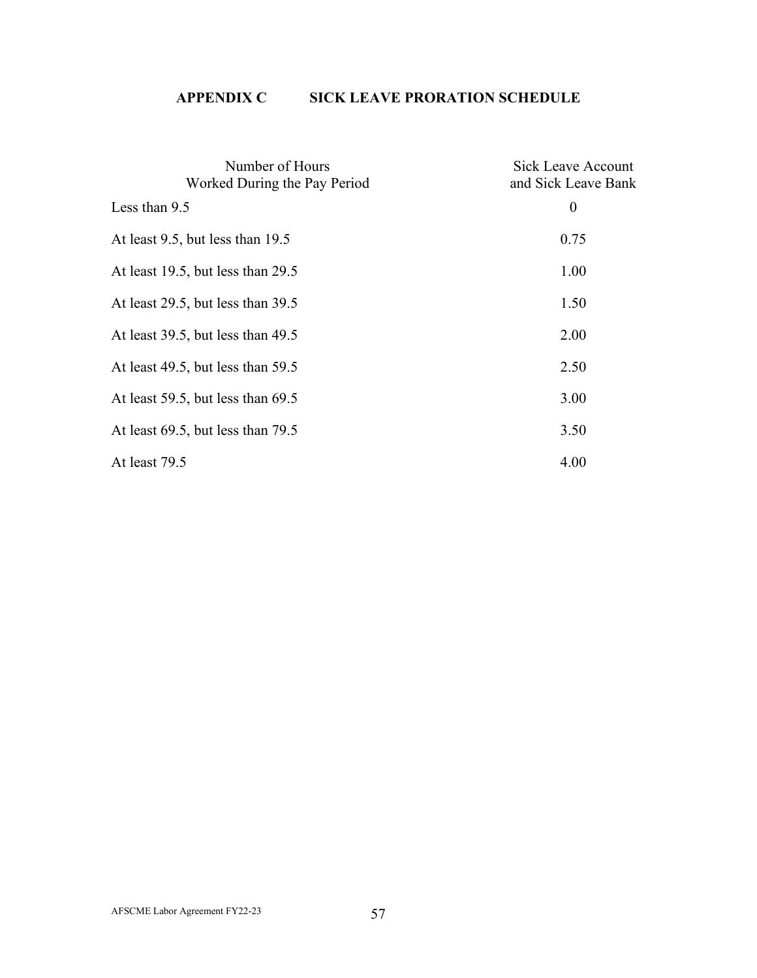# **APPENDIX C SICK LEAVE PRORATION SCHEDULE**

| Number of Hours<br>Worked During the Pay Period | Sick Leave Account<br>and Sick Leave Bank |
|-------------------------------------------------|-------------------------------------------|
| Less than 9.5                                   | $\boldsymbol{0}$                          |
| At least 9.5, but less than 19.5                | 0.75                                      |
| At least 19.5, but less than 29.5               | 1.00                                      |
| At least 29.5, but less than 39.5               | 1.50                                      |
| At least 39.5, but less than 49.5               | 2.00                                      |
| At least 49.5, but less than 59.5               | 2.50                                      |
| At least 59.5, but less than 69.5               | 3.00                                      |
| At least $69.5$ , but less than $79.5$          | 3.50                                      |
| At least 79.5                                   | 4.00                                      |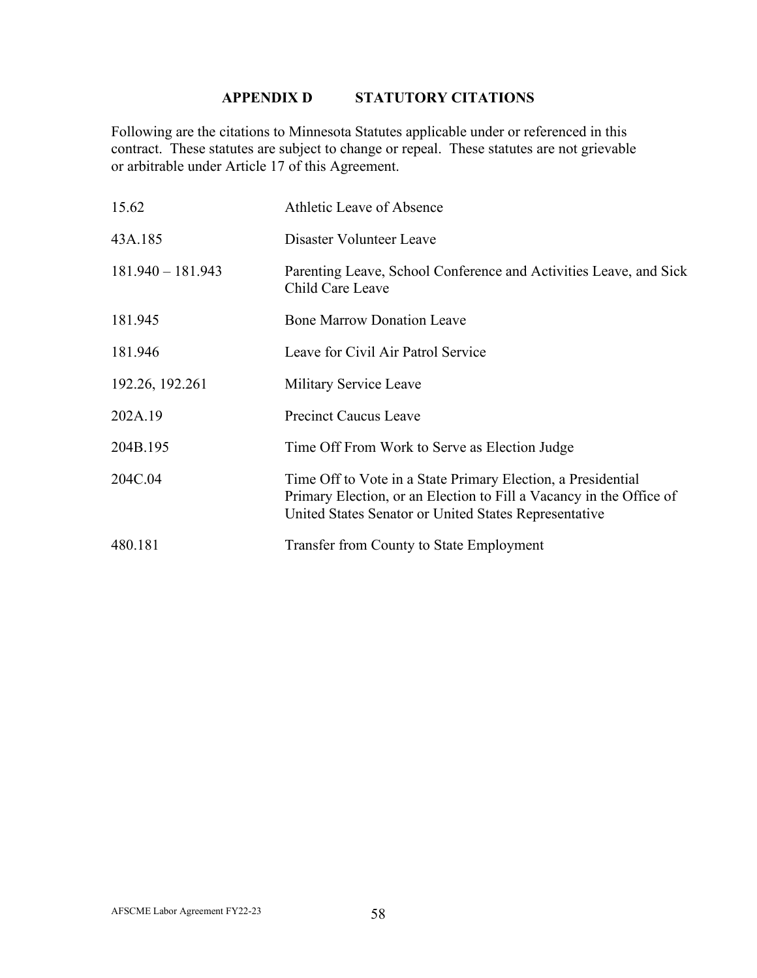# **APPENDIX D STATUTORY CITATIONS**

Following are the citations to Minnesota Statutes applicable under or referenced in this contract. These statutes are subject to change or repeal. These statutes are not grievable or arbitrable under Article 17 of this Agreement.

| 15.62               | Athletic Leave of Absence                                                                                                                                                                    |  |  |  |
|---------------------|----------------------------------------------------------------------------------------------------------------------------------------------------------------------------------------------|--|--|--|
| 43A.185             | Disaster Volunteer Leave                                                                                                                                                                     |  |  |  |
| $181.940 - 181.943$ | Parenting Leave, School Conference and Activities Leave, and Sick<br>Child Care Leave                                                                                                        |  |  |  |
| 181.945             | <b>Bone Marrow Donation Leave</b>                                                                                                                                                            |  |  |  |
| 181.946             | Leave for Civil Air Patrol Service                                                                                                                                                           |  |  |  |
| 192.26, 192.261     | Military Service Leave                                                                                                                                                                       |  |  |  |
| 202A.19             | <b>Precinct Caucus Leave</b>                                                                                                                                                                 |  |  |  |
| 204B.195            | Time Off From Work to Serve as Election Judge                                                                                                                                                |  |  |  |
| 204C.04             | Time Off to Vote in a State Primary Election, a Presidential<br>Primary Election, or an Election to Fill a Vacancy in the Office of<br>United States Senator or United States Representative |  |  |  |
| 480.181             | Transfer from County to State Employment                                                                                                                                                     |  |  |  |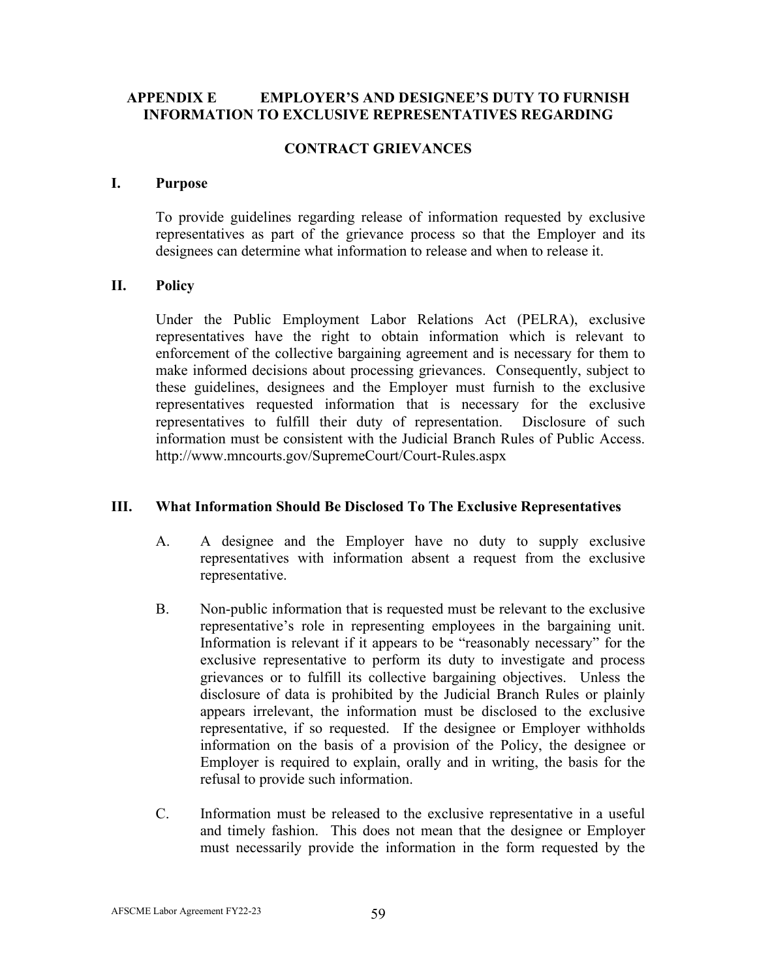## **APPENDIX E EMPLOYER'S AND DESIGNEE'S DUTY TO FURNISH INFORMATION TO EXCLUSIVE REPRESENTATIVES REGARDING**

### **CONTRACT GRIEVANCES**

### **I. Purpose**

To provide guidelines regarding release of information requested by exclusive representatives as part of the grievance process so that the Employer and its designees can determine what information to release and when to release it.

## **II. Policy**

Under the Public Employment Labor Relations Act (PELRA), exclusive representatives have the right to obtain information which is relevant to enforcement of the collective bargaining agreement and is necessary for them to make informed decisions about processing grievances. Consequently, subject to these guidelines, designees and the Employer must furnish to the exclusive representatives requested information that is necessary for the exclusive representatives to fulfill their duty of representation. Disclosure of such information must be consistent with the Judicial Branch Rules of Public Access. <http://www.mncourts.gov/SupremeCourt/Court-Rules.aspx>

## **III. What Information Should Be Disclosed To The Exclusive Representatives**

- A. A designee and the Employer have no duty to supply exclusive representatives with information absent a request from the exclusive representative.
- B. Non-public information that is requested must be relevant to the exclusive representative's role in representing employees in the bargaining unit. Information is relevant if it appears to be "reasonably necessary" for the exclusive representative to perform its duty to investigate and process grievances or to fulfill its collective bargaining objectives. Unless the disclosure of data is prohibited by the Judicial Branch Rules or plainly appears irrelevant, the information must be disclosed to the exclusive representative, if so requested. If the designee or Employer withholds information on the basis of a provision of the Policy, the designee or Employer is required to explain, orally and in writing, the basis for the refusal to provide such information.
- C. Information must be released to the exclusive representative in a useful and timely fashion. This does not mean that the designee or Employer must necessarily provide the information in the form requested by the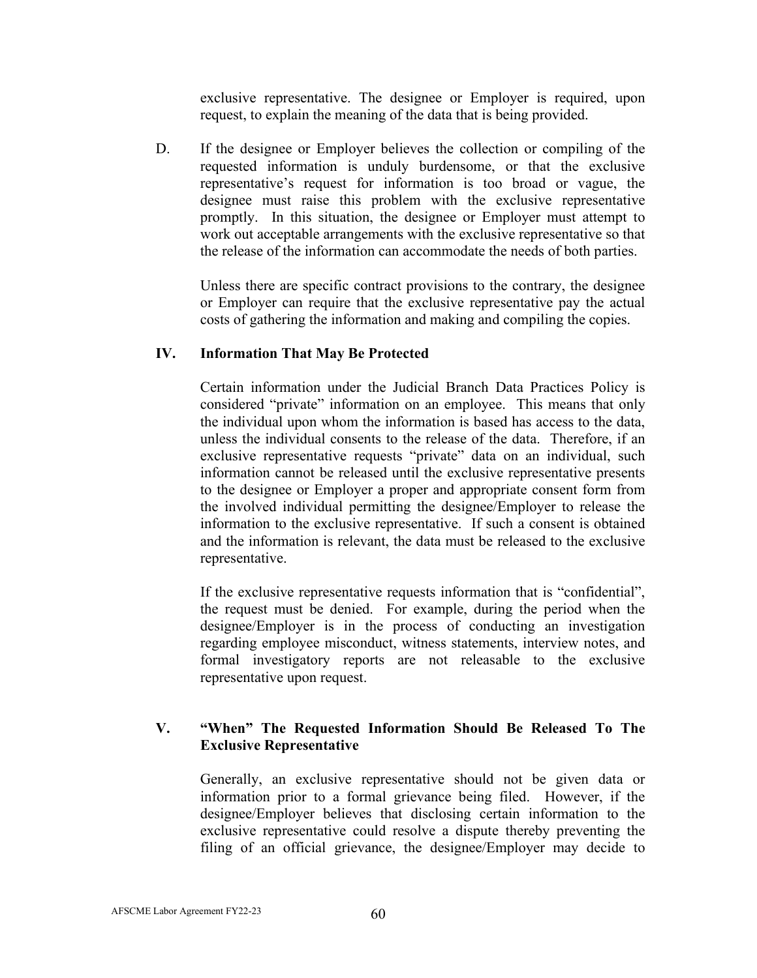exclusive representative. The designee or Employer is required, upon request, to explain the meaning of the data that is being provided.

D. If the designee or Employer believes the collection or compiling of the requested information is unduly burdensome, or that the exclusive representative's request for information is too broad or vague, the designee must raise this problem with the exclusive representative promptly. In this situation, the designee or Employer must attempt to work out acceptable arrangements with the exclusive representative so that the release of the information can accommodate the needs of both parties.

Unless there are specific contract provisions to the contrary, the designee or Employer can require that the exclusive representative pay the actual costs of gathering the information and making and compiling the copies.

## **IV. Information That May Be Protected**

Certain information under the Judicial Branch Data Practices Policy is considered "private" information on an employee. This means that only the individual upon whom the information is based has access to the data, unless the individual consents to the release of the data. Therefore, if an exclusive representative requests "private" data on an individual, such information cannot be released until the exclusive representative presents to the designee or Employer a proper and appropriate consent form from the involved individual permitting the designee/Employer to release the information to the exclusive representative. If such a consent is obtained and the information is relevant, the data must be released to the exclusive representative.

If the exclusive representative requests information that is "confidential", the request must be denied. For example, during the period when the designee/Employer is in the process of conducting an investigation regarding employee misconduct, witness statements, interview notes, and formal investigatory reports are not releasable to the exclusive representative upon request.

## **V. "When" The Requested Information Should Be Released To The Exclusive Representative**

Generally, an exclusive representative should not be given data or information prior to a formal grievance being filed. However, if the designee/Employer believes that disclosing certain information to the exclusive representative could resolve a dispute thereby preventing the filing of an official grievance, the designee/Employer may decide to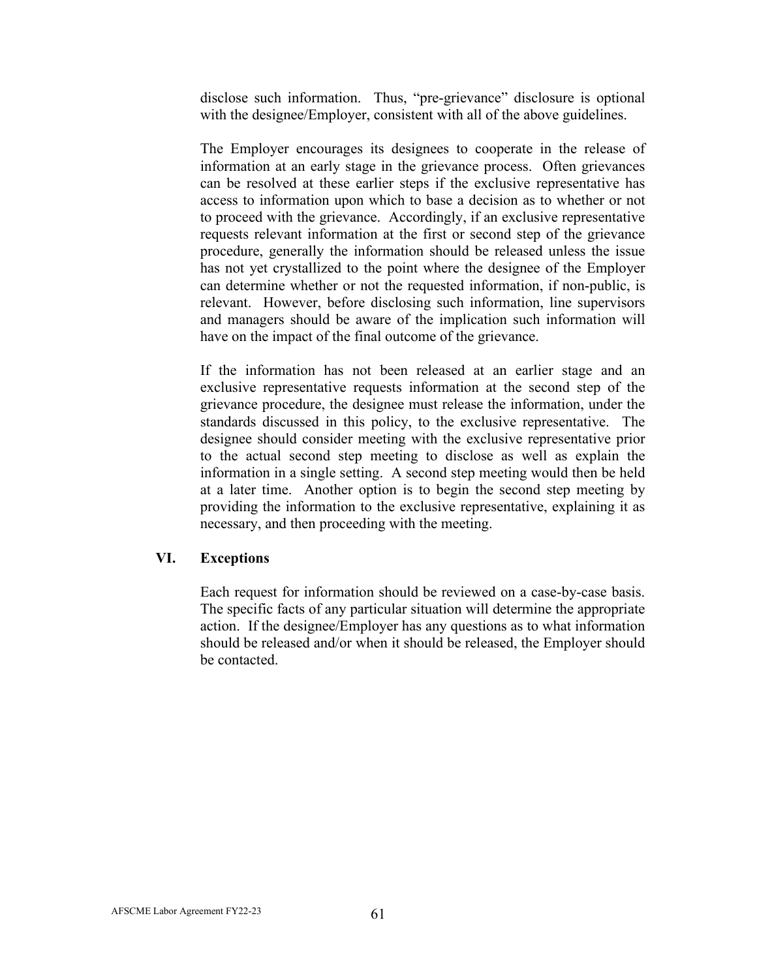disclose such information. Thus, "pre-grievance" disclosure is optional with the designee/Employer, consistent with all of the above guidelines.

The Employer encourages its designees to cooperate in the release of information at an early stage in the grievance process. Often grievances can be resolved at these earlier steps if the exclusive representative has access to information upon which to base a decision as to whether or not to proceed with the grievance. Accordingly, if an exclusive representative requests relevant information at the first or second step of the grievance procedure, generally the information should be released unless the issue has not yet crystallized to the point where the designee of the Employer can determine whether or not the requested information, if non-public, is relevant. However, before disclosing such information, line supervisors and managers should be aware of the implication such information will have on the impact of the final outcome of the grievance.

If the information has not been released at an earlier stage and an exclusive representative requests information at the second step of the grievance procedure, the designee must release the information, under the standards discussed in this policy, to the exclusive representative. The designee should consider meeting with the exclusive representative prior to the actual second step meeting to disclose as well as explain the information in a single setting. A second step meeting would then be held at a later time. Another option is to begin the second step meeting by providing the information to the exclusive representative, explaining it as necessary, and then proceeding with the meeting.

## **VI. Exceptions**

Each request for information should be reviewed on a case-by-case basis. The specific facts of any particular situation will determine the appropriate action. If the designee/Employer has any questions as to what information should be released and/or when it should be released, the Employer should be contacted.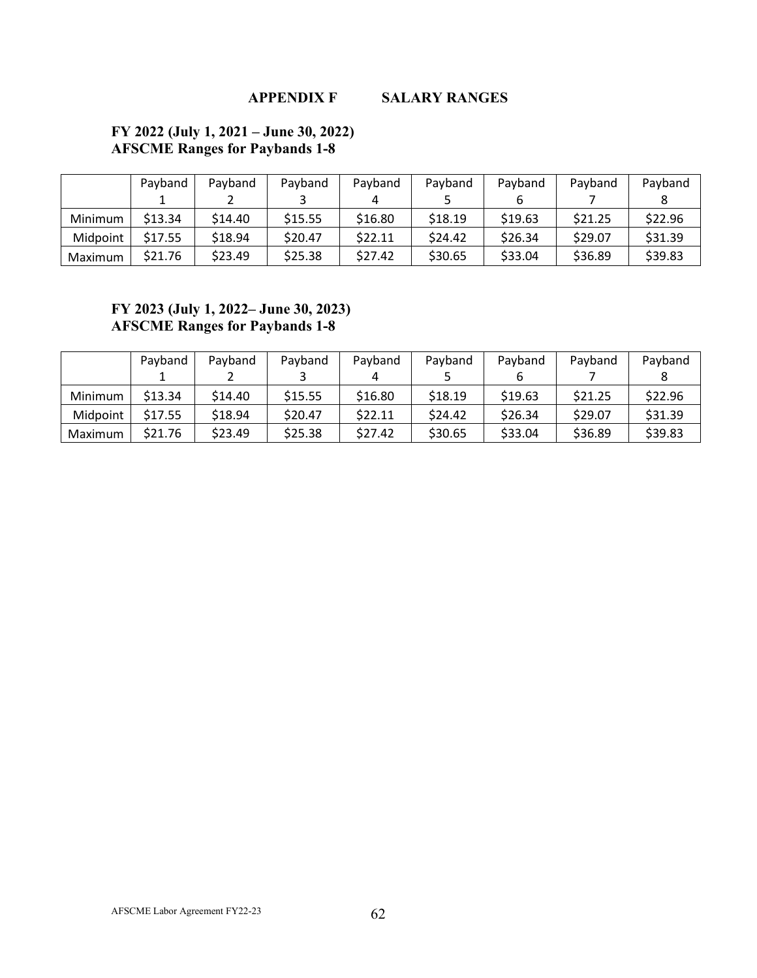**APPENDIX F SALARY RANGES**

## **FY 2022 (July 1, 2021 – June 30, 2022) AFSCME Ranges for Paybands 1-8**

|          | Payband | Payband | Payband | Payband | Payband | Payband | Payband | Payband |
|----------|---------|---------|---------|---------|---------|---------|---------|---------|
|          |         |         |         |         |         |         |         |         |
| Minimum  | \$13.34 | \$14.40 | \$15.55 | \$16.80 | \$18.19 | \$19.63 | \$21.25 | \$22.96 |
| Midpoint | \$17.55 | \$18.94 | \$20.47 | \$22.11 | \$24.42 | \$26.34 | \$29.07 | \$31.39 |
| Maximum  | \$21.76 | \$23.49 | \$25.38 | \$27.42 | \$30.65 | \$33.04 | \$36.89 | \$39.83 |

## **FY 2023 (July 1, 2022– June 30, 2023) AFSCME Ranges for Paybands 1-8**

|          | Payband | Payband | Payband | Payband | Payband | Payband | Payband | Payband |
|----------|---------|---------|---------|---------|---------|---------|---------|---------|
|          |         |         |         |         |         |         |         |         |
| Minimum  | \$13.34 | \$14.40 | \$15.55 | \$16.80 | \$18.19 | \$19.63 | \$21.25 | \$22.96 |
| Midpoint | \$17.55 | \$18.94 | \$20.47 | \$22.11 | \$24.42 | \$26.34 | \$29.07 | \$31.39 |
| Maximum  | \$21.76 | \$23.49 | \$25.38 | \$27.42 | \$30.65 | \$33.04 | \$36.89 | \$39.83 |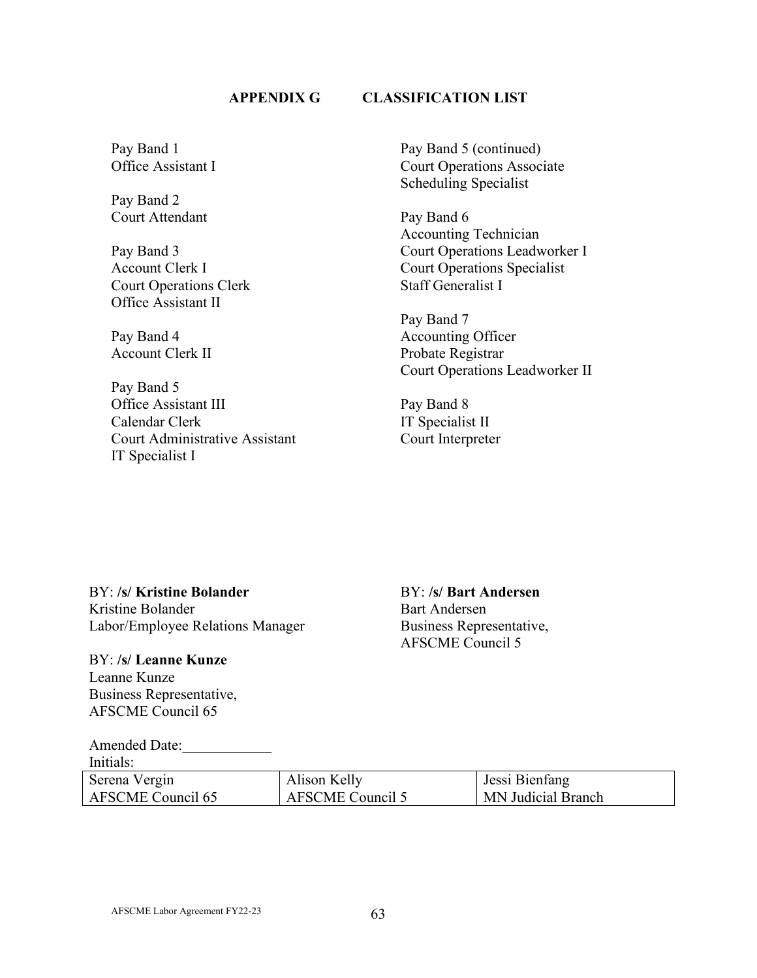## **APPENDIX G CLASSIFICATION LIST**

Pay Band 1 Office Assistant I

Pay Band 2 Court Attendant

Pay Band 3 Account Clerk I Court Operations Clerk Office Assistant II

Pay Band 4 Account Clerk II

Pay Band 5 Office Assistant III Calendar Clerk Court Administrative Assistant IT Specialist I

Pay Band 5 (continued) Court Operations Associate Scheduling Specialist

Pay Band 6 Accounting Technician Court Operations Leadworker I Court Operations Specialist Staff Generalist I

Pay Band 7 Accounting Officer Probate Registrar Court Operations Leadworker II

Pay Band 8 IT Specialist II Court Interpreter

BY: **/s/ Kristine Bolander** BY: **/s/ Bart Andersen** Kristine Bolander Bart Andersen Labor/Employee Relations Manager Business Representative,

BY: **/s/ Leanne Kunze** Leanne Kunze Business Representative, AFSCME Council 65

Amended Date:

Serena Vergin

AFSCME Council 65

Initials:

AFSCME Council 5

Jessi Bienfang MN Judicial Branch

AFSCME Labor Agreement FY22-23 63

Alison Kelly

AFSCME Council 5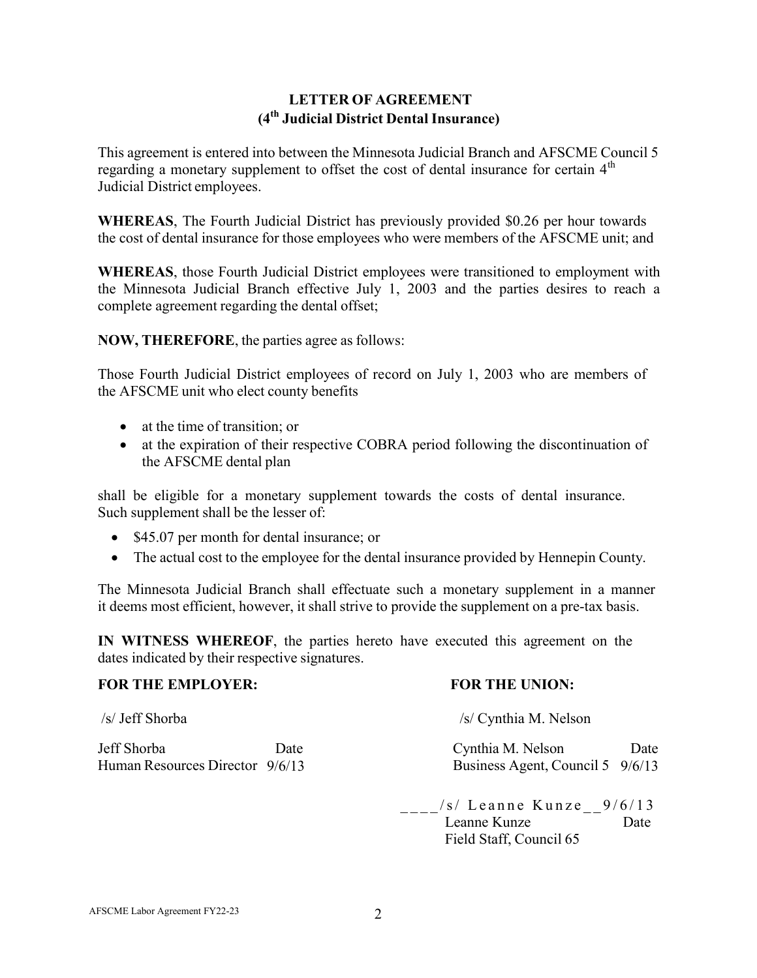# **LETTER OF AGREEMENT (4th Judicial District Dental Insurance)**

This agreement is entered into between the Minnesota Judicial Branch and AFSCME Council 5 regarding a monetary supplement to offset the cost of dental insurance for certain  $4<sup>th</sup>$ Judicial District employees.

**WHEREAS**, The Fourth Judicial District has previously provided \$0.26 per hour towards the cost of dental insurance for those employees who were members of the AFSCME unit; and

**WHEREAS**, those Fourth Judicial District employees were transitioned to employment with the Minnesota Judicial Branch effective July 1, 2003 and the parties desires to reach a complete agreement regarding the dental offset;

**NOW, THEREFORE**, the parties agree as follows:

Those Fourth Judicial District employees of record on July 1, 2003 who are members of the AFSCME unit who elect county benefits

- at the time of transition; or
- at the expiration of their respective COBRA period following the discontinuation of the AFSCME dental plan

shall be eligible for a monetary supplement towards the costs of dental insurance. Such supplement shall be the lesser of:

- \$45.07 per month for dental insurance; or
- The actual cost to the employee for the dental insurance provided by Hennepin County.

The Minnesota Judicial Branch shall effectuate such a monetary supplement in a manner it deems most efficient, however, it shall strive to provide the supplement on a pre-tax basis.

**IN WITNESS WHEREOF**, the parties hereto have executed this agreement on the dates indicated by their respective signatures.

## **FOR THE EMPLOYER: FOR THE UNION:**

/s/ Jeff Shorba /s/ Cynthia M. Nelson

Jeff Shorba Date Cynthia M. Nelson Date Human Resources Director  $9/6/13$  Business Agent, Council 5  $9/6/13$ 

> $_{---}/s/$  Leanne Kunze $_{---}$ 9/6/13 Leanne Kunze Date Field Staff, Council 65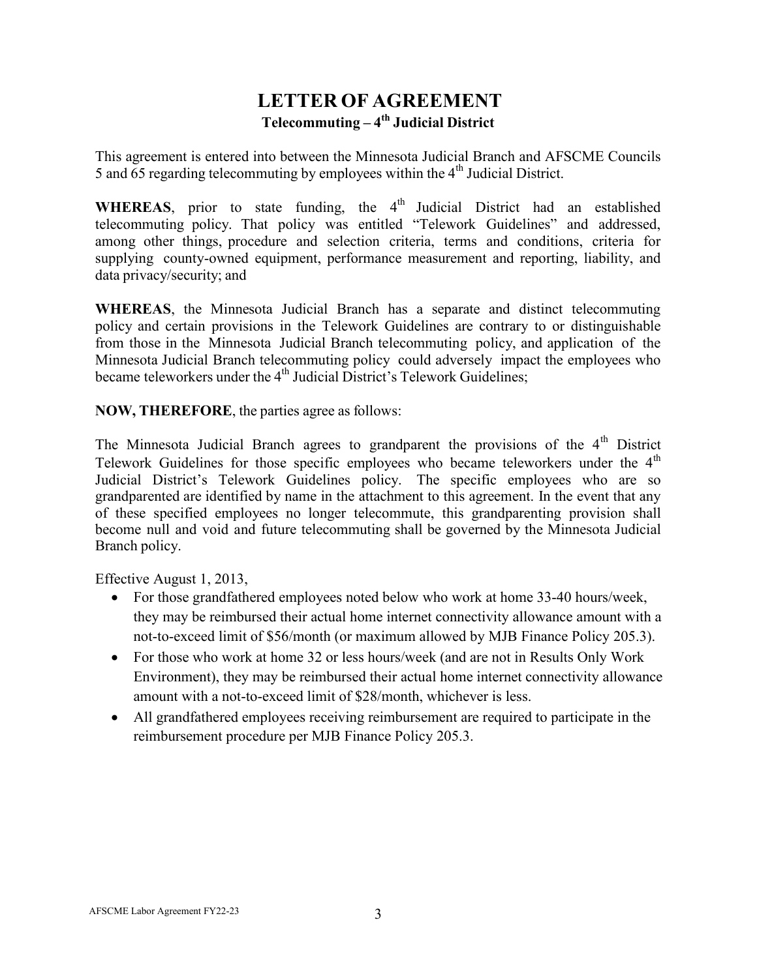# **LETTER OF AGREEMENT Telecommuting – 4th Judicial District**

This agreement is entered into between the Minnesota Judicial Branch and AFSCME Councils 5 and  $\overline{65}$  regarding telecommuting by employees within the  $4<sup>th</sup>$  Judicial District.

**WHEREAS**, prior to state funding, the  $4<sup>th</sup>$  Judicial District had an established telecommuting policy. That policy was entitled "Telework Guidelines" and addressed, among other things, procedure and selection criteria, terms and conditions, criteria for supplying county-owned equipment, performance measurement and reporting, liability, and data privacy/security; and

**WHEREAS**, the Minnesota Judicial Branch has a separate and distinct telecommuting policy and certain provisions in the Telework Guidelines are contrary to or distinguishable from those in the Minnesota Judicial Branch telecommuting policy, and application of the Minnesota Judicial Branch telecommuting policy could adversely impact the employees who became teleworkers under the  $4<sup>th</sup>$  Judicial District's Telework Guidelines;

**NOW, THEREFORE**, the parties agree as follows:

The Minnesota Judicial Branch agrees to grandparent the provisions of the  $4<sup>th</sup>$  District Telework Guidelines for those specific employees who became teleworkers under the  $4<sup>th</sup>$ Judicial District's Telework Guidelines policy. The specific employees who are so grandparented are identified by name in the attachment to this agreement. In the event that any of these specified employees no longer telecommute, this grandparenting provision shall become null and void and future telecommuting shall be governed by the Minnesota Judicial Branch policy.

Effective August 1, 2013,

- For those grandfathered employees noted below who work at home 33-40 hours/week, they may be reimbursed their actual home internet connectivity allowance amount with a not-to-exceed limit of \$56/month (or maximum allowed by MJB Finance Policy 205.3).
- For those who work at home 32 or less hours/week (and are not in Results Only Work Environment), they may be reimbursed their actual home internet connectivity allowance amount with a not-to-exceed limit of \$28/month, whichever is less.
- All grandfathered employees receiving reimbursement are required to participate in the reimbursement procedure per MJB Finance Policy 205.3.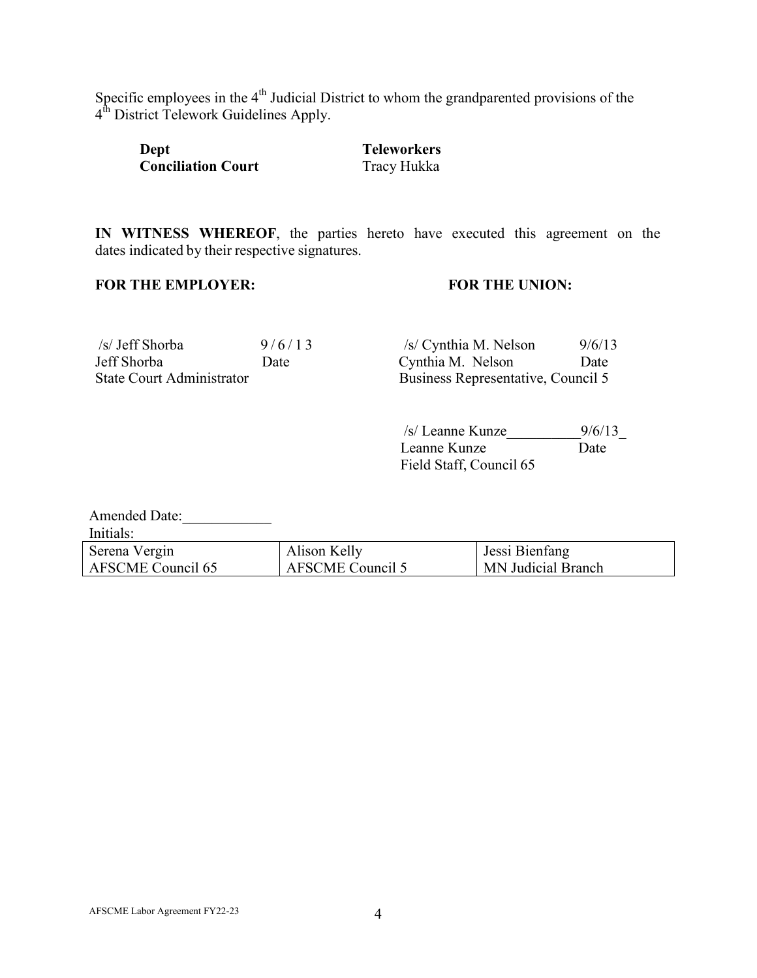Specific employees in the  $4<sup>th</sup>$  Judicial District to whom the grandparented provisions of the 4<sup>th</sup> District Telework Guidelines Apply.

| Dept                      | <b>Teleworkers</b> |
|---------------------------|--------------------|
| <b>Conciliation Court</b> | Tracy Hukka        |

**IN WITNESS WHEREOF**, the parties hereto have executed this agreement on the dates indicated by their respective signatures.

## **FOR THE EMPLOYER: FOR THE UNION:**

| /s/ Jeff Shorba                  | 9/6/13 | /s/ Cynthia M. Nelson              | 9/6/13 |
|----------------------------------|--------|------------------------------------|--------|
| Jeff Shorba                      | Date   | Cynthia M. Nelson                  | Date   |
| <b>State Court Administrator</b> |        | Business Representative, Council 5 |        |

/s/ Leanne Kunze\_\_\_\_\_\_\_\_\_\_9/6/13\_ Leanne Kunze Date Field Staff, Council 65

| <b>Amended Date:</b> |                  |                    |
|----------------------|------------------|--------------------|
| Initials:            |                  |                    |
| Serena Vergin        | Alison Kelly     | Jessi Bienfang     |
| AFSCME Council 65    | AFSCME Council 5 | MN Judicial Branch |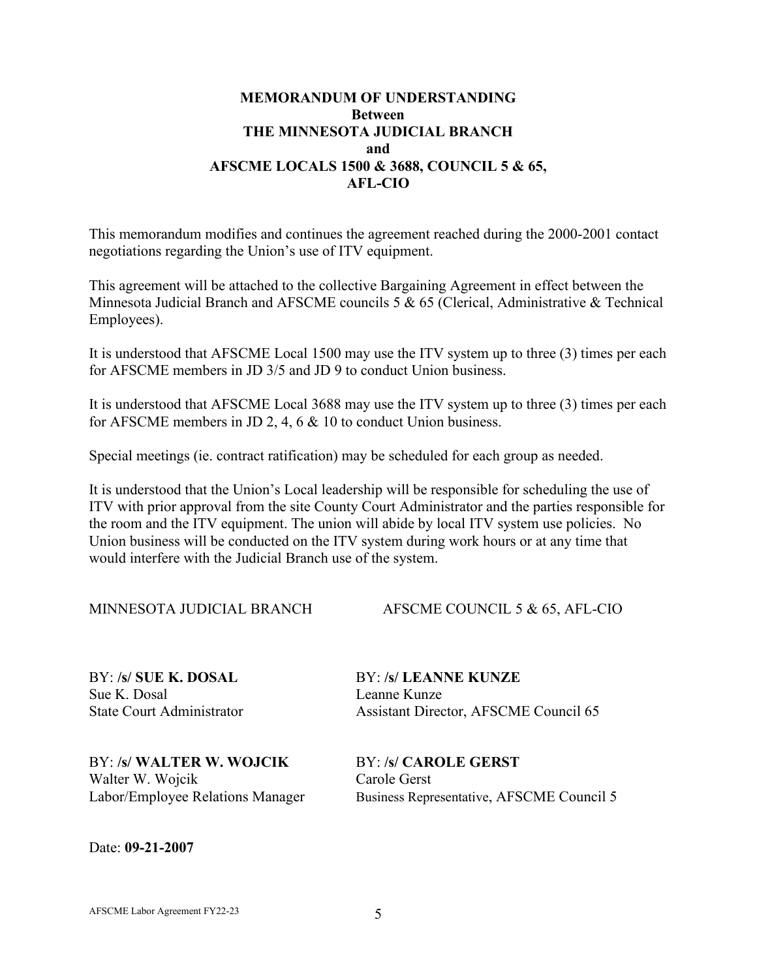## **MEMORANDUM OF UNDERSTANDING Between THE MINNESOTA JUDICIAL BRANCH and AFSCME LOCALS 1500 & 3688, COUNCIL 5 & 65, AFL-CIO**

This memorandum modifies and continues the agreement reached during the 2000-2001 contact negotiations regarding the Union's use of ITV equipment.

This agreement will be attached to the collective Bargaining Agreement in effect between the Minnesota Judicial Branch and AFSCME councils 5 & 65 (Clerical, Administrative & Technical Employees).

It is understood that AFSCME Local 1500 may use the ITV system up to three (3) times per each for AFSCME members in JD 3/5 and JD 9 to conduct Union business.

It is understood that AFSCME Local 3688 may use the ITV system up to three (3) times per each for AFSCME members in JD 2, 4, 6 & 10 to conduct Union business.

Special meetings (ie. contract ratification) may be scheduled for each group as needed.

It is understood that the Union's Local leadership will be responsible for scheduling the use of ITV with prior approval from the site County Court Administrator and the parties responsible for the room and the ITV equipment. The union will abide by local ITV system use policies. No Union business will be conducted on the ITV system during work hours or at any time that would interfere with the Judicial Branch use of the system.

MINNESOTA JUDICIAL BRANCH AFSCME COUNCIL 5 & 65, AFL-CIO

Sue K. Dosal Leanne Kunze

BY: **/s/ SUE K. DOSAL** BY: **/s/ LEANNE KUNZE** State Court Administrator Assistant Director, AFSCME Council 65

BY: **/s/ WALTER W. WOJCIK** BY: **/s/ CAROLE GERST** Walter W. Wojcik Carole Gerst<br>
Labor/Employee Relations Manager Business Repr

Business Representative, AFSCME Council 5

Date: **09-21-2007**